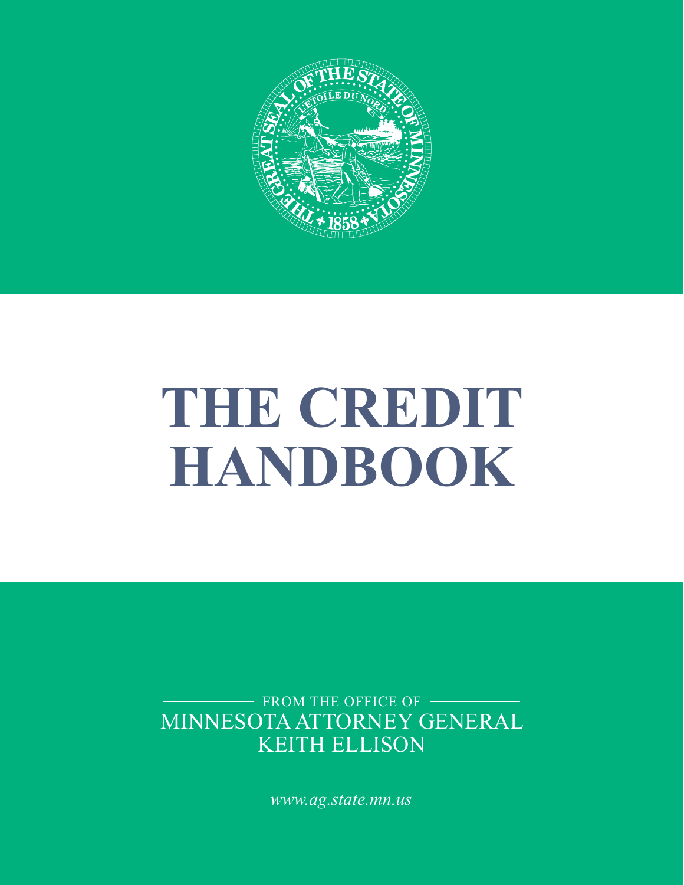

# **THE CREDIT HANDBOOK**

MINNESOTA ATTORNEY GENERAL KEITH ELLISON - FROM THE OFFICE OF

*www.ag.state.mn.us*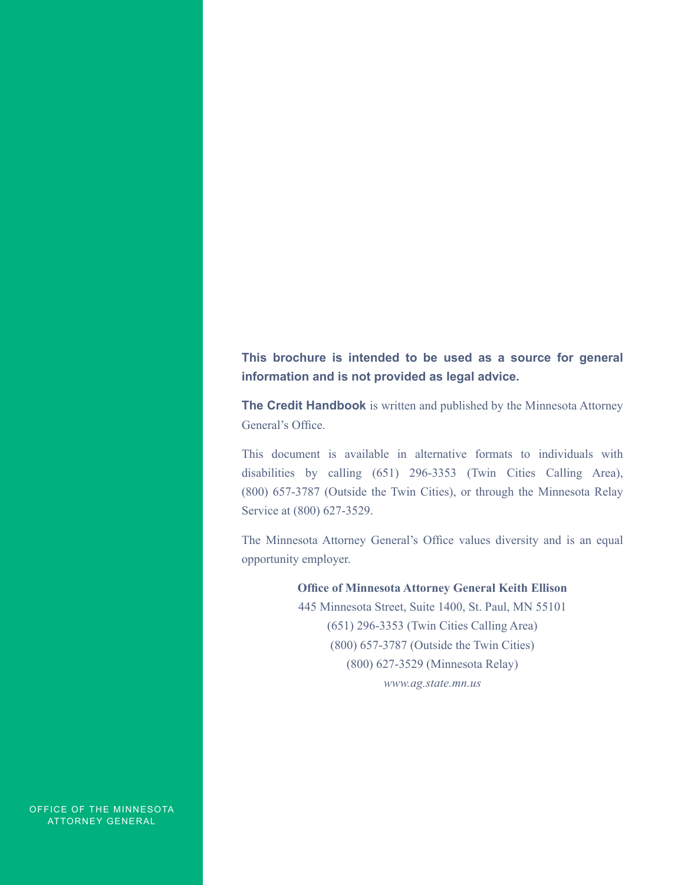**This brochure is intended to be used as a source for general information and is not provided as legal advice.**

**The Credit Handbook** is written and published by the Minnesota Attorney General's Office.

This document is available in alternative formats to individuals with disabilities by calling (651) 296-3353 (Twin Cities Calling Area), (800) 657-3787 (Outside the Twin Cities), or through the Minnesota Relay Service at (800) 627-3529.

The Minnesota Attorney General's Office values diversity and is an equal opportunity employer.

**Office of Minnesota Attorney General Keith Ellison**

445 Minnesota Street, Suite 1400, St. Paul, MN 55101 (651) 296-3353 (Twin Cities Calling Area) (800) 657-3787 (Outside the Twin Cities) (800) 627-3529 (Minnesota Relay) *www.ag.state.mn.us*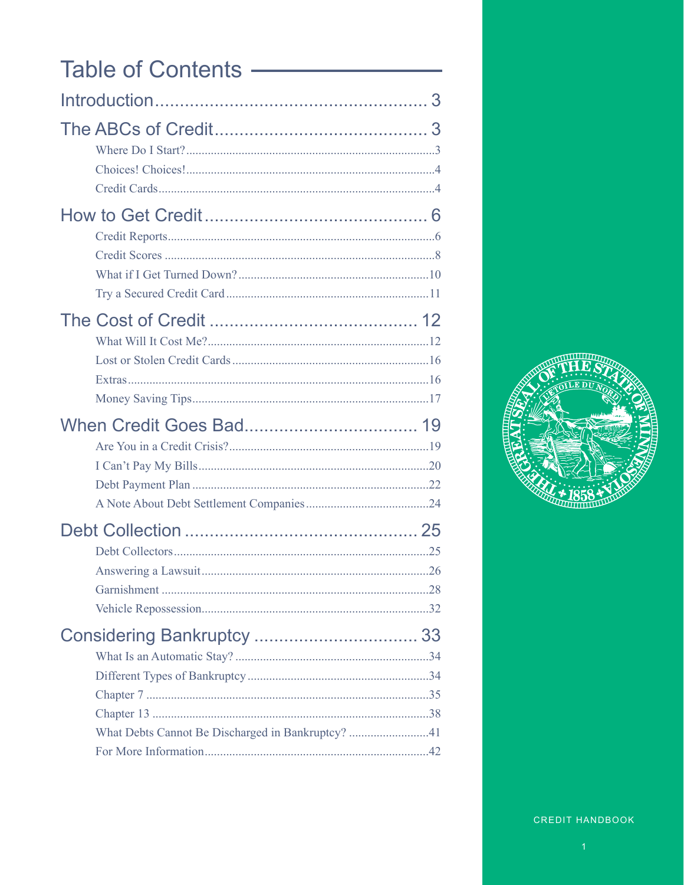# Table of Contents —

| What Debts Cannot Be Discharged in Bankruptcy? 41 |
|---------------------------------------------------|
|                                                   |

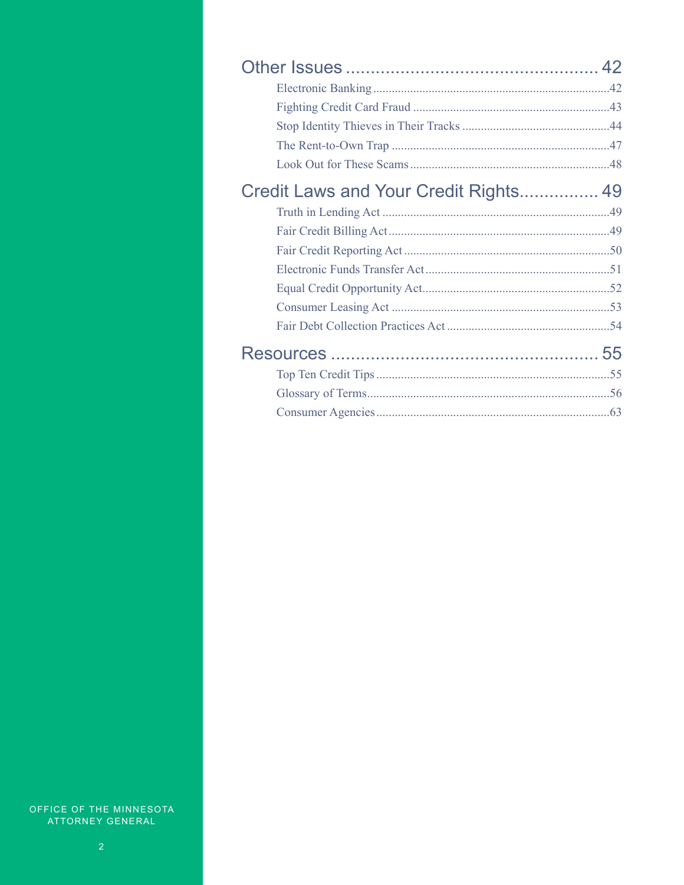| Credit Laws and Your Credit Rights 49 |  |
|---------------------------------------|--|
|                                       |  |
|                                       |  |
|                                       |  |
|                                       |  |
|                                       |  |
|                                       |  |
|                                       |  |
|                                       |  |
|                                       |  |
|                                       |  |
|                                       |  |
|                                       |  |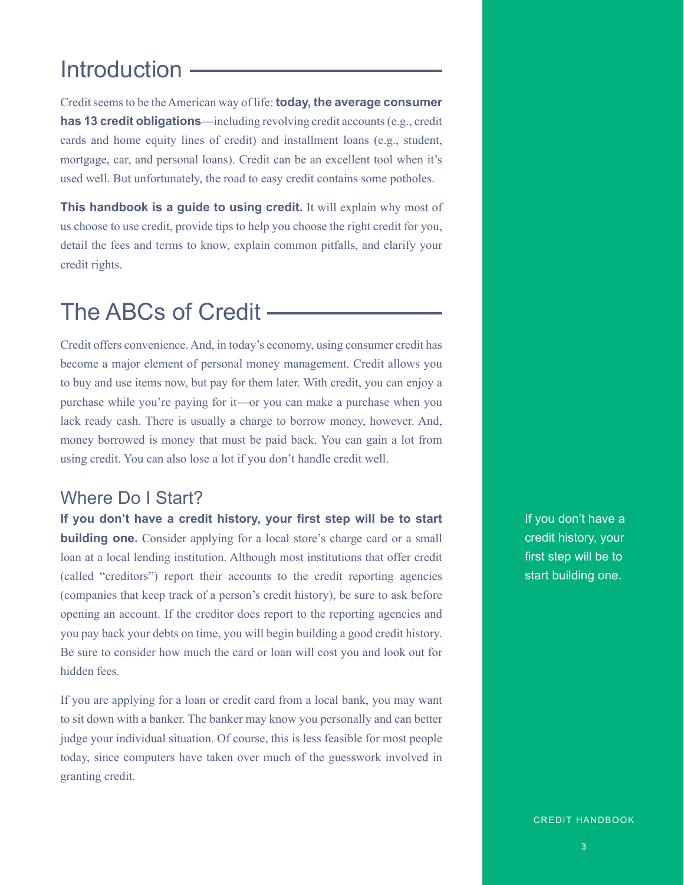# Introduction -

Credit seems to be the American way of life: **today, the average consumer has 13 credit obligations**—including revolving credit accounts (e.g., credit cards and home equity lines of credit) and installment loans (e.g., student, mortgage, car, and personal loans). Credit can be an excellent tool when it's used well. But unfortunately, the road to easy credit contains some potholes.

**This handbook is a guide to using credit.** It will explain why most of us choose to use credit, provide tips to help you choose the right credit for you, detail the fees and terms to know, explain common pitfalls, and clarify your credit rights.

# The ABCs of Credit

Credit offers convenience. And, in today's economy, using consumer credit has become a major element of personal money management. Credit allows you to buy and use items now, but pay for them later. With credit, you can enjoy a purchase while you're paying for it—or you can make a purchase when you lack ready cash. There is usually a charge to borrow money, however. And, money borrowed is money that must be paid back. You can gain a lot from using credit. You can also lose a lot if you don't handle credit well.

### Where Do I Start?

**If you don't have a credit history, your first step will be to start building one.** Consider applying for a local store's charge card or a small loan at a local lending institution. Although most institutions that offer credit (called "creditors") report their accounts to the credit reporting agencies (companies that keep track of a person's credit history), be sure to ask before opening an account. If the creditor does report to the reporting agencies and you pay back your debts on time, you will begin building a good credit history. Be sure to consider how much the card or loan will cost you and look out for hidden fees.

If you are applying for a loan or credit card from a local bank, you may want to sit down with a banker. The banker may know you personally and can better judge your individual situation. Of course, this is less feasible for most people today, since computers have taken over much of the guesswork involved in granting credit.

If you don't have a credit history, your first step will be to start building one.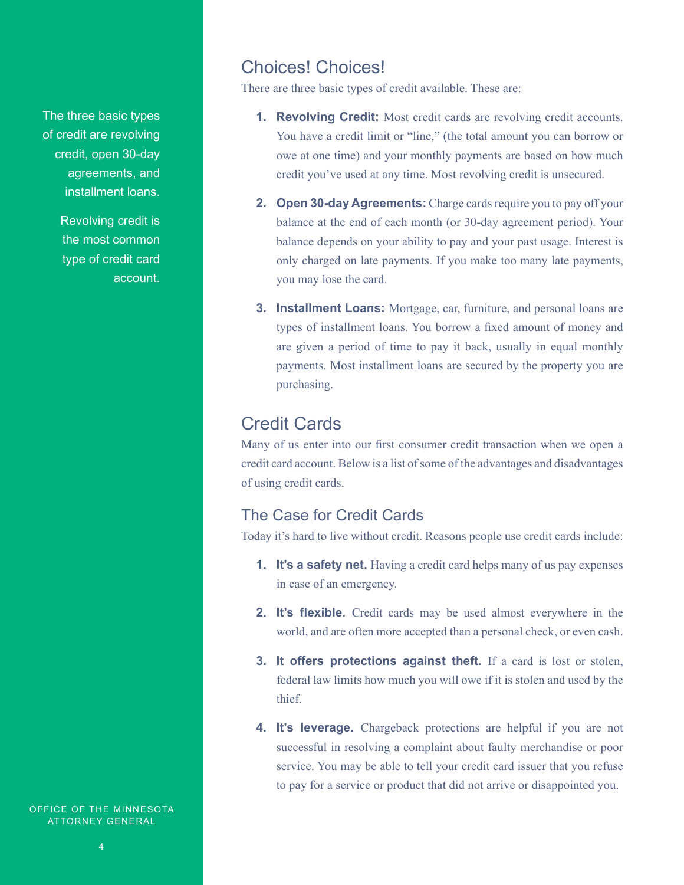The three basic types of credit are revolving credit, open 30-day agreements, and installment loans.

> Revolving credit is the most common type of credit card account.

Choices! Choices!

There are three basic types of credit available. These are:

- **1. Revolving Credit:** Most credit cards are revolving credit accounts. You have a credit limit or "line," (the total amount you can borrow or owe at one time) and your monthly payments are based on how much credit you've used at any time. Most revolving credit is unsecured.
- **2. Open 30-day Agreements:** Charge cards require you to pay off your balance at the end of each month (or 30-day agreement period). Your balance depends on your ability to pay and your past usage. Interest is only charged on late payments. If you make too many late payments, you may lose the card.
- **3. Installment Loans:** Mortgage, car, furniture, and personal loans are types of installment loans. You borrow a fixed amount of money and are given a period of time to pay it back, usually in equal monthly payments. Most installment loans are secured by the property you are purchasing.

### Credit Cards

Many of us enter into our first consumer credit transaction when we open a credit card account. Below is a list of some of the advantages and disadvantages of using credit cards.

### The Case for Credit Cards

Today it's hard to live without credit. Reasons people use credit cards include:

- **1. It's a safety net.** Having a credit card helps many of us pay expenses in case of an emergency.
- **2. It's flexible.** Credit cards may be used almost everywhere in the world, and are often more accepted than a personal check, or even cash.
- **3. It offers protections against theft.** If a card is lost or stolen, federal law limits how much you will owe if it is stolen and used by the thief.
- **4. It's leverage.** Chargeback protections are helpful if you are not successful in resolving a complaint about faulty merchandise or poor service. You may be able to tell your credit card issuer that you refuse to pay for a service or product that did not arrive or disappointed you.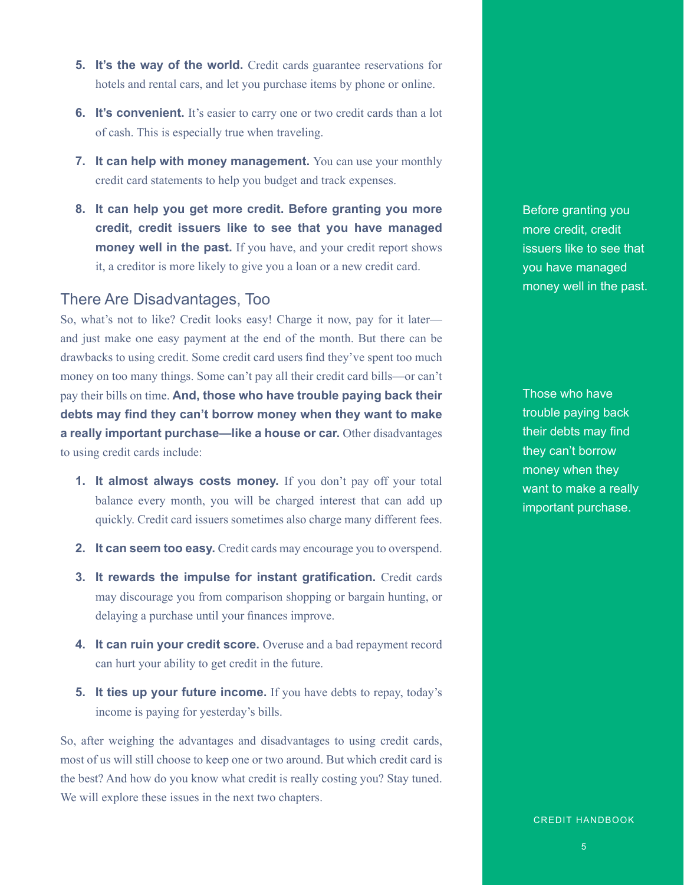- **5. It's the way of the world.** Credit cards guarantee reservations for hotels and rental cars, and let you purchase items by phone or online.
- **6. It's convenient.** It's easier to carry one or two credit cards than a lot of cash. This is especially true when traveling.
- **7.** It can help with money management. You can use your monthly credit card statements to help you budget and track expenses.
- **8. It can help you get more credit. Before granting you more credit, credit issuers like to see that you have managed money well in the past.** If you have, and your credit report shows it, a creditor is more likely to give you a loan or a new credit card.

### There Are Disadvantages, Too

So, what's not to like? Credit looks easy! Charge it now, pay for it later and just make one easy payment at the end of the month. But there can be drawbacks to using credit. Some credit card users find they've spent too much money on too many things. Some can't pay all their credit card bills—or can't pay their bills on time. **And, those who have trouble paying back their debts may find they can't borrow money when they want to make a really important purchase—like a house or car.** Other disadvantages to using credit cards include:

- **1. It almost always costs money.** If you don't pay off your total balance every month, you will be charged interest that can add up quickly. Credit card issuers sometimes also charge many different fees.
- **2. It can seem too easy.** Credit cards may encourage you to overspend.
- **3. It rewards the impulse for instant gratification.** Credit cards may discourage you from comparison shopping or bargain hunting, or delaying a purchase until your finances improve.
- **4. It can ruin your credit score.** Overuse and a bad repayment record can hurt your ability to get credit in the future.
- **5.** It ties up your future income. If you have debts to repay, today's income is paying for yesterday's bills.

So, after weighing the advantages and disadvantages to using credit cards, most of us will still choose to keep one or two around. But which credit card is the best? And how do you know what credit is really costing you? Stay tuned. We will explore these issues in the next two chapters.

Before granting you more credit, credit issuers like to see that you have managed money well in the past.

Those who have trouble paying back their debts may find they can't borrow money when they want to make a really important purchase.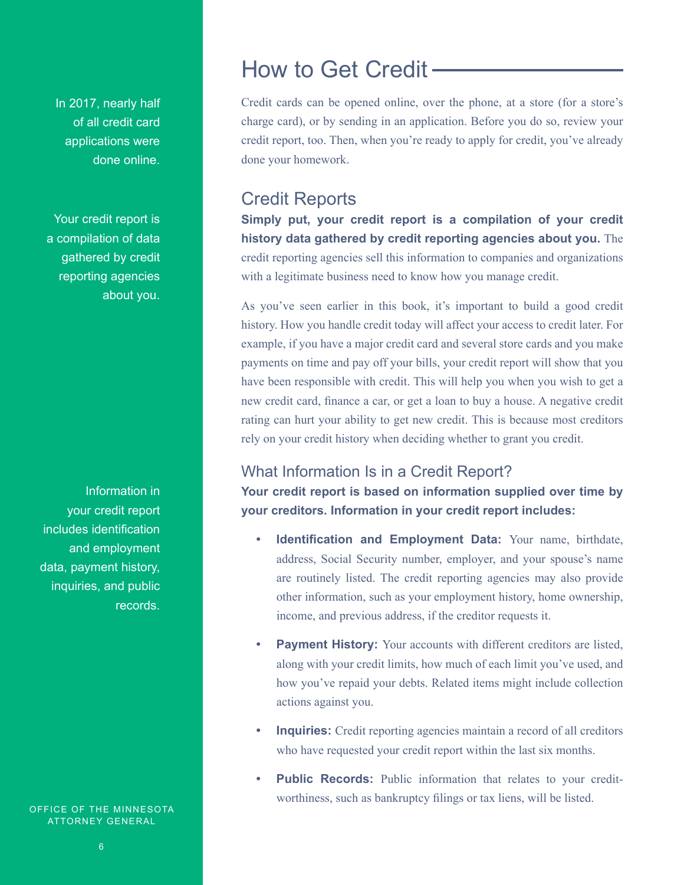In 2017, nearly half of all credit card applications were done online.

Your credit report is a compilation of data gathered by credit reporting agencies about you.

Information in your credit report includes identification and employment data, payment history, inquiries, and public records.

OFFICE OF THE MINNESOTA ATTORNEY GENERAL

Credit cards can be opened online, over the phone, at a store (for a store's charge card), or by sending in an application. Before you do so, review your credit report, too. Then, when you're ready to apply for credit, you've already done your homework.

### Credit Reports

**Simply put, your credit report is a compilation of your credit history data gathered by credit reporting agencies about you.** The credit reporting agencies sell this information to companies and organizations with a legitimate business need to know how you manage credit.

As you've seen earlier in this book, it's important to build a good credit history. How you handle credit today will affect your access to credit later. For example, if you have a major credit card and several store cards and you make payments on time and pay off your bills, your credit report will show that you have been responsible with credit. This will help you when you wish to get a new credit card, finance a car, or get a loan to buy a house. A negative credit rating can hurt your ability to get new credit. This is because most creditors rely on your credit history when deciding whether to grant you credit.

### What Information Is in a Credit Report?

**Your credit report is based on information supplied over time by your creditors. Information in your credit report includes:**

- **• Identification and Employment Data:** Your name, birthdate, address, Social Security number, employer, and your spouse's name are routinely listed. The credit reporting agencies may also provide other information, such as your employment history, home ownership, income, and previous address, if the creditor requests it.
- **• Payment History:** Your accounts with different creditors are listed, along with your credit limits, how much of each limit you've used, and how you've repaid your debts. Related items might include collection actions against you.
- *Inquiries:* Credit reporting agencies maintain a record of all creditors who have requested your credit report within the last six months.
- **Public Records:** Public information that relates to your creditworthiness, such as bankruptcy filings or tax liens, will be listed.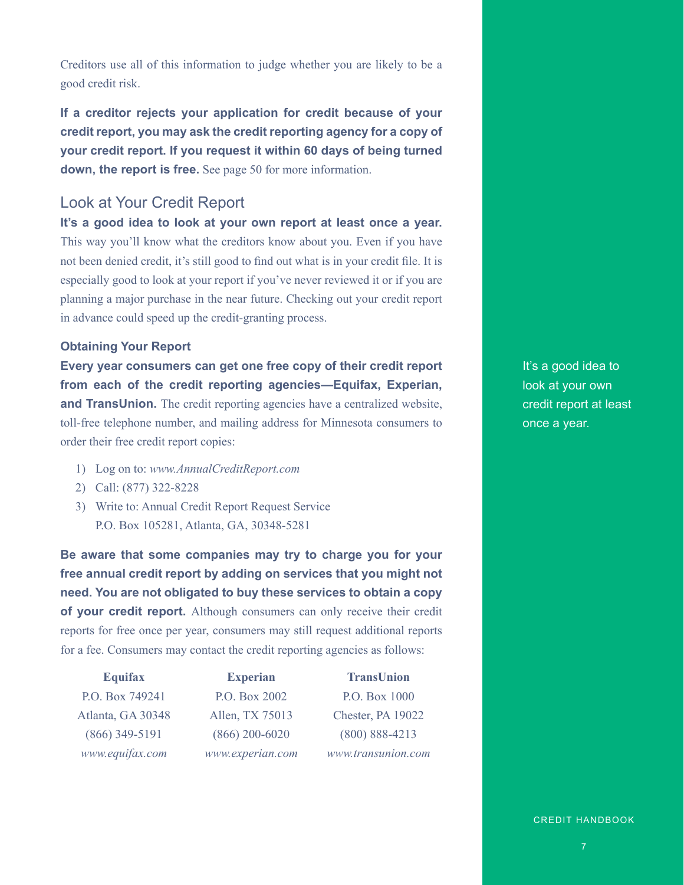Creditors use all of this information to judge whether you are likely to be a good credit risk.

**If a creditor rejects your application for credit because of your credit report, you may ask the credit reporting agency for a copy of your credit report. If you request it within 60 days of being turned down, the report is free.** See page 50 for more information.

### Look at Your Credit Report

**It's a good idea to look at your own report at least once a year.** This way you'll know what the creditors know about you. Even if you have not been denied credit, it's still good to find out what is in your credit file. It is especially good to look at your report if you've never reviewed it or if you are planning a major purchase in the near future. Checking out your credit report in advance could speed up the credit-granting process.

#### **Obtaining Your Report**

**Every year consumers can get one free copy of their credit report from each of the credit reporting agencies—Equifax, Experian, and TransUnion.** The credit reporting agencies have a centralized website, toll-free telephone number, and mailing address for Minnesota consumers to order their free credit report copies:

- 1) Log on to: *www.AnnualCreditReport.com*
- 2) Call: (877) 322-8228
- 3) Write to: Annual Credit Report Request Service P.O. Box 105281, Atlanta, GA, 30348-5281

**Be aware that some companies may try to charge you for your free annual credit report by adding on services that you might not need. You are not obligated to buy these services to obtain a copy of your credit report.** Although consumers can only receive their credit reports for free once per year, consumers may still request additional reports for a fee. Consumers may contact the credit reporting agencies as follows:

| <b>Equifax</b>    | <b>Experian</b>  | <b>TransUnion</b>  |
|-------------------|------------------|--------------------|
| P.O. Box 749241   | P.O. Box 2002    | P.O. Box 1000      |
| Atlanta, GA 30348 | Allen, TX 75013  | Chester, PA 19022  |
| $(866)$ 349-5191  | $(866)$ 200-6020 | $(800) 888 - 4213$ |
| www.equifax.com   | www.experian.com | www.transunion.com |

It's a good idea to look at your own credit report at least once a year.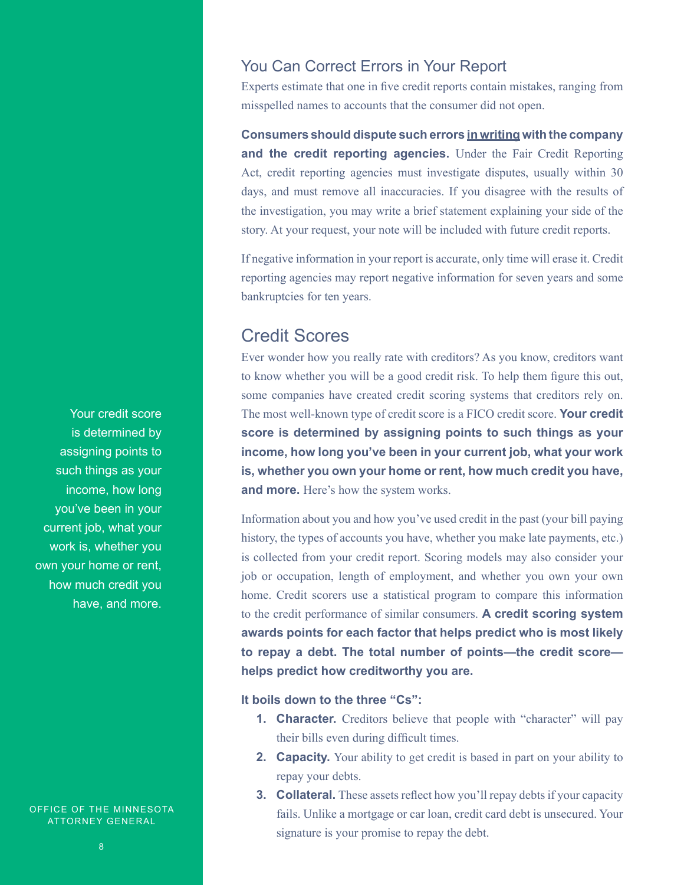### You Can Correct Errors in Your Report

Experts estimate that one in five credit reports contain mistakes, ranging from misspelled names to accounts that the consumer did not open.

**Consumers should dispute such errors in writing with the company and the credit reporting agencies.** Under the Fair Credit Reporting Act, credit reporting agencies must investigate disputes, usually within 30 days, and must remove all inaccuracies. If you disagree with the results of the investigation, you may write a brief statement explaining your side of the story. At your request, your note will be included with future credit reports.

If negative information in your report is accurate, only time will erase it. Credit reporting agencies may report negative information for seven years and some bankruptcies for ten years.

### Credit Scores

Ever wonder how you really rate with creditors? As you know, creditors want to know whether you will be a good credit risk. To help them figure this out, some companies have created credit scoring systems that creditors rely on. The most well-known type of credit score is a FICO credit score. **Your credit score is determined by assigning points to such things as your income, how long you've been in your current job, what your work is, whether you own your home or rent, how much credit you have, and more.** Here's how the system works.

Information about you and how you've used credit in the past (your bill paying history, the types of accounts you have, whether you make late payments, etc.) is collected from your credit report. Scoring models may also consider your job or occupation, length of employment, and whether you own your own home. Credit scorers use a statistical program to compare this information to the credit performance of similar consumers. **A credit scoring system awards points for each factor that helps predict who is most likely to repay a debt. The total number of points—the credit score helps predict how creditworthy you are.**

**It boils down to the three "Cs":**

- **1. Character.** Creditors believe that people with "character" will pay their bills even during difficult times.
- **2. Capacity.** Your ability to get credit is based in part on your ability to repay your debts.
- **3. Collateral.** These assets reflect how you'll repay debts if your capacity fails. Unlike a mortgage or car loan, credit card debt is unsecured. Your signature is your promise to repay the debt.

Your credit score is determined by assigning points to such things as your income, how long you've been in your current job, what your work is, whether you own your home or rent, how much credit you have, and more.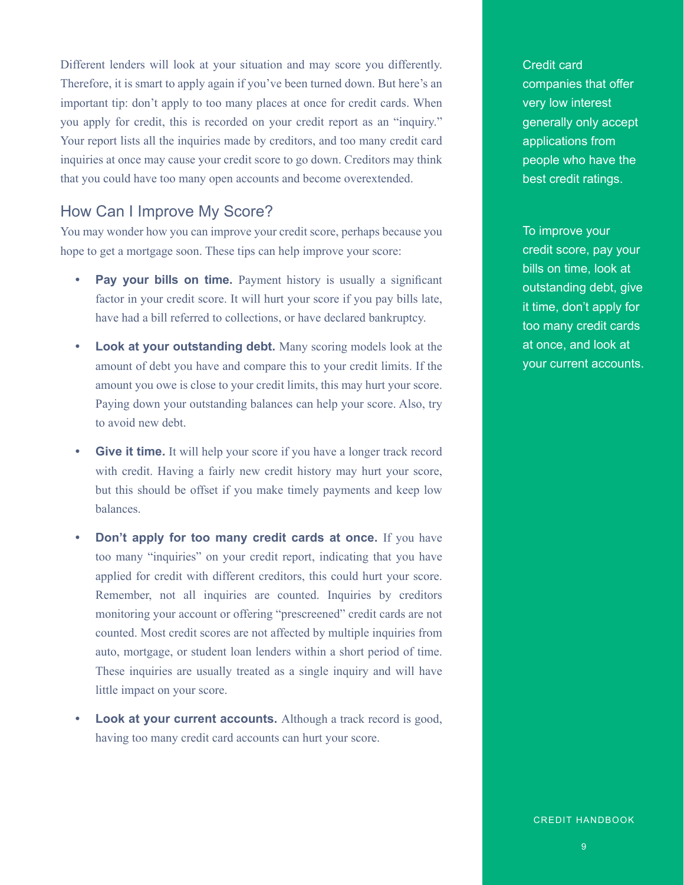Different lenders will look at your situation and may score you differently. Therefore, it is smart to apply again if you've been turned down. But here's an important tip: don't apply to too many places at once for credit cards. When you apply for credit, this is recorded on your credit report as an "inquiry." Your report lists all the inquiries made by creditors, and too many credit card inquiries at once may cause your credit score to go down. Creditors may think that you could have too many open accounts and become overextended.

### How Can I Improve My Score?

You may wonder how you can improve your credit score, perhaps because you hope to get a mortgage soon. These tips can help improve your score:

- **Pay your bills on time.** Payment history is usually a significant factor in your credit score. It will hurt your score if you pay bills late, have had a bill referred to collections, or have declared bankruptcy.
- **• Look at your outstanding debt.** Many scoring models look at the amount of debt you have and compare this to your credit limits. If the amount you owe is close to your credit limits, this may hurt your score. Paying down your outstanding balances can help your score. Also, try to avoid new debt.
- **•• Give it time.** It will help your score if you have a longer track record with credit. Having a fairly new credit history may hurt your score, but this should be offset if you make timely payments and keep low balances.
- **• Don't apply for too many credit cards at once.** If you have too many "inquiries" on your credit report, indicating that you have applied for credit with different creditors, this could hurt your score. Remember, not all inquiries are counted. Inquiries by creditors monitoring your account or offering "prescreened" credit cards are not counted. Most credit scores are not affected by multiple inquiries from auto, mortgage, or student loan lenders within a short period of time. These inquiries are usually treated as a single inquiry and will have little impact on your score.
- **Look at your current accounts.** Although a track record is good, having too many credit card accounts can hurt your score.

Credit card companies that offer very low interest generally only accept applications from people who have the best credit ratings.

To improve your credit score, pay your bills on time, look at outstanding debt, give it time, don't apply for too many credit cards at once, and look at your current accounts.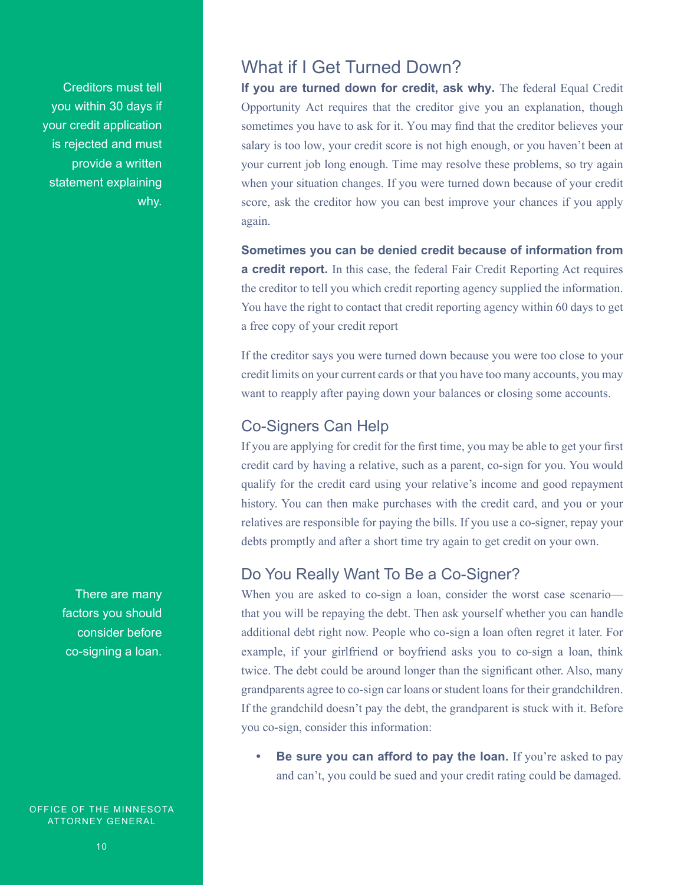Creditors must tell you within 30 days if your credit application is rejected and must provide a written statement explaining why.

> There are many factors you should consider before co-signing a loan.

OFFICE OF THE MINNESOTA ATTORNEY GENERAL

### What if I Get Turned Down?

**If you are turned down for credit, ask why.** The federal Equal Credit Opportunity Act requires that the creditor give you an explanation, though sometimes you have to ask for it. You may find that the creditor believes your salary is too low, your credit score is not high enough, or you haven't been at your current job long enough. Time may resolve these problems, so try again when your situation changes. If you were turned down because of your credit score, ask the creditor how you can best improve your chances if you apply again.

**Sometimes you can be denied credit because of information from a credit report.** In this case, the federal Fair Credit Reporting Act requires the creditor to tell you which credit reporting agency supplied the information. You have the right to contact that credit reporting agency within 60 days to get a free copy of your credit report

If the creditor says you were turned down because you were too close to your credit limits on your current cards or that you have too many accounts, you may want to reapply after paying down your balances or closing some accounts.

### Co-Signers Can Help

If you are applying for credit for the first time, you may be able to get your first credit card by having a relative, such as a parent, co-sign for you. You would qualify for the credit card using your relative's income and good repayment history. You can then make purchases with the credit card, and you or your relatives are responsible for paying the bills. If you use a co-signer, repay your debts promptly and after a short time try again to get credit on your own.

### Do You Really Want To Be a Co-Signer?

When you are asked to co-sign a loan, consider the worst case scenario that you will be repaying the debt. Then ask yourself whether you can handle additional debt right now. People who co-sign a loan often regret it later. For example, if your girlfriend or boyfriend asks you to co-sign a loan, think twice. The debt could be around longer than the significant other. Also, many grandparents agree to co-sign car loans or student loans for their grandchildren. If the grandchild doesn't pay the debt, the grandparent is stuck with it. Before you co-sign, consider this information:

**Be sure you can afford to pay the loan.** If you're asked to pay and can't, you could be sued and your credit rating could be damaged.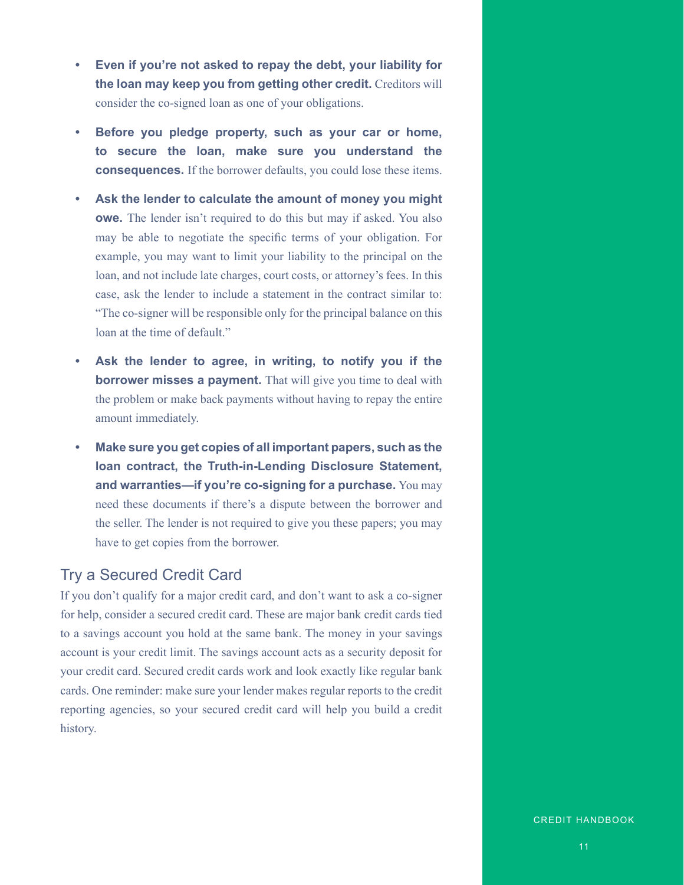- **• Even if you're not asked to repay the debt, your liability for the loan may keep you from getting other credit.** Creditors will consider the co-signed loan as one of your obligations.
- **• Before you pledge property, such as your car or home, to secure the loan, make sure you understand the consequences.** If the borrower defaults, you could lose these items.
- **• Ask the lender to calculate the amount of money you might owe.** The lender isn't required to do this but may if asked. You also may be able to negotiate the specific terms of your obligation. For example, you may want to limit your liability to the principal on the loan, and not include late charges, court costs, or attorney's fees. In this case, ask the lender to include a statement in the contract similar to: "The co-signer will be responsible only for the principal balance on this loan at the time of default."
- **• Ask the lender to agree, in writing, to notify you if the borrower misses a payment.** That will give you time to deal with the problem or make back payments without having to repay the entire amount immediately.
- **• Make sure you get copies of all important papers, such as the loan contract, the Truth-in-Lending Disclosure Statement, and warranties—if you're co-signing for a purchase.** You may need these documents if there's a dispute between the borrower and the seller. The lender is not required to give you these papers; you may have to get copies from the borrower.

### Try a Secured Credit Card

If you don't qualify for a major credit card, and don't want to ask a co-signer for help, consider a secured credit card. These are major bank credit cards tied to a savings account you hold at the same bank. The money in your savings account is your credit limit. The savings account acts as a security deposit for your credit card. Secured credit cards work and look exactly like regular bank cards. One reminder: make sure your lender makes regular reports to the credit reporting agencies, so your secured credit card will help you build a credit history.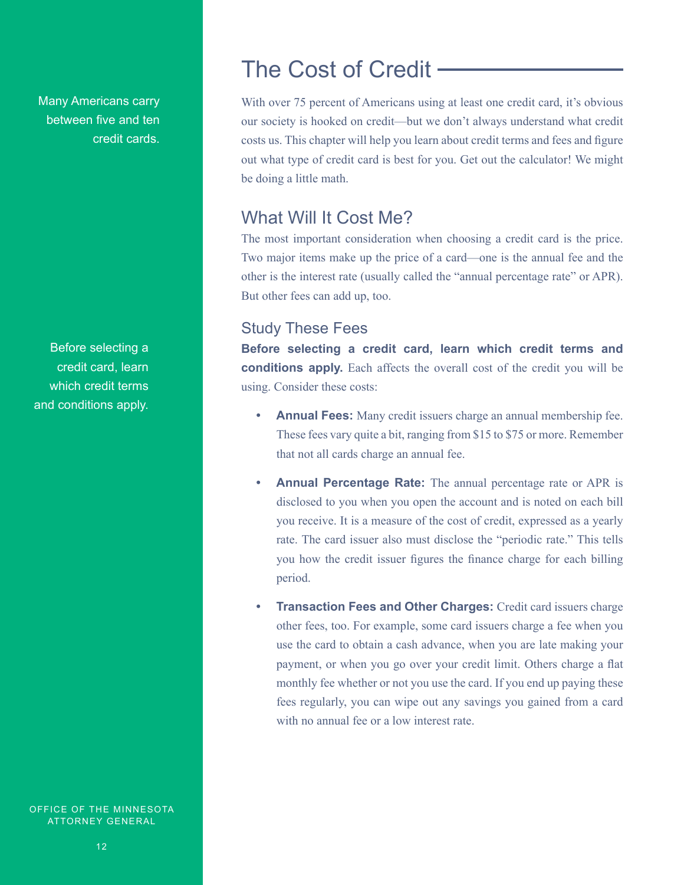Many Americans carry between five and ten credit cards.

Before selecting a credit card, learn which credit terms and conditions apply.

OFFICE OF THE MINNESOTA ATTORNEY GENERAL

# The Cost of Credit

With over 75 percent of Americans using at least one credit card, it's obvious our society is hooked on credit—but we don't always understand what credit costs us. This chapter will help you learn about credit terms and fees and figure out what type of credit card is best for you. Get out the calculator! We might be doing a little math.

### What Will It Cost Me?

The most important consideration when choosing a credit card is the price. Two major items make up the price of a card—one is the annual fee and the other is the interest rate (usually called the "annual percentage rate" or APR). But other fees can add up, too.

### Study These Fees

**Before selecting a credit card, learn which credit terms and conditions apply.** Each affects the overall cost of the credit you will be using. Consider these costs:

- **• Annual Fees:** Many credit issuers charge an annual membership fee. These fees vary quite a bit, ranging from \$15 to \$75 or more. Remember that not all cards charge an annual fee.
- **• Annual Percentage Rate:** The annual percentage rate or APR is disclosed to you when you open the account and is noted on each bill you receive. It is a measure of the cost of credit, expressed as a yearly rate. The card issuer also must disclose the "periodic rate." This tells you how the credit issuer figures the finance charge for each billing period.
- **Fransaction Fees and Other Charges:** Credit card issuers charge other fees, too. For example, some card issuers charge a fee when you use the card to obtain a cash advance, when you are late making your payment, or when you go over your credit limit. Others charge a flat monthly fee whether or not you use the card. If you end up paying these fees regularly, you can wipe out any savings you gained from a card with no annual fee or a low interest rate.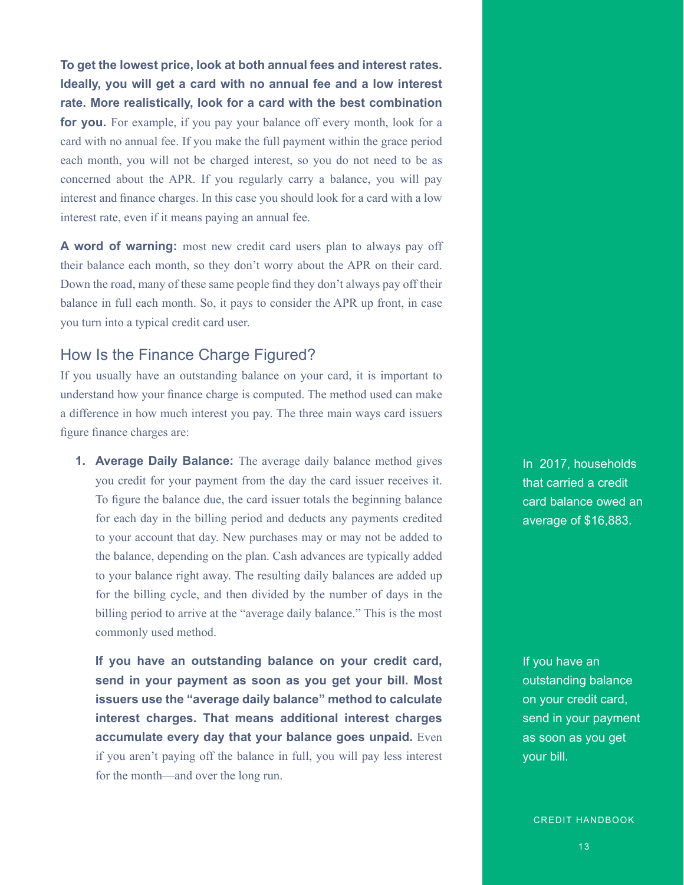**To get the lowest price, look at both annual fees and interest rates. Ideally, you will get a card with no annual fee and a low interest rate. More realistically, look for a card with the best combination for you.** For example, if you pay your balance off every month, look for a card with no annual fee. If you make the full payment within the grace period each month, you will not be charged interest, so you do not need to be as concerned about the APR. If you regularly carry a balance, you will pay interest and finance charges. In this case you should look for a card with a low interest rate, even if it means paying an annual fee.

**A word of warning:** most new credit card users plan to always pay off their balance each month, so they don't worry about the APR on their card. Down the road, many of these same people find they don't always pay off their balance in full each month. So, it pays to consider the APR up front, in case you turn into a typical credit card user.

### How Is the Finance Charge Figured?

If you usually have an outstanding balance on your card, it is important to understand how your finance charge is computed. The method used can make a difference in how much interest you pay. The three main ways card issuers figure finance charges are:

**1. Average Daily Balance:** The average daily balance method gives you credit for your payment from the day the card issuer receives it. To figure the balance due, the card issuer totals the beginning balance for each day in the billing period and deducts any payments credited to your account that day. New purchases may or may not be added to the balance, depending on the plan. Cash advances are typically added to your balance right away. The resulting daily balances are added up for the billing cycle, and then divided by the number of days in the billing period to arrive at the "average daily balance." This is the most commonly used method.

**If you have an outstanding balance on your credit card, send in your payment as soon as you get your bill. Most issuers use the "average daily balance" method to calculate interest charges. That means additional interest charges accumulate every day that your balance goes unpaid.** Even if you aren't paying off the balance in full, you will pay less interest for the month—and over the long run.

In 2017, households that carried a credit card balance owed an average of \$16,883.

If you have an outstanding balance on your credit card, send in your payment as soon as you get your bill.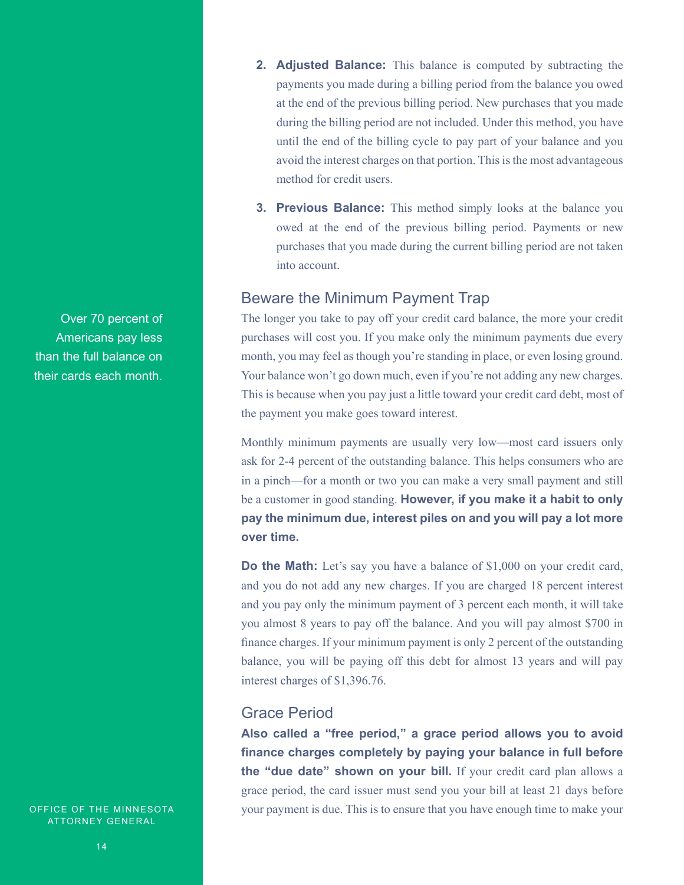Over 70 percent of Americans pay less than the full balance on their cards each month.

OFFICE OF THE MINNESOTA ATTORNEY GENERAL

- **2. Adjusted Balance:** This balance is computed by subtracting the payments you made during a billing period from the balance you owed at the end of the previous billing period. New purchases that you made during the billing period are not included. Under this method, you have until the end of the billing cycle to pay part of your balance and you avoid the interest charges on that portion. This is the most advantageous method for credit users.
- **3. Previous Balance:** This method simply looks at the balance you owed at the end of the previous billing period. Payments or new purchases that you made during the current billing period are not taken into account.

### Beware the Minimum Payment Trap

The longer you take to pay off your credit card balance, the more your credit purchases will cost you. If you make only the minimum payments due every month, you may feel as though you're standing in place, or even losing ground. Your balance won't go down much, even if you're not adding any new charges. This is because when you pay just a little toward your credit card debt, most of the payment you make goes toward interest.

Monthly minimum payments are usually very low—most card issuers only ask for 2-4 percent of the outstanding balance. This helps consumers who are in a pinch—for a month or two you can make a very small payment and still be a customer in good standing. **However, if you make it a habit to only pay the minimum due, interest piles on and you will pay a lot more over time.**

**Do the Math:** Let's say you have a balance of \$1,000 on your credit card, and you do not add any new charges. If you are charged 18 percent interest and you pay only the minimum payment of 3 percent each month, it will take you almost 8 years to pay off the balance. And you will pay almost \$700 in finance charges. If your minimum payment is only 2 percent of the outstanding balance, you will be paying off this debt for almost 13 years and will pay interest charges of \$1,396.76.

### Grace Period

**Also called a "free period," a grace period allows you to avoid finance charges completely by paying your balance in full before the "due date" shown on your bill.** If your credit card plan allows a grace period, the card issuer must send you your bill at least 21 days before your payment is due. This is to ensure that you have enough time to make your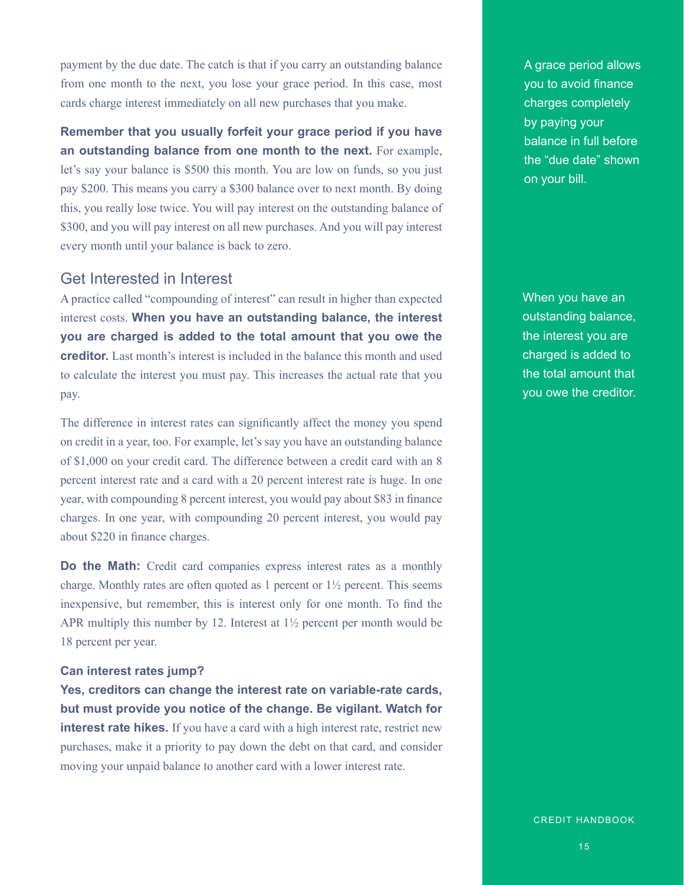payment by the due date. The catch is that if you carry an outstanding balance from one month to the next, you lose your grace period. In this case, most cards charge interest immediately on all new purchases that you make.

**Remember that you usually forfeit your grace period if you have an outstanding balance from one month to the next.** For example, let's say your balance is \$500 this month. You are low on funds, so you just pay \$200. This means you carry a \$300 balance over to next month. By doing this, you really lose twice. You will pay interest on the outstanding balance of \$300, and you will pay interest on all new purchases. And you will pay interest every month until your balance is back to zero.

### Get Interested in Interest

A practice called "compounding of interest" can result in higher than expected interest costs. **When you have an outstanding balance, the interest you are charged is added to the total amount that you owe the creditor.** Last month's interest is included in the balance this month and used to calculate the interest you must pay. This increases the actual rate that you pay.

The difference in interest rates can significantly affect the money you spend on credit in a year, too. For example, let's say you have an outstanding balance of \$1,000 on your credit card. The difference between a credit card with an 8 percent interest rate and a card with a 20 percent interest rate is huge. In one year, with compounding 8 percent interest, you would pay about \$83 in finance charges. In one year, with compounding 20 percent interest, you would pay about \$220 in finance charges.

**Do the Math:** Credit card companies express interest rates as a monthly charge. Monthly rates are often quoted as 1 percent or  $1\frac{1}{2}$  percent. This seems inexpensive, but remember, this is interest only for one month. To find the APR multiply this number by 12. Interest at  $1\frac{1}{2}$  percent per month would be 18 percent per year.

#### **Can interest rates jump?**

**Yes, creditors can change the interest rate on variable-rate cards, but must provide you notice of the change. Be vigilant. Watch for interest rate hikes.** If you have a card with a high interest rate, restrict new purchases, make it a priority to pay down the debt on that card, and consider moving your unpaid balance to another card with a lower interest rate.

A grace period allows you to avoid finance charges completely by paying your balance in full before the "due date" shown on your bill.

When you have an outstanding balance, the interest you are charged is added to the total amount that you owe the creditor.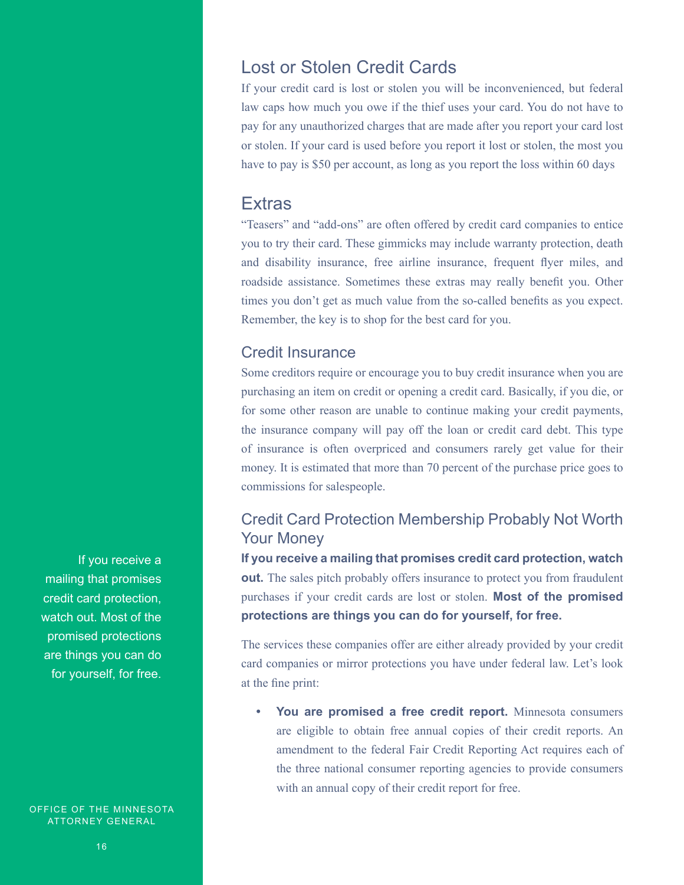### Lost or Stolen Credit Cards

If your credit card is lost or stolen you will be inconvenienced, but federal law caps how much you owe if the thief uses your card. You do not have to pay for any unauthorized charges that are made after you report your card lost or stolen. If your card is used before you report it lost or stolen, the most you have to pay is \$50 per account, as long as you report the loss within 60 days

### **Extras**

"Teasers" and "add-ons" are often offered by credit card companies to entice you to try their card. These gimmicks may include warranty protection, death and disability insurance, free airline insurance, frequent flyer miles, and roadside assistance. Sometimes these extras may really benefit you. Other times you don't get as much value from the so-called benefits as you expect. Remember, the key is to shop for the best card for you.

### Credit Insurance

Some creditors require or encourage you to buy credit insurance when you are purchasing an item on credit or opening a credit card. Basically, if you die, or for some other reason are unable to continue making your credit payments, the insurance company will pay off the loan or credit card debt. This type of insurance is often overpriced and consumers rarely get value for their money. It is estimated that more than 70 percent of the purchase price goes to commissions for salespeople.

### Credit Card Protection Membership Probably Not Worth Your Money

**If you receive a mailing that promises credit card protection, watch out.** The sales pitch probably offers insurance to protect you from fraudulent purchases if your credit cards are lost or stolen. **Most of the promised protections are things you can do for yourself, for free.**

The services these companies offer are either already provided by your credit card companies or mirror protections you have under federal law. Let's look at the fine print:

**• You are promised a free credit report.** Minnesota consumers are eligible to obtain free annual copies of their credit reports. An amendment to the federal Fair Credit Reporting Act requires each of the three national consumer reporting agencies to provide consumers with an annual copy of their credit report for free.

If you receive a mailing that promises credit card protection, watch out. Most of the promised protections are things you can do for yourself, for free.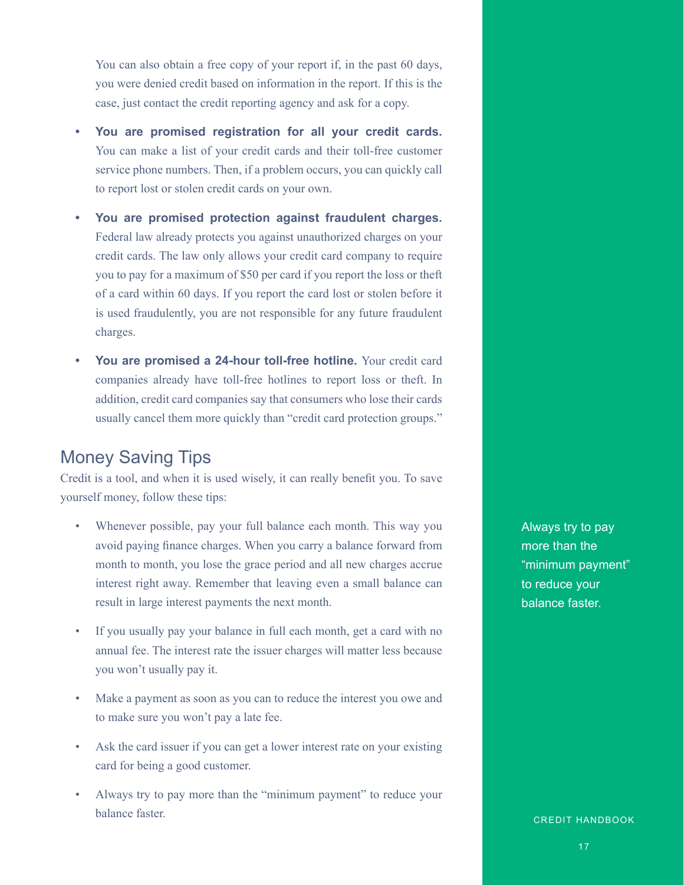You can also obtain a free copy of your report if, in the past 60 days, you were denied credit based on information in the report. If this is the case, just contact the credit reporting agency and ask for a copy.

- **• You are promised registration for all your credit cards.**  You can make a list of your credit cards and their toll-free customer service phone numbers. Then, if a problem occurs, you can quickly call to report lost or stolen credit cards on your own.
- **• You are promised protection against fraudulent charges.** Federal law already protects you against unauthorized charges on your credit cards. The law only allows your credit card company to require you to pay for a maximum of \$50 per card if you report the loss or theft of a card within 60 days. If you report the card lost or stolen before it is used fraudulently, you are not responsible for any future fraudulent charges.
- **• You are promised a 24-hour toll-free hotline.** Your credit card companies already have toll-free hotlines to report loss or theft. In addition, credit card companies say that consumers who lose their cards usually cancel them more quickly than "credit card protection groups."

### Money Saving Tips

Credit is a tool, and when it is used wisely, it can really benefit you. To save yourself money, follow these tips:

- Whenever possible, pay your full balance each month. This way you avoid paying finance charges. When you carry a balance forward from month to month, you lose the grace period and all new charges accrue interest right away. Remember that leaving even a small balance can result in large interest payments the next month.
- If you usually pay your balance in full each month, get a card with no annual fee. The interest rate the issuer charges will matter less because you won't usually pay it.
- Make a payment as soon as you can to reduce the interest you owe and to make sure you won't pay a late fee.
- Ask the card issuer if you can get a lower interest rate on your existing card for being a good customer.
- Always try to pay more than the "minimum payment" to reduce your balance faster.

Always try to pay more than the "minimum payment" to reduce your balance faster.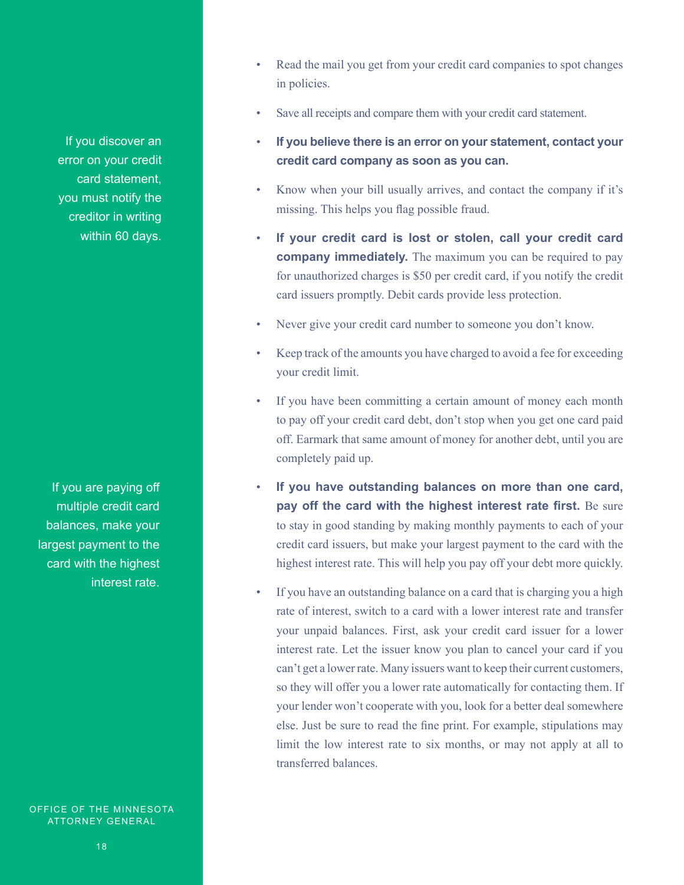If you discover an error on your credit card statement, you must notify the creditor in writing within 60 days.

If you are paying off multiple credit card balances, make your largest payment to the card with the highest interest rate.

- Read the mail you get from your credit card companies to spot changes in policies.
- Save all receipts and compare them with your credit card statement.
- **If you believe there is an error on your statement, contact your credit card company as soon as you can.**
- Know when your bill usually arrives, and contact the company if it's missing. This helps you flag possible fraud.
- **If your credit card is lost or stolen, call your credit card company immediately.** The maximum you can be required to pay for unauthorized charges is \$50 per credit card, if you notify the credit card issuers promptly. Debit cards provide less protection.
- Never give your credit card number to someone you don't know.
- Keep track of the amounts you have charged to avoid a fee for exceeding your credit limit.
- If you have been committing a certain amount of money each month to pay off your credit card debt, don't stop when you get one card paid off. Earmark that same amount of money for another debt, until you are completely paid up.
- **If you have outstanding balances on more than one card, pay off the card with the highest interest rate first.** Be sure to stay in good standing by making monthly payments to each of your credit card issuers, but make your largest payment to the card with the highest interest rate. This will help you pay off your debt more quickly.
- If you have an outstanding balance on a card that is charging you a high rate of interest, switch to a card with a lower interest rate and transfer your unpaid balances. First, ask your credit card issuer for a lower interest rate. Let the issuer know you plan to cancel your card if you can't get a lower rate. Many issuers want to keep their current customers, so they will offer you a lower rate automatically for contacting them. If your lender won't cooperate with you, look for a better deal somewhere else. Just be sure to read the fine print. For example, stipulations may limit the low interest rate to six months, or may not apply at all to transferred balances.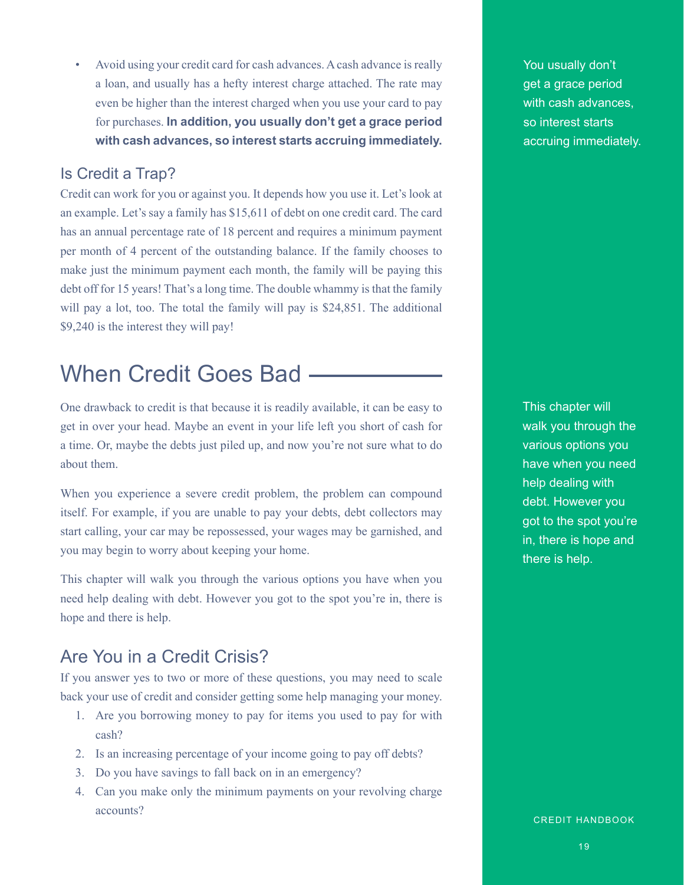• Avoid using your credit card for cash advances. A cash advance is really a loan, and usually has a hefty interest charge attached. The rate may even be higher than the interest charged when you use your card to pay for purchases. **In addition, you usually don't get a grace period with cash advances, so interest starts accruing immediately.**

### Is Credit a Trap?

Credit can work for you or against you. It depends how you use it. Let's look at an example. Let's say a family has \$15,611 of debt on one credit card. The card has an annual percentage rate of 18 percent and requires a minimum payment per month of 4 percent of the outstanding balance. If the family chooses to make just the minimum payment each month, the family will be paying this debt off for 15 years! That's a long time. The double whammy is that the family will pay a lot, too. The total the family will pay is \$24,851. The additional \$9,240 is the interest they will pay!

# When Credit Goes Bad

One drawback to credit is that because it is readily available, it can be easy to get in over your head. Maybe an event in your life left you short of cash for a time. Or, maybe the debts just piled up, and now you're not sure what to do about them.

When you experience a severe credit problem, the problem can compound itself. For example, if you are unable to pay your debts, debt collectors may start calling, your car may be repossessed, your wages may be garnished, and you may begin to worry about keeping your home.

This chapter will walk you through the various options you have when you need help dealing with debt. However you got to the spot you're in, there is hope and there is help.

### Are You in a Credit Crisis?

If you answer yes to two or more of these questions, you may need to scale back your use of credit and consider getting some help managing your money.

- 1. Are you borrowing money to pay for items you used to pay for with cash?
- 2. Is an increasing percentage of your income going to pay off debts?
- 3. Do you have savings to fall back on in an emergency?
- 4. Can you make only the minimum payments on your revolving charge accounts?

You usually don't get a grace period with cash advances, so interest starts accruing immediately.

This chapter will walk you through the various options you have when you need help dealing with debt. However you got to the spot you're in, there is hope and there is help.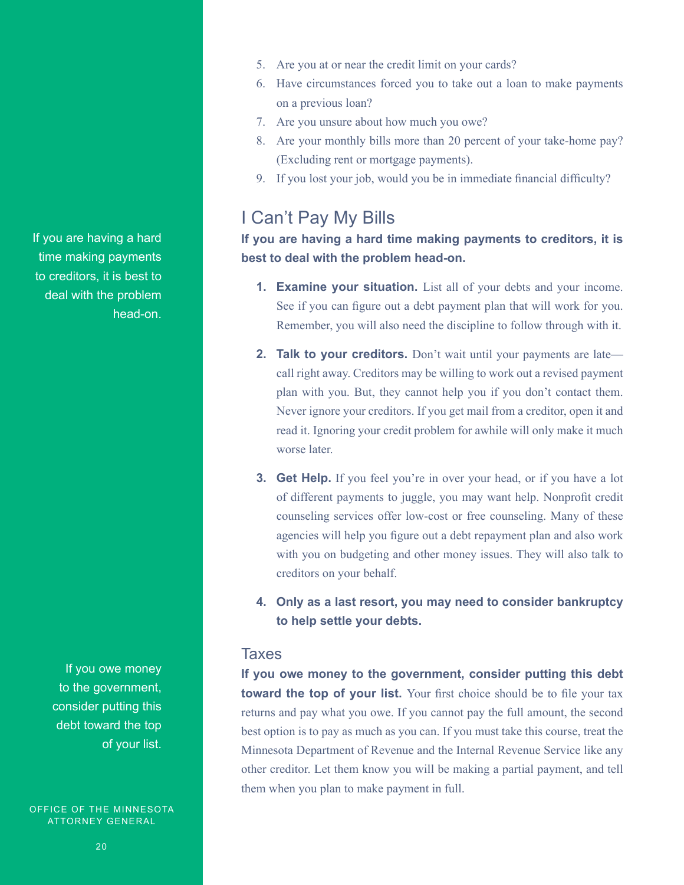If you are having a hard time making payments to creditors, it is best to deal with the problem head-on.

> If you owe money to the government, consider putting this debt toward the top of your list.

OFFICE OF THE MINNESOTA ATTORNEY GENERAL

- 5. Are you at or near the credit limit on your cards?
- 6. Have circumstances forced you to take out a loan to make payments on a previous loan?
- 7. Are you unsure about how much you owe?
- 8. Are your monthly bills more than 20 percent of your take-home pay? (Excluding rent or mortgage payments).
- 9. If you lost your job, would you be in immediate financial difficulty?

### I Can't Pay My Bills

### **If you are having a hard time making payments to creditors, it is best to deal with the problem head-on.**

- **1. Examine your situation.** List all of your debts and your income. See if you can figure out a debt payment plan that will work for you. Remember, you will also need the discipline to follow through with it.
- **2. Talk to your creditors.** Don't wait until your payments are late call right away. Creditors may be willing to work out a revised payment plan with you. But, they cannot help you if you don't contact them. Never ignore your creditors. If you get mail from a creditor, open it and read it. Ignoring your credit problem for awhile will only make it much worse later.
- **3. Get Help.** If you feel you're in over your head, or if you have a lot of different payments to juggle, you may want help. Nonprofit credit counseling services offer low-cost or free counseling. Many of these agencies will help you figure out a debt repayment plan and also work with you on budgeting and other money issues. They will also talk to creditors on your behalf.
- **4. Only as a last resort, you may need to consider bankruptcy to help settle your debts.**

#### **Taxes**

**If you owe money to the government, consider putting this debt toward the top of your list.** Your first choice should be to file your tax returns and pay what you owe. If you cannot pay the full amount, the second best option is to pay as much as you can. If you must take this course, treat the Minnesota Department of Revenue and the Internal Revenue Service like any other creditor. Let them know you will be making a partial payment, and tell them when you plan to make payment in full.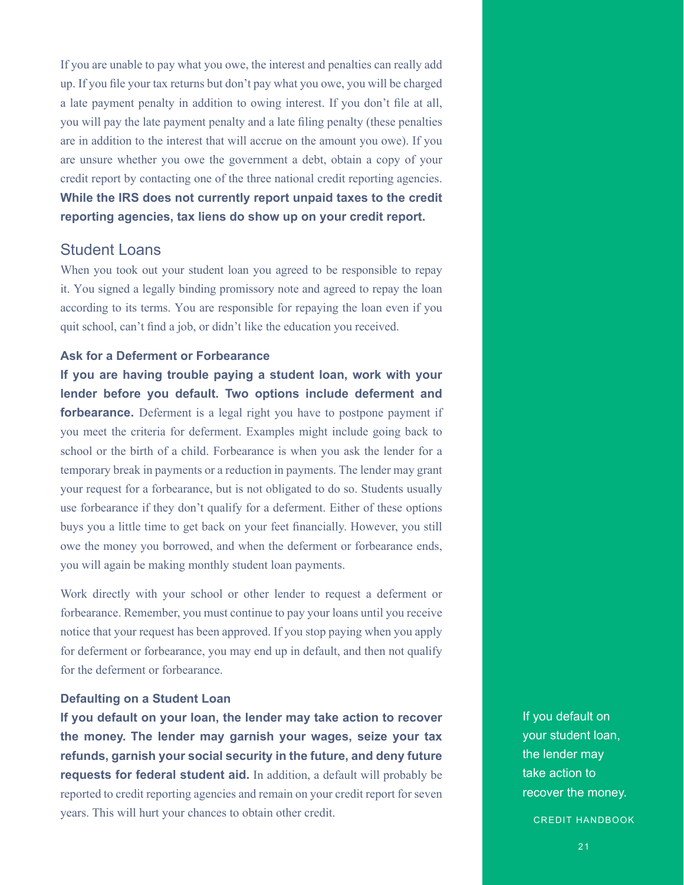If you are unable to pay what you owe, the interest and penalties can really add up. If you file your tax returns but don't pay what you owe, you will be charged a late payment penalty in addition to owing interest. If you don't file at all, you will pay the late payment penalty and a late filing penalty (these penalties are in addition to the interest that will accrue on the amount you owe). If you are unsure whether you owe the government a debt, obtain a copy of your credit report by contacting one of the three national credit reporting agencies. **While the IRS does not currently report unpaid taxes to the credit reporting agencies, tax liens do show up on your credit report.**

#### Student Loans

When you took out your student loan you agreed to be responsible to repay it. You signed a legally binding promissory note and agreed to repay the loan according to its terms. You are responsible for repaying the loan even if you quit school, can't find a job, or didn't like the education you received.

#### **Ask for a Deferment or Forbearance**

**If you are having trouble paying a student loan, work with your lender before you default. Two options include deferment and forbearance.** Deferment is a legal right you have to postpone payment if you meet the criteria for deferment. Examples might include going back to school or the birth of a child. Forbearance is when you ask the lender for a temporary break in payments or a reduction in payments. The lender may grant your request for a forbearance, but is not obligated to do so. Students usually use forbearance if they don't qualify for a deferment. Either of these options buys you a little time to get back on your feet financially. However, you still owe the money you borrowed, and when the deferment or forbearance ends, you will again be making monthly student loan payments.

Work directly with your school or other lender to request a deferment or forbearance. Remember, you must continue to pay your loans until you receive notice that your request has been approved. If you stop paying when you apply for deferment or forbearance, you may end up in default, and then not qualify for the deferment or forbearance.

#### **Defaulting on a Student Loan**

**If you default on your loan, the lender may take action to recover the money. The lender may garnish your wages, seize your tax refunds, garnish your social security in the future, and deny future requests for federal student aid.** In addition, a default will probably be reported to credit reporting agencies and remain on your credit report for seven years. This will hurt your chances to obtain other credit.

If you default on your student loan, the lender may take action to recover the money.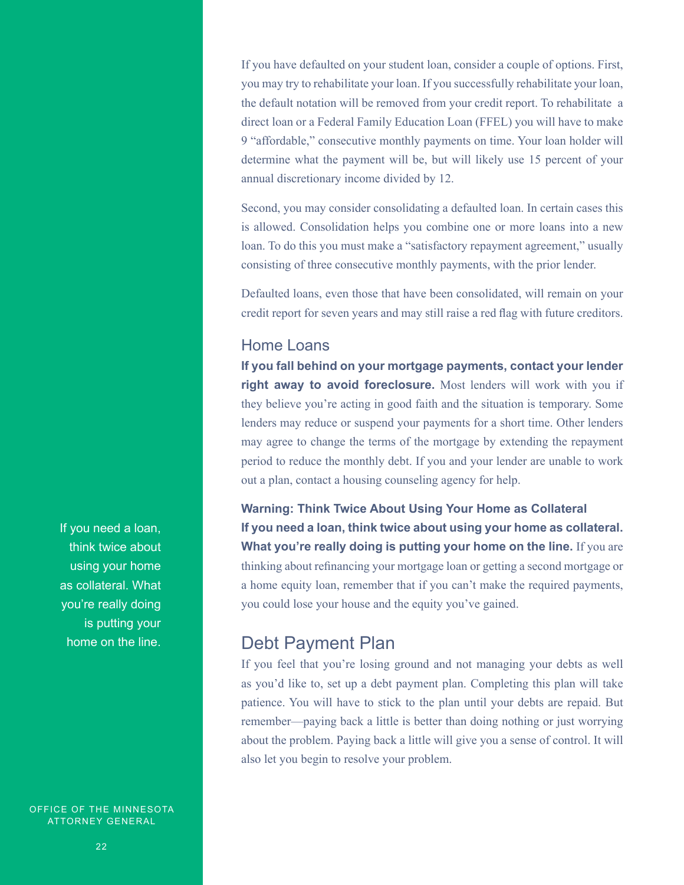If you have defaulted on your student loan, consider a couple of options. First, you may try to rehabilitate your loan. If you successfully rehabilitate your loan, the default notation will be removed from your credit report. To rehabilitate a direct loan or a Federal Family Education Loan (FFEL) you will have to make 9 "affordable," consecutive monthly payments on time. Your loan holder will determine what the payment will be, but will likely use 15 percent of your annual discretionary income divided by 12.

Second, you may consider consolidating a defaulted loan. In certain cases this is allowed. Consolidation helps you combine one or more loans into a new loan. To do this you must make a "satisfactory repayment agreement," usually consisting of three consecutive monthly payments, with the prior lender.

Defaulted loans, even those that have been consolidated, will remain on your credit report for seven years and may still raise a red flag with future creditors.

### Home Loans

**If you fall behind on your mortgage payments, contact your lender right away to avoid foreclosure.** Most lenders will work with you if they believe you're acting in good faith and the situation is temporary. Some lenders may reduce or suspend your payments for a short time. Other lenders may agree to change the terms of the mortgage by extending the repayment period to reduce the monthly debt. If you and your lender are unable to work out a plan, contact a housing counseling agency for help.

**Warning: Think Twice About Using Your Home as Collateral If you need a loan, think twice about using your home as collateral. What you're really doing is putting your home on the line.** If you are thinking about refinancing your mortgage loan or getting a second mortgage or a home equity loan, remember that if you can't make the required payments, you could lose your house and the equity you've gained.

### Debt Payment Plan

If you feel that you're losing ground and not managing your debts as well as you'd like to, set up a debt payment plan. Completing this plan will take patience. You will have to stick to the plan until your debts are repaid. But remember—paying back a little is better than doing nothing or just worrying about the problem. Paying back a little will give you a sense of control. It will also let you begin to resolve your problem.

If you need a loan, think twice about using your home as collateral. What you're really doing is putting your home on the line.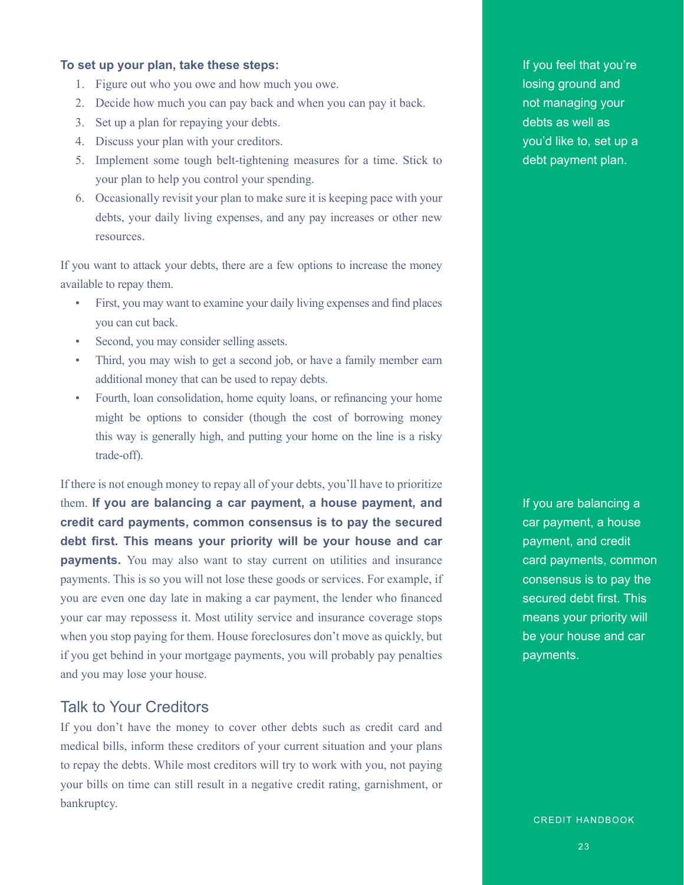#### **To set up your plan, take these steps:**

- 1. Figure out who you owe and how much you owe.
- 2. Decide how much you can pay back and when you can pay it back.
- 3. Set up a plan for repaying your debts.
- 4. Discuss your plan with your creditors.
- 5. Implement some tough belt-tightening measures for a time. Stick to your plan to help you control your spending.
- 6. Occasionally revisit your plan to make sure it is keeping pace with your debts, your daily living expenses, and any pay increases or other new resources.

If you want to attack your debts, there are a few options to increase the money available to repay them.

- First, you may want to examine your daily living expenses and find places you can cut back.
- Second, you may consider selling assets.
- Third, you may wish to get a second job, or have a family member earn additional money that can be used to repay debts.
- Fourth, loan consolidation, home equity loans, or refinancing your home might be options to consider (though the cost of borrowing money this way is generally high, and putting your home on the line is a risky trade-off).

If there is not enough money to repay all of your debts, you'll have to prioritize them. **If you are balancing a car payment, a house payment, and credit card payments, common consensus is to pay the secured debt first. This means your priority will be your house and car payments.** You may also want to stay current on utilities and insurance payments. This is so you will not lose these goods or services. For example, if you are even one day late in making a car payment, the lender who financed your car may repossess it. Most utility service and insurance coverage stops when you stop paying for them. House foreclosures don't move as quickly, but if you get behind in your mortgage payments, you will probably pay penalties and you may lose your house.

#### Talk to Your Creditors

If you don't have the money to cover other debts such as credit card and medical bills, inform these creditors of your current situation and your plans to repay the debts. While most creditors will try to work with you, not paying your bills on time can still result in a negative credit rating, garnishment, or bankruptcy.

If you feel that you're losing ground and not managing your debts as well as you'd like to, set up a debt payment plan.

If you are balancing a car payment, a house payment, and credit card payments, common consensus is to pay the secured debt first. This means your priority will be your house and car payments.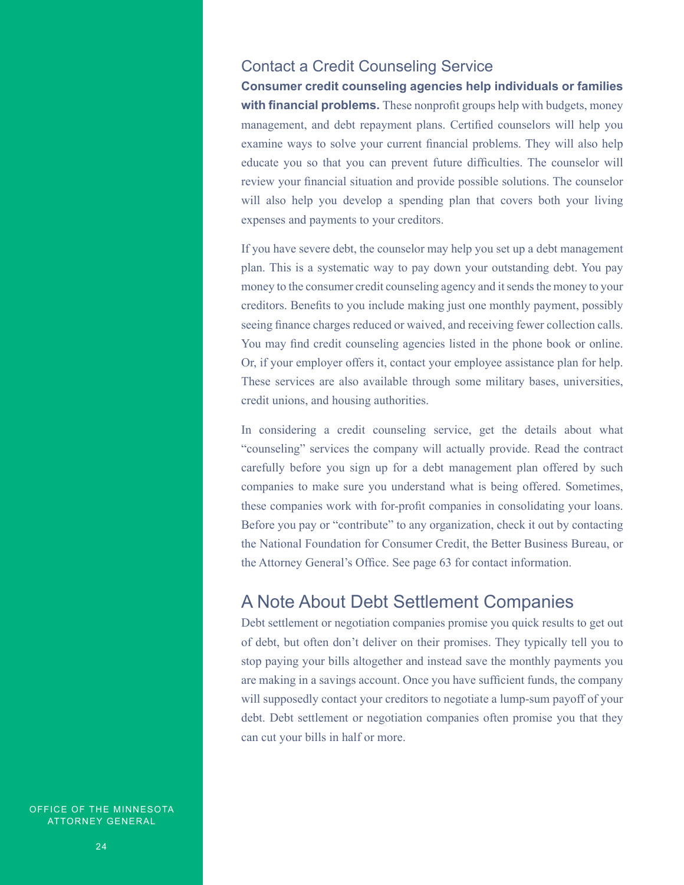### Contact a Credit Counseling Service

**Consumer credit counseling agencies help individuals or families with financial problems.** These nonprofit groups help with budgets, money management, and debt repayment plans. Certified counselors will help you examine ways to solve your current financial problems. They will also help educate you so that you can prevent future difficulties. The counselor will review your financial situation and provide possible solutions. The counselor will also help you develop a spending plan that covers both your living expenses and payments to your creditors.

If you have severe debt, the counselor may help you set up a debt management plan. This is a systematic way to pay down your outstanding debt. You pay money to the consumer credit counseling agency and it sends the money to your creditors. Benefits to you include making just one monthly payment, possibly seeing finance charges reduced or waived, and receiving fewer collection calls. You may find credit counseling agencies listed in the phone book or online. Or, if your employer offers it, contact your employee assistance plan for help. These services are also available through some military bases, universities, credit unions, and housing authorities.

In considering a credit counseling service, get the details about what "counseling" services the company will actually provide. Read the contract carefully before you sign up for a debt management plan offered by such companies to make sure you understand what is being offered. Sometimes, these companies work with for-profit companies in consolidating your loans. Before you pay or "contribute" to any organization, check it out by contacting the National Foundation for Consumer Credit, the Better Business Bureau, or the Attorney General's Office. See page 63 for contact information.

### A Note About Debt Settlement Companies

Debt settlement or negotiation companies promise you quick results to get out of debt, but often don't deliver on their promises. They typically tell you to stop paying your bills altogether and instead save the monthly payments you are making in a savings account. Once you have sufficient funds, the company will supposedly contact your creditors to negotiate a lump-sum payoff of your debt. Debt settlement or negotiation companies often promise you that they can cut your bills in half or more.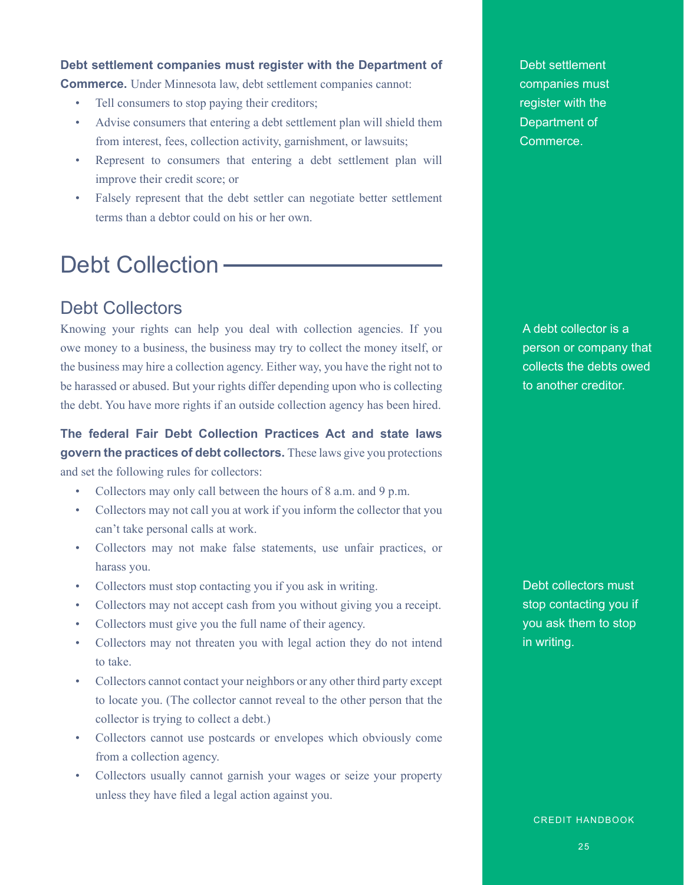#### **Debt settlement companies must register with the Department of**

**Commerce.** Under Minnesota law, debt settlement companies cannot:

- Tell consumers to stop paying their creditors;
- Advise consumers that entering a debt settlement plan will shield them from interest, fees, collection activity, garnishment, or lawsuits;
- Represent to consumers that entering a debt settlement plan will improve their credit score; or
- Falsely represent that the debt settler can negotiate better settlement terms than a debtor could on his or her own.

# Debt Collection -

### Debt Collectors

Knowing your rights can help you deal with collection agencies. If you owe money to a business, the business may try to collect the money itself, or the business may hire a collection agency. Either way, you have the right not to be harassed or abused. But your rights differ depending upon who is collecting the debt. You have more rights if an outside collection agency has been hired.

**The federal Fair Debt Collection Practices Act and state laws govern the practices of debt collectors.** These laws give you protections and set the following rules for collectors:

- Collectors may only call between the hours of 8 a.m. and 9 p.m.
- Collectors may not call you at work if you inform the collector that you can't take personal calls at work.
- Collectors may not make false statements, use unfair practices, or harass you.
- Collectors must stop contacting you if you ask in writing.
- Collectors may not accept cash from you without giving you a receipt.
- Collectors must give you the full name of their agency.
- Collectors may not threaten you with legal action they do not intend to take.
- Collectors cannot contact your neighbors or any other third party except to locate you. (The collector cannot reveal to the other person that the collector is trying to collect a debt.)
- Collectors cannot use postcards or envelopes which obviously come from a collection agency.
- Collectors usually cannot garnish your wages or seize your property unless they have filed a legal action against you.

Debt settlement companies must register with the Department of Commerce.

A debt collector is a person or company that collects the debts owed to another creditor.

Debt collectors must stop contacting you if you ask them to stop in writing.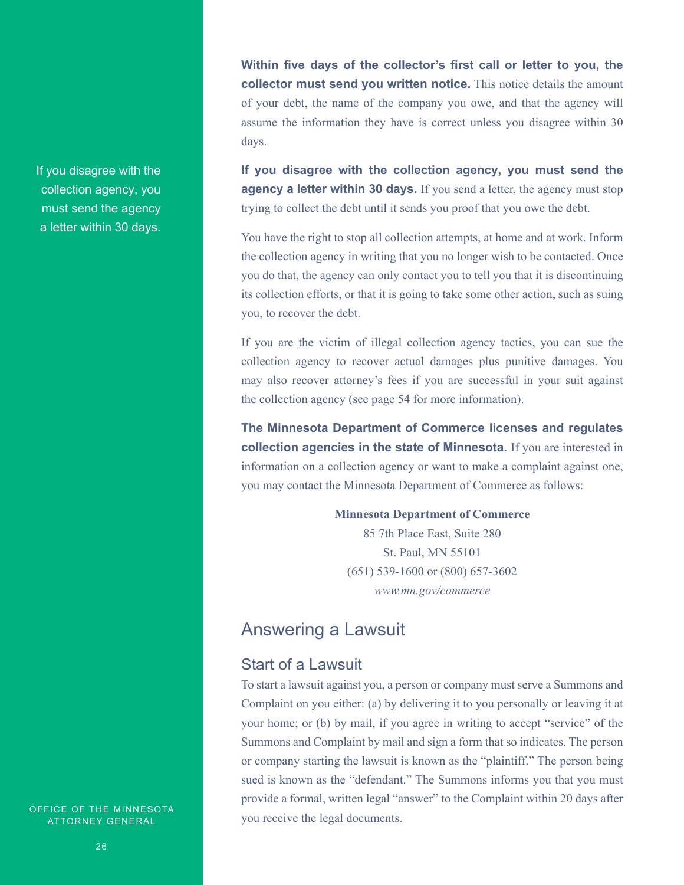If you disagree with the collection agency, you must send the agency a letter within 30 days.

**Within five days of the collector's first call or letter to you, the collector must send you written notice.** This notice details the amount of your debt, the name of the company you owe, and that the agency will assume the information they have is correct unless you disagree within 30 days.

**If you disagree with the collection agency, you must send the agency a letter within 30 days.** If you send a letter, the agency must stop trying to collect the debt until it sends you proof that you owe the debt.

You have the right to stop all collection attempts, at home and at work. Inform the collection agency in writing that you no longer wish to be contacted. Once you do that, the agency can only contact you to tell you that it is discontinuing its collection efforts, or that it is going to take some other action, such as suing you, to recover the debt.

If you are the victim of illegal collection agency tactics, you can sue the collection agency to recover actual damages plus punitive damages. You may also recover attorney's fees if you are successful in your suit against the collection agency (see page 54 for more information).

**The Minnesota Department of Commerce licenses and regulates collection agencies in the state of Minnesota.** If you are interested in information on a collection agency or want to make a complaint against one, you may contact the Minnesota Department of Commerce as follows:

> **Minnesota Department of Commerce** 85 7th Place East, Suite 280 St. Paul, MN 55101 (651) 539-1600 or (800) 657-3602 *www.mn.gov/commerce*

### Answering a Lawsuit

### Start of a Lawsuit

To start a lawsuit against you, a person or company must serve a Summons and Complaint on you either: (a) by delivering it to you personally or leaving it at your home; or (b) by mail, if you agree in writing to accept "service" of the Summons and Complaint by mail and sign a form that so indicates. The person or company starting the lawsuit is known as the "plaintiff." The person being sued is known as the "defendant." The Summons informs you that you must provide a formal, written legal "answer" to the Complaint within 20 days after you receive the legal documents.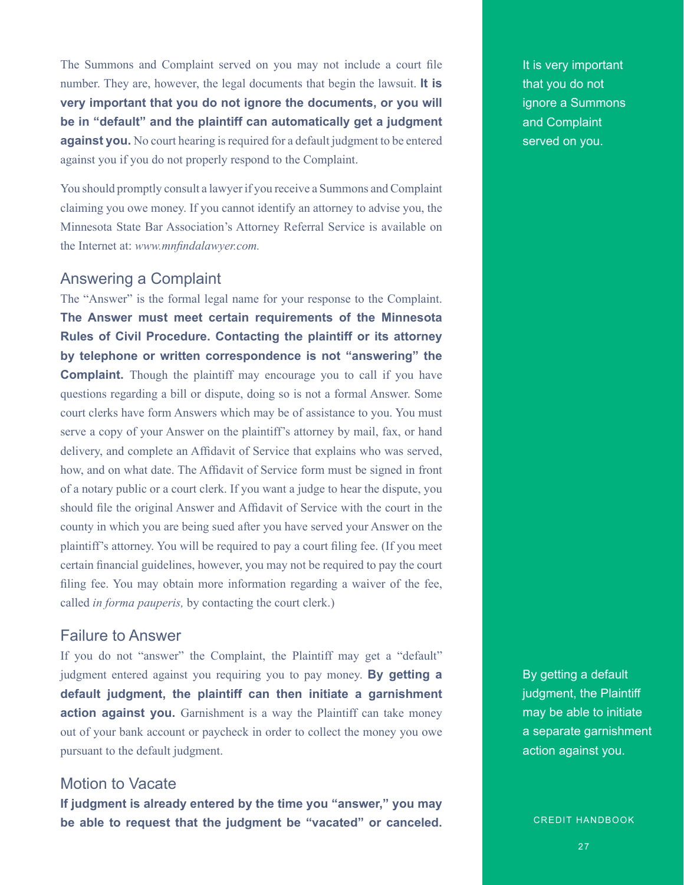The Summons and Complaint served on you may not include a court file number. They are, however, the legal documents that begin the lawsuit. **It is very important that you do not ignore the documents, or you will be in "default" and the plaintiff can automatically get a judgment against you.** No court hearing is required for a default judgment to be entered against you if you do not properly respond to the Complaint.

You should promptly consult a lawyer if you receive a Summons and Complaint claiming you owe money. If you cannot identify an attorney to advise you, the Minnesota State Bar Association's Attorney Referral Service is available on the Internet at: *www.mnfindalawyer.com.*

### Answering a Complaint

The "Answer" is the formal legal name for your response to the Complaint. **The Answer must meet certain requirements of the Minnesota Rules of Civil Procedure. Contacting the plaintiff or its attorney by telephone or written correspondence is not "answering" the Complaint.** Though the plaintiff may encourage you to call if you have questions regarding a bill or dispute, doing so is not a formal Answer. Some court clerks have form Answers which may be of assistance to you. You must serve a copy of your Answer on the plaintiff's attorney by mail, fax, or hand delivery, and complete an Affidavit of Service that explains who was served, how, and on what date. The Affidavit of Service form must be signed in front of a notary public or a court clerk. If you want a judge to hear the dispute, you should file the original Answer and Affidavit of Service with the court in the county in which you are being sued after you have served your Answer on the plaintiff's attorney. You will be required to pay a court filing fee. (If you meet certain financial guidelines, however, you may not be required to pay the court filing fee. You may obtain more information regarding a waiver of the fee, called *in forma pauperis,* by contacting the court clerk.)

#### Failure to Answer

If you do not "answer" the Complaint, the Plaintiff may get a "default" judgment entered against you requiring you to pay money. **By getting a default judgment, the plaintiff can then initiate a garnishment**  action against you. Garnishment is a way the Plaintiff can take money out of your bank account or paycheck in order to collect the money you owe pursuant to the default judgment.

### Motion to Vacate

**If judgment is already entered by the time you "answer," you may be able to request that the judgment be "vacated" or canceled.**  It is very important that you do not ignore a Summons and Complaint served on you.

By getting a default judgment, the Plaintiff may be able to initiate a separate garnishment action against you.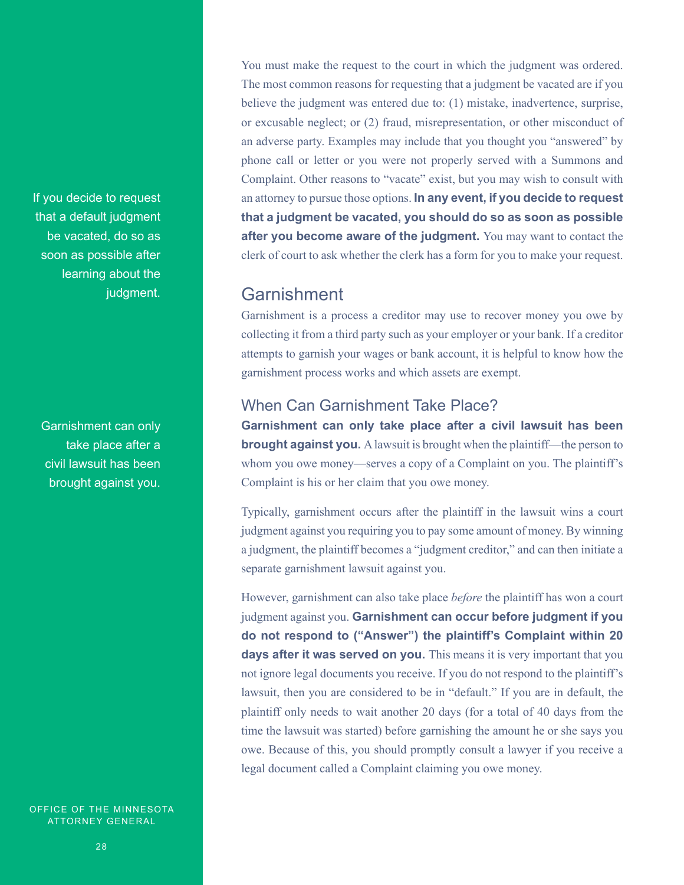If you decide to request that a default judgment be vacated, do so as soon as possible after learning about the judgment.

Garnishment can only take place after a civil lawsuit has been brought against you.

OFFICE OF THE MINNESOTA ATTORNEY GENERAL

You must make the request to the court in which the judgment was ordered. The most common reasons for requesting that a judgment be vacated are if you believe the judgment was entered due to: (1) mistake, inadvertence, surprise, or excusable neglect; or (2) fraud, misrepresentation, or other misconduct of an adverse party. Examples may include that you thought you "answered" by phone call or letter or you were not properly served with a Summons and Complaint. Other reasons to "vacate" exist, but you may wish to consult with an attorney to pursue those options. **In any event, if you decide to request that a judgment be vacated, you should do so as soon as possible after you become aware of the judgment.** You may want to contact the clerk of court to ask whether the clerk has a form for you to make your request.

### Garnishment

Garnishment is a process a creditor may use to recover money you owe by collecting it from a third party such as your employer or your bank. If a creditor attempts to garnish your wages or bank account, it is helpful to know how the garnishment process works and which assets are exempt.

### When Can Garnishment Take Place?

**Garnishment can only take place after a civil lawsuit has been brought against you.** A lawsuit is brought when the plaintiff—the person to whom you owe money—serves a copy of a Complaint on you. The plaintiff's Complaint is his or her claim that you owe money.

Typically, garnishment occurs after the plaintiff in the lawsuit wins a court judgment against you requiring you to pay some amount of money. By winning a judgment, the plaintiff becomes a "judgment creditor," and can then initiate a separate garnishment lawsuit against you.

However, garnishment can also take place *before* the plaintiff has won a court judgment against you. **Garnishment can occur before judgment if you do not respond to ("Answer") the plaintiff's Complaint within 20 days after it was served on you.** This means it is very important that you not ignore legal documents you receive. If you do not respond to the plaintiff's lawsuit, then you are considered to be in "default." If you are in default, the plaintiff only needs to wait another 20 days (for a total of 40 days from the time the lawsuit was started) before garnishing the amount he or she says you owe. Because of this, you should promptly consult a lawyer if you receive a legal document called a Complaint claiming you owe money.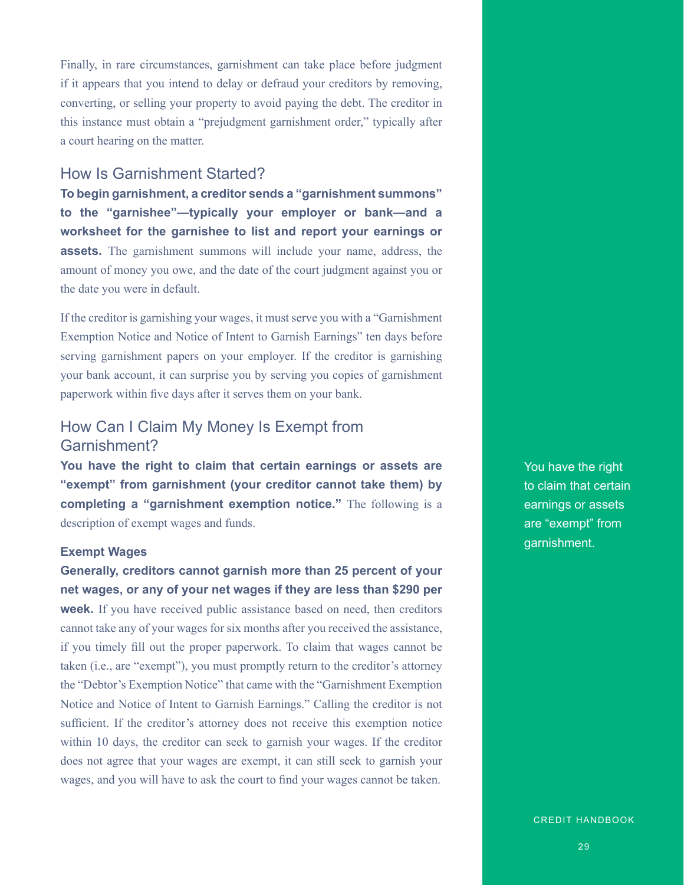Finally, in rare circumstances, garnishment can take place before judgment if it appears that you intend to delay or defraud your creditors by removing, converting, or selling your property to avoid paying the debt. The creditor in this instance must obtain a "prejudgment garnishment order," typically after a court hearing on the matter.

### How Is Garnishment Started?

**To begin garnishment, a creditor sends a "garnishment summons" to the "garnishee"—typically your employer or bank—and a worksheet for the garnishee to list and report your earnings or assets.** The garnishment summons will include your name, address, the amount of money you owe, and the date of the court judgment against you or the date you were in default.

If the creditor is garnishing your wages, it must serve you with a "Garnishment Exemption Notice and Notice of Intent to Garnish Earnings" ten days before serving garnishment papers on your employer. If the creditor is garnishing your bank account, it can surprise you by serving you copies of garnishment paperwork within five days after it serves them on your bank.

### How Can I Claim My Money Is Exempt from Garnishment?

**You have the right to claim that certain earnings or assets are "exempt" from garnishment (your creditor cannot take them) by completing a "garnishment exemption notice."** The following is a description of exempt wages and funds.

#### **Exempt Wages**

**Generally, creditors cannot garnish more than 25 percent of your net wages, or any of your net wages if they are less than \$290 per week.** If you have received public assistance based on need, then creditors cannot take any of your wages for six months after you received the assistance, if you timely fill out the proper paperwork. To claim that wages cannot be taken (i.e., are "exempt"), you must promptly return to the creditor's attorney the "Debtor's Exemption Notice" that came with the "Garnishment Exemption Notice and Notice of Intent to Garnish Earnings." Calling the creditor is not sufficient. If the creditor's attorney does not receive this exemption notice within 10 days, the creditor can seek to garnish your wages. If the creditor does not agree that your wages are exempt, it can still seek to garnish your wages, and you will have to ask the court to find your wages cannot be taken.

You have the right to claim that certain earnings or assets are "exempt" from garnishment.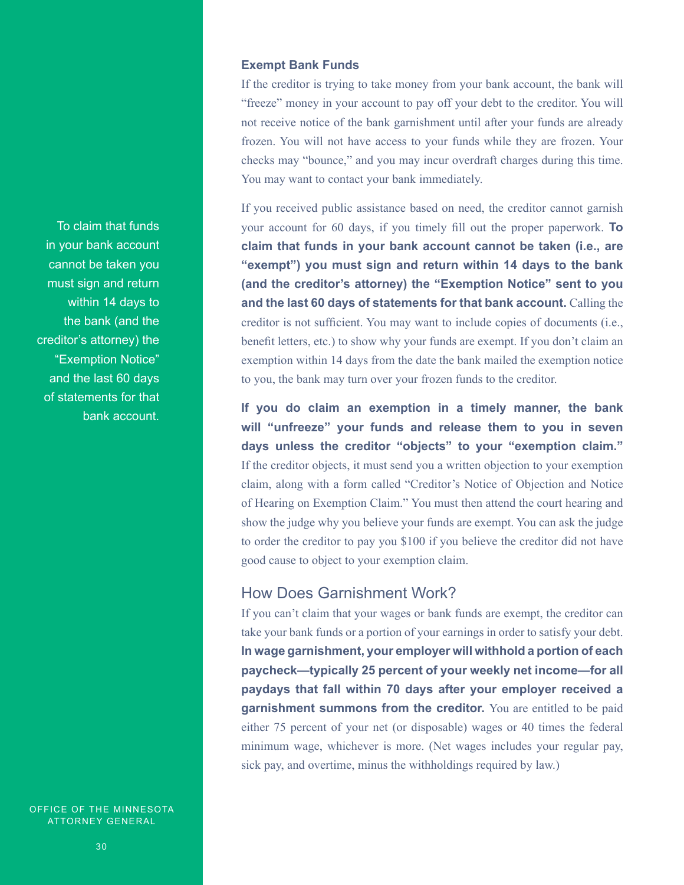#### **Exempt Bank Funds**

If the creditor is trying to take money from your bank account, the bank will "freeze" money in your account to pay off your debt to the creditor. You will not receive notice of the bank garnishment until after your funds are already frozen. You will not have access to your funds while they are frozen. Your checks may "bounce," and you may incur overdraft charges during this time. You may want to contact your bank immediately.

If you received public assistance based on need, the creditor cannot garnish your account for 60 days, if you timely fill out the proper paperwork. **To claim that funds in your bank account cannot be taken (i.e., are "exempt") you must sign and return within 14 days to the bank (and the creditor's attorney) the "Exemption Notice" sent to you and the last 60 days of statements for that bank account.** Calling the creditor is not sufficient. You may want to include copies of documents (i.e., benefit letters, etc.) to show why your funds are exempt. If you don't claim an exemption within 14 days from the date the bank mailed the exemption notice to you, the bank may turn over your frozen funds to the creditor.

**If you do claim an exemption in a timely manner, the bank will "unfreeze" your funds and release them to you in seven days unless the creditor "objects" to your "exemption claim."**  If the creditor objects, it must send you a written objection to your exemption claim, along with a form called "Creditor's Notice of Objection and Notice of Hearing on Exemption Claim." You must then attend the court hearing and show the judge why you believe your funds are exempt. You can ask the judge to order the creditor to pay you \$100 if you believe the creditor did not have good cause to object to your exemption claim.

#### How Does Garnishment Work?

If you can't claim that your wages or bank funds are exempt, the creditor can take your bank funds or a portion of your earnings in order to satisfy your debt. **In wage garnishment, your employer will withhold a portion of each paycheck—typically 25 percent of your weekly net income—for all paydays that fall within 70 days after your employer received a garnishment summons from the creditor.** You are entitled to be paid either 75 percent of your net (or disposable) wages or 40 times the federal minimum wage, whichever is more. (Net wages includes your regular pay, sick pay, and overtime, minus the withholdings required by law.)

To claim that funds in your bank account cannot be taken you must sign and return within 14 days to the bank (and the creditor's attorney) the "Exemption Notice" and the last 60 days of statements for that bank account.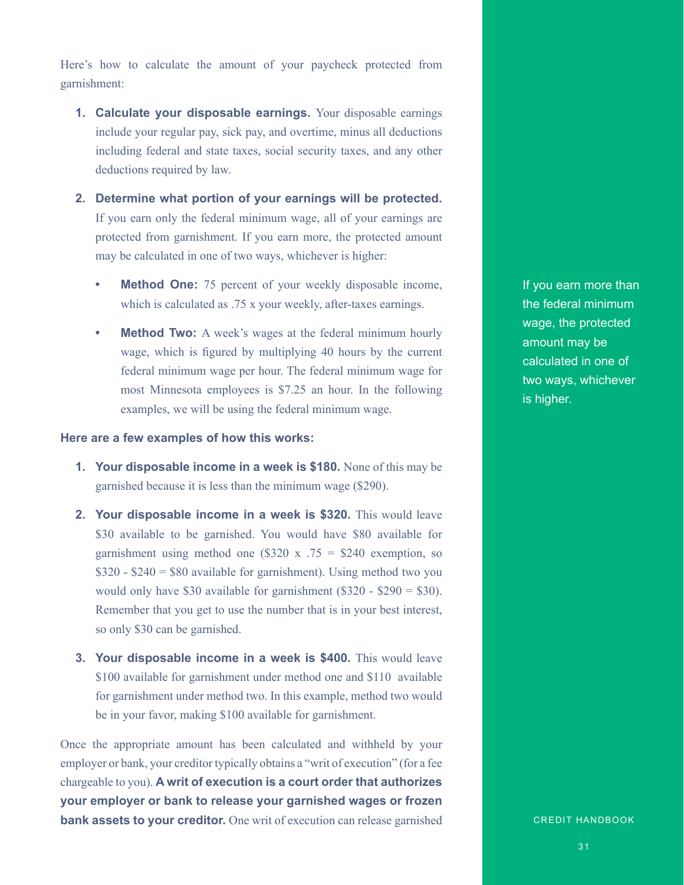Here's how to calculate the amount of your paycheck protected from garnishment:

- **1. Calculate your disposable earnings.** Your disposable earnings include your regular pay, sick pay, and overtime, minus all deductions including federal and state taxes, social security taxes, and any other deductions required by law.
- **2. Determine what portion of your earnings will be protected.**  If you earn only the federal minimum wage, all of your earnings are protected from garnishment. If you earn more, the protected amount may be calculated in one of two ways, whichever is higher:
	- **Method One:** 75 percent of your weekly disposable income, which is calculated as .75 x your weekly, after-taxes earnings.
	- **Method Two:** A week's wages at the federal minimum hourly wage, which is figured by multiplying 40 hours by the current federal minimum wage per hour. The federal minimum wage for most Minnesota employees is \$7.25 an hour. In the following examples, we will be using the federal minimum wage.

#### **Here are a few examples of how this works:**

- **1. Your disposable income in a week is \$180.** None of this may be garnished because it is less than the minimum wage (\$290).
- **2. Your disposable income in a week is \$320.** This would leave \$30 available to be garnished. You would have \$80 available for garnishment using method one  $(\$320 x .75 = \$240$  exemption, so  $$320 - $240 = $80$  available for garnishment). Using method two you would only have \$30 available for garnishment (\$320 - \$290 = \$30). Remember that you get to use the number that is in your best interest, so only \$30 can be garnished.
- **3. Your disposable income in a week is \$400.** This would leave \$100 available for garnishment under method one and \$110 available for garnishment under method two. In this example, method two would be in your favor, making \$100 available for garnishment.

Once the appropriate amount has been calculated and withheld by your employer or bank, your creditor typically obtains a "writ of execution" (for a fee chargeable to you). **A writ of execution is a court order that authorizes your employer or bank to release your garnished wages or frozen bank assets to your creditor.** One writ of execution can release garnished

If you earn more than the federal minimum wage, the protected amount may be calculated in one of two ways, whichever is higher.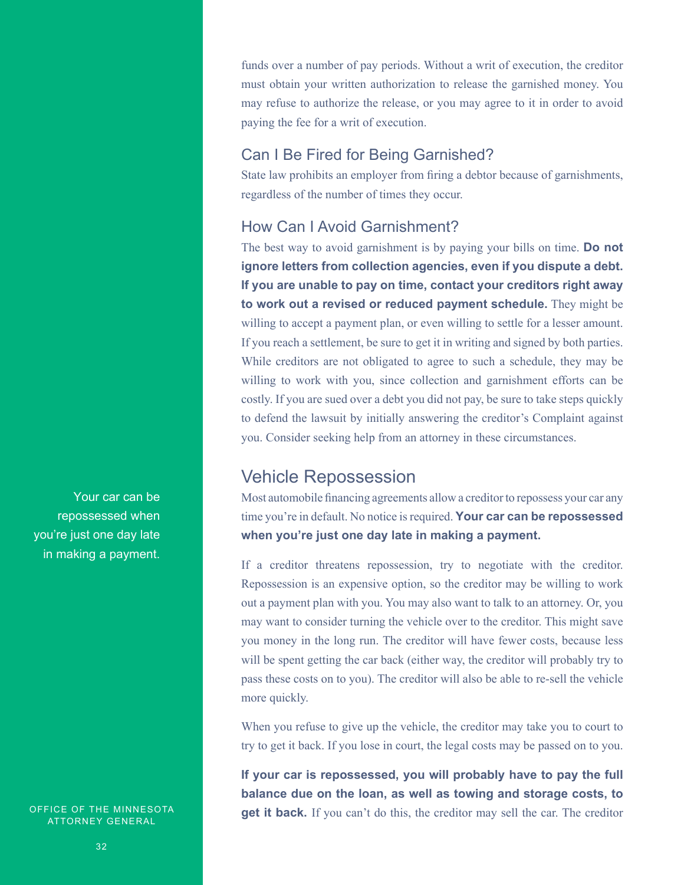funds over a number of pay periods. Without a writ of execution, the creditor must obtain your written authorization to release the garnished money. You may refuse to authorize the release, or you may agree to it in order to avoid paying the fee for a writ of execution.

### Can I Be Fired for Being Garnished?

State law prohibits an employer from firing a debtor because of garnishments, regardless of the number of times they occur.

### How Can I Avoid Garnishment?

The best way to avoid garnishment is by paying your bills on time. **Do not ignore letters from collection agencies, even if you dispute a debt. If you are unable to pay on time, contact your creditors right away to work out a revised or reduced payment schedule.** They might be willing to accept a payment plan, or even willing to settle for a lesser amount. If you reach a settlement, be sure to get it in writing and signed by both parties. While creditors are not obligated to agree to such a schedule, they may be willing to work with you, since collection and garnishment efforts can be costly. If you are sued over a debt you did not pay, be sure to take steps quickly to defend the lawsuit by initially answering the creditor's Complaint against you. Consider seeking help from an attorney in these circumstances.

### Vehicle Repossession

Most automobile financing agreements allow a creditor to repossess your car any time you're in default. No notice is required. **Your car can be repossessed when you're just one day late in making a payment.** 

If a creditor threatens repossession, try to negotiate with the creditor. Repossession is an expensive option, so the creditor may be willing to work out a payment plan with you. You may also want to talk to an attorney. Or, you may want to consider turning the vehicle over to the creditor. This might save you money in the long run. The creditor will have fewer costs, because less will be spent getting the car back (either way, the creditor will probably try to pass these costs on to you). The creditor will also be able to re-sell the vehicle more quickly.

When you refuse to give up the vehicle, the creditor may take you to court to try to get it back. If you lose in court, the legal costs may be passed on to you.

**If your car is repossessed, you will probably have to pay the full balance due on the loan, as well as towing and storage costs, to get it back.** If you can't do this, the creditor may sell the car. The creditor

Your car can be repossessed when you're just one day late in making a payment.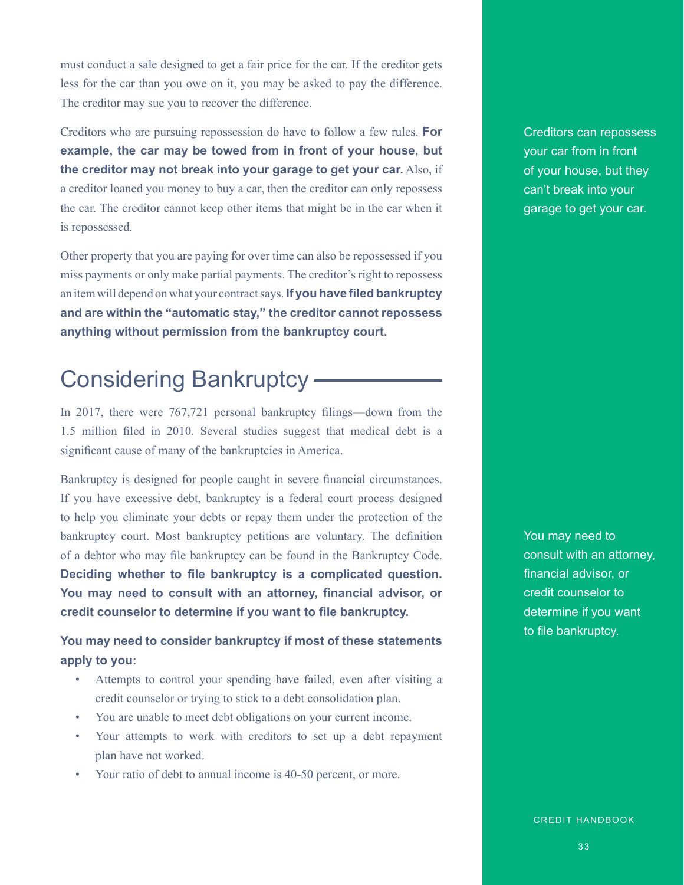must conduct a sale designed to get a fair price for the car. If the creditor gets less for the car than you owe on it, you may be asked to pay the difference. The creditor may sue you to recover the difference.

Creditors who are pursuing repossession do have to follow a few rules. **For example, the car may be towed from in front of your house, but the creditor may not break into your garage to get your car.** Also, if a creditor loaned you money to buy a car, then the creditor can only repossess the car. The creditor cannot keep other items that might be in the car when it is repossessed.

Other property that you are paying for over time can also be repossessed if you miss payments or only make partial payments. The creditor's right to repossess an item will depend on what your contract says. **If you have filed bankruptcy and are within the "automatic stay," the creditor cannot repossess anything without permission from the bankruptcy court.**

# Considering Bankruptcy

In 2017, there were 767,721 personal bankruptcy filings—down from the 1.5 million filed in 2010. Several studies suggest that medical debt is a significant cause of many of the bankruptcies in America.

Bankruptcy is designed for people caught in severe financial circumstances. If you have excessive debt, bankruptcy is a federal court process designed to help you eliminate your debts or repay them under the protection of the bankruptcy court. Most bankruptcy petitions are voluntary. The definition of a debtor who may file bankruptcy can be found in the Bankruptcy Code. **Deciding whether to file bankruptcy is a complicated question. You may need to consult with an attorney, financial advisor, or credit counselor to determine if you want to file bankruptcy.**

**You may need to consider bankruptcy if most of these statements apply to you:**

- Attempts to control your spending have failed, even after visiting a credit counselor or trying to stick to a debt consolidation plan.
- You are unable to meet debt obligations on your current income.
- Your attempts to work with creditors to set up a debt repayment plan have not worked.
- Your ratio of debt to annual income is 40-50 percent, or more.

Creditors can repossess your car from in front of your house, but they can't break into your garage to get your car.

You may need to consult with an attorney, financial advisor, or credit counselor to determine if you want to file bankruptcy.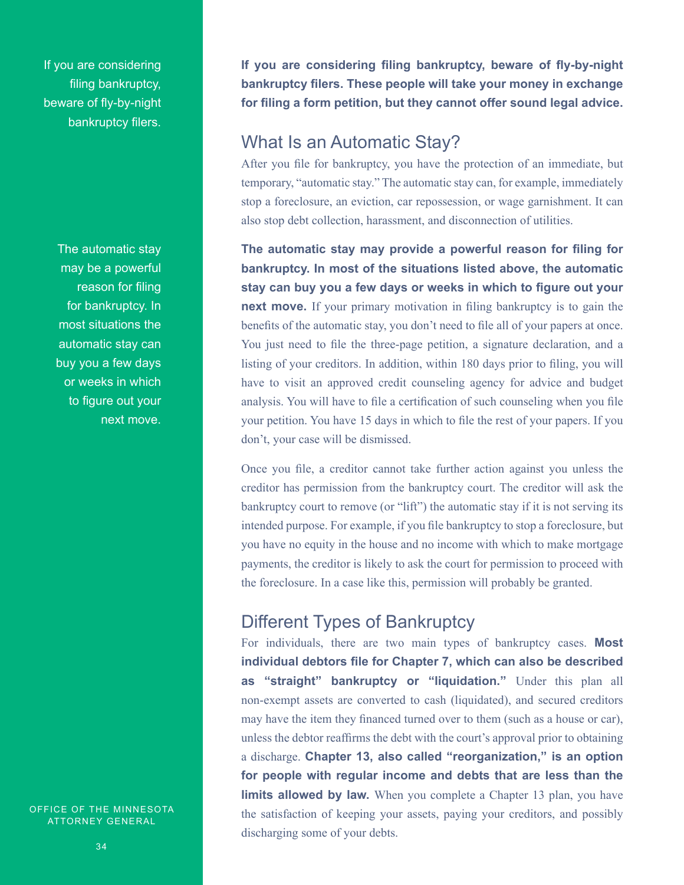If you are considering filing bankruptcy, beware of fly-by-night bankruptcy filers.

> The automatic stay may be a powerful reason for filing for bankruptcy. In most situations the automatic stay can buy you a few days or weeks in which to figure out your next move.

OFFICE OF THE MINNESOTA ATTORNEY GENERAL

### What Is an Automatic Stay?

After you file for bankruptcy, you have the protection of an immediate, but temporary, "automatic stay." The automatic stay can, for example, immediately stop a foreclosure, an eviction, car repossession, or wage garnishment. It can also stop debt collection, harassment, and disconnection of utilities.

**The automatic stay may provide a powerful reason for filing for bankruptcy. In most of the situations listed above, the automatic stay can buy you a few days or weeks in which to figure out your next move.** If your primary motivation in filing bankruptcy is to gain the benefits of the automatic stay, you don't need to file all of your papers at once. You just need to file the three-page petition, a signature declaration, and a listing of your creditors. In addition, within 180 days prior to filing, you will have to visit an approved credit counseling agency for advice and budget analysis. You will have to file a certification of such counseling when you file your petition. You have 15 days in which to file the rest of your papers. If you don't, your case will be dismissed.

Once you file, a creditor cannot take further action against you unless the creditor has permission from the bankruptcy court. The creditor will ask the bankruptcy court to remove (or "lift") the automatic stay if it is not serving its intended purpose. For example, if you file bankruptcy to stop a foreclosure, but you have no equity in the house and no income with which to make mortgage payments, the creditor is likely to ask the court for permission to proceed with the foreclosure. In a case like this, permission will probably be granted.

### Different Types of Bankruptcy

For individuals, there are two main types of bankruptcy cases. **Most individual debtors file for Chapter 7, which can also be described as "straight" bankruptcy or "liquidation."** Under this plan all non-exempt assets are converted to cash (liquidated), and secured creditors may have the item they financed turned over to them (such as a house or car), unless the debtor reaffirms the debt with the court's approval prior to obtaining a discharge. **Chapter 13, also called "reorganization," is an option for people with regular income and debts that are less than the limits allowed by law.** When you complete a Chapter 13 plan, you have the satisfaction of keeping your assets, paying your creditors, and possibly discharging some of your debts.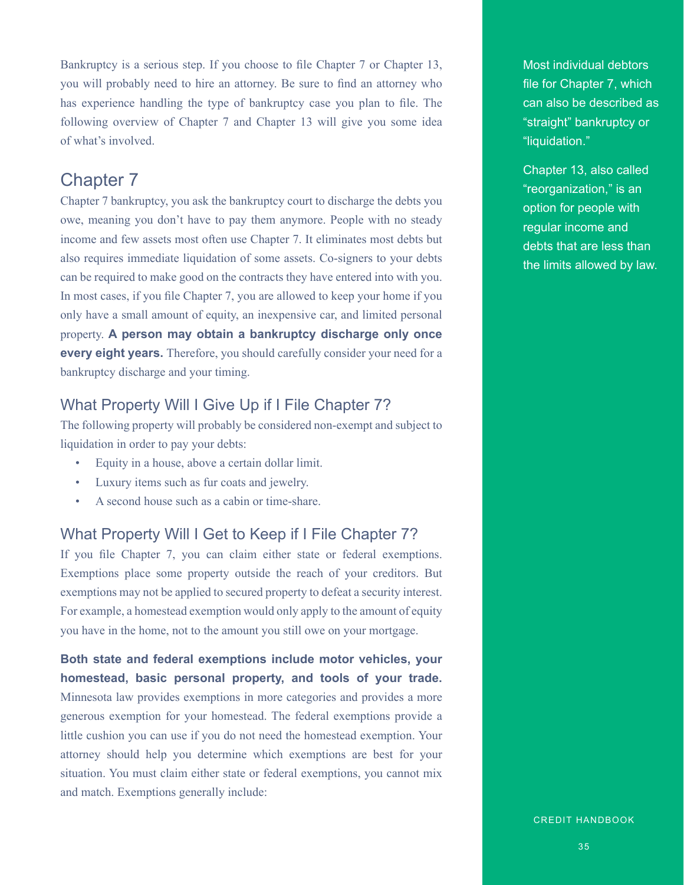Bankruptcy is a serious step. If you choose to file Chapter 7 or Chapter 13, you will probably need to hire an attorney. Be sure to find an attorney who has experience handling the type of bankruptcy case you plan to file. The following overview of Chapter 7 and Chapter 13 will give you some idea of what's involved.

### Chapter 7

Chapter 7 bankruptcy, you ask the bankruptcy court to discharge the debts you owe, meaning you don't have to pay them anymore. People with no steady income and few assets most often use Chapter 7. It eliminates most debts but also requires immediate liquidation of some assets. Co-signers to your debts can be required to make good on the contracts they have entered into with you. In most cases, if you file Chapter 7, you are allowed to keep your home if you only have a small amount of equity, an inexpensive car, and limited personal property. **A person may obtain a bankruptcy discharge only once every eight years.** Therefore, you should carefully consider your need for a bankruptcy discharge and your timing.

### What Property Will I Give Up if I File Chapter 7?

The following property will probably be considered non-exempt and subject to liquidation in order to pay your debts:

- Equity in a house, above a certain dollar limit.
- Luxury items such as fur coats and jewelry.
- A second house such as a cabin or time-share.

### What Property Will I Get to Keep if I File Chapter 7?

If you file Chapter 7, you can claim either state or federal exemptions. Exemptions place some property outside the reach of your creditors. But exemptions may not be applied to secured property to defeat a security interest. For example, a homestead exemption would only apply to the amount of equity you have in the home, not to the amount you still owe on your mortgage.

**Both state and federal exemptions include motor vehicles, your homestead, basic personal property, and tools of your trade.** Minnesota law provides exemptions in more categories and provides a more generous exemption for your homestead. The federal exemptions provide a little cushion you can use if you do not need the homestead exemption. Your attorney should help you determine which exemptions are best for your situation. You must claim either state or federal exemptions, you cannot mix and match. Exemptions generally include:

Most individual debtors file for Chapter 7, which can also be described as "straight" bankruptcy or "liquidation."

Chapter 13, also called "reorganization," is an option for people with regular income and debts that are less than the limits allowed by law.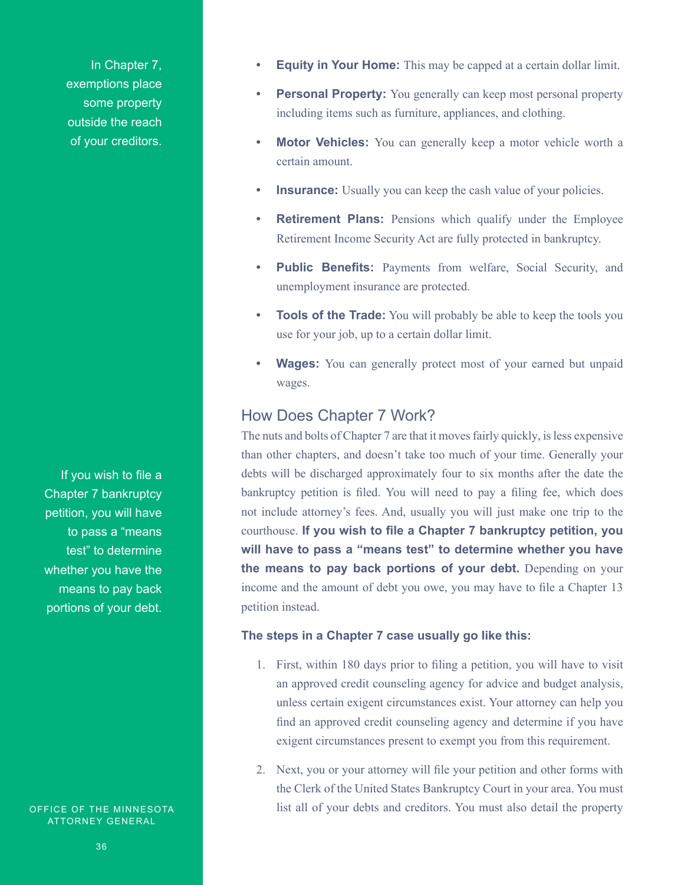In Chapter 7, exemptions place some property outside the reach of your creditors.

If you wish to file a Chapter 7 bankruptcy petition, you will have to pass a "means test" to determine whether you have the means to pay back portions of your debt.

OFFICE OF THE MINNESOTA ATTORNEY GENERAL

- **• Equity in Your Home:** This may be capped at a certain dollar limit.
- **Personal Property:** You generally can keep most personal property including items such as furniture, appliances, and clothing.
- **Motor Vehicles:** You can generally keep a motor vehicle worth a certain amount.
- **Insurance:** Usually you can keep the cash value of your policies.
- **• Retirement Plans:** Pensions which qualify under the Employee Retirement Income Security Act are fully protected in bankruptcy.
- **• Public Benefits:** Payments from welfare, Social Security, and unemployment insurance are protected.
- **• Tools of the Trade:** You will probably be able to keep the tools you use for your job, up to a certain dollar limit.
- **Wages:** You can generally protect most of your earned but unpaid wages.

### How Does Chapter 7 Work?

The nuts and bolts of Chapter 7 are that it moves fairly quickly, is less expensive than other chapters, and doesn't take too much of your time. Generally your debts will be discharged approximately four to six months after the date the bankruptcy petition is filed. You will need to pay a filing fee, which does not include attorney's fees. And, usually you will just make one trip to the courthouse. **If you wish to file a Chapter 7 bankruptcy petition, you will have to pass a "means test" to determine whether you have the means to pay back portions of your debt.** Depending on your income and the amount of debt you owe, you may have to file a Chapter 13 petition instead.

#### **The steps in a Chapter 7 case usually go like this:**

- 1. First, within 180 days prior to filing a petition, you will have to visit an approved credit counseling agency for advice and budget analysis, unless certain exigent circumstances exist. Your attorney can help you find an approved credit counseling agency and determine if you have exigent circumstances present to exempt you from this requirement.
- 2. Next, you or your attorney will file your petition and other forms with the Clerk of the United States Bankruptcy Court in your area. You must list all of your debts and creditors. You must also detail the property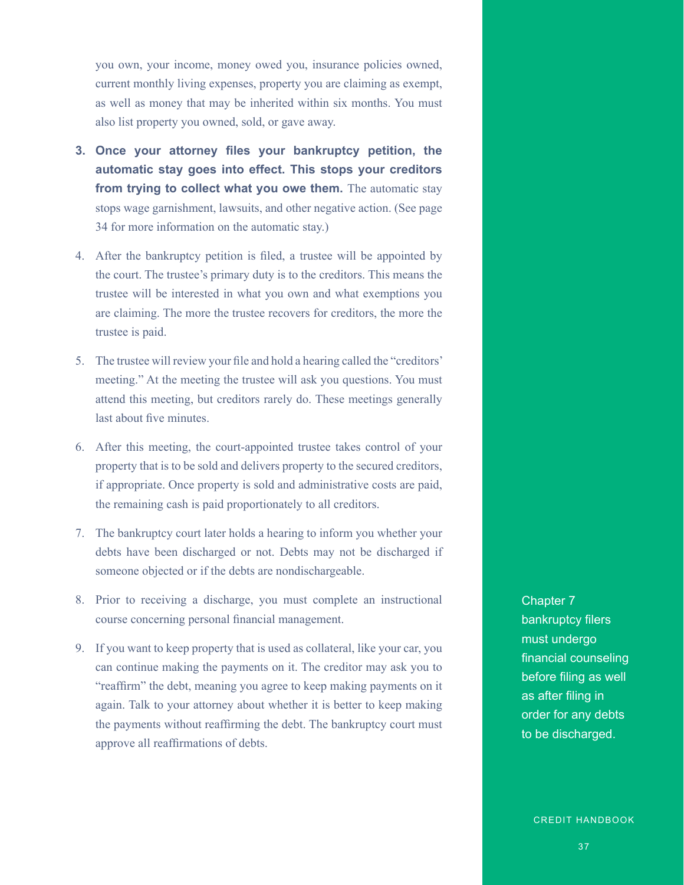you own, your income, money owed you, insurance policies owned, current monthly living expenses, property you are claiming as exempt, as well as money that may be inherited within six months. You must also list property you owned, sold, or gave away.

- **3. Once your attorney files your bankruptcy petition, the automatic stay goes into effect. This stops your creditors from trying to collect what you owe them.** The automatic stay stops wage garnishment, lawsuits, and other negative action. (See page 34 for more information on the automatic stay.)
- 4. After the bankruptcy petition is filed, a trustee will be appointed by the court. The trustee's primary duty is to the creditors. This means the trustee will be interested in what you own and what exemptions you are claiming. The more the trustee recovers for creditors, the more the trustee is paid.
- 5. The trustee will review your file and hold a hearing called the "creditors' meeting." At the meeting the trustee will ask you questions. You must attend this meeting, but creditors rarely do. These meetings generally last about five minutes.
- 6. After this meeting, the court-appointed trustee takes control of your property that is to be sold and delivers property to the secured creditors, if appropriate. Once property is sold and administrative costs are paid, the remaining cash is paid proportionately to all creditors.
- 7. The bankruptcy court later holds a hearing to inform you whether your debts have been discharged or not. Debts may not be discharged if someone objected or if the debts are nondischargeable.
- 8. Prior to receiving a discharge, you must complete an instructional course concerning personal financial management.
- 9. If you want to keep property that is used as collateral, like your car, you can continue making the payments on it. The creditor may ask you to "reaffirm" the debt, meaning you agree to keep making payments on it again. Talk to your attorney about whether it is better to keep making the payments without reaffirming the debt. The bankruptcy court must approve all reaffirmations of debts.

Chapter 7 bankruptcy filers must undergo financial counseling before filing as well as after filing in order for any debts to be discharged.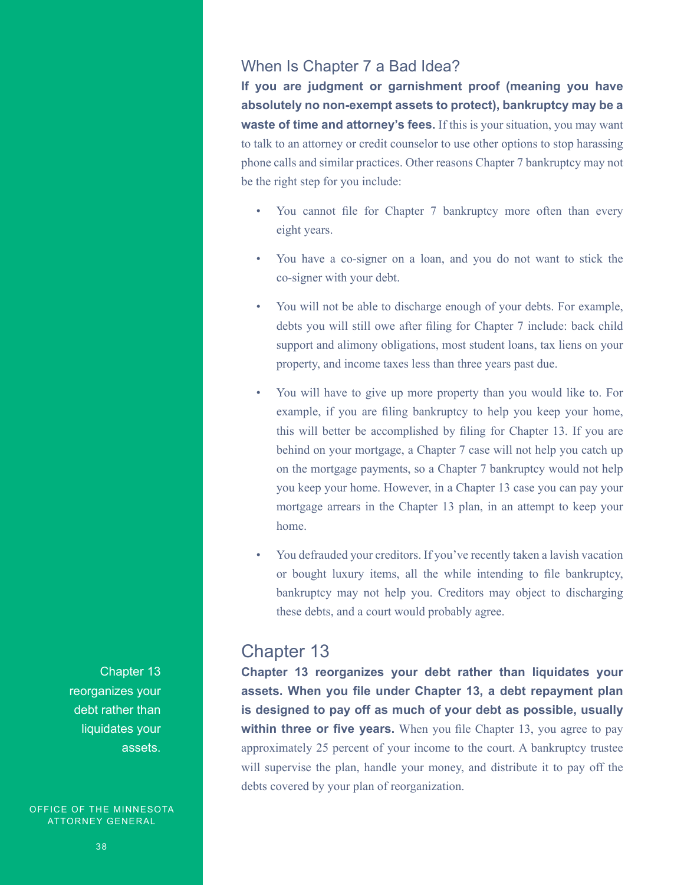### When Is Chapter 7 a Bad Idea?

**If you are judgment or garnishment proof (meaning you have absolutely no non-exempt assets to protect), bankruptcy may be a waste of time and attorney's fees.** If this is your situation, you may want to talk to an attorney or credit counselor to use other options to stop harassing phone calls and similar practices. Other reasons Chapter 7 bankruptcy may not be the right step for you include:

- You cannot file for Chapter 7 bankruptcy more often than every eight years.
- You have a co-signer on a loan, and you do not want to stick the co-signer with your debt.
- You will not be able to discharge enough of your debts. For example, debts you will still owe after filing for Chapter 7 include: back child support and alimony obligations, most student loans, tax liens on your property, and income taxes less than three years past due.
- You will have to give up more property than you would like to. For example, if you are filing bankruptcy to help you keep your home, this will better be accomplished by filing for Chapter 13. If you are behind on your mortgage, a Chapter 7 case will not help you catch up on the mortgage payments, so a Chapter 7 bankruptcy would not help you keep your home. However, in a Chapter 13 case you can pay your mortgage arrears in the Chapter 13 plan, in an attempt to keep your home.
- You defrauded your creditors. If you've recently taken a lavish vacation or bought luxury items, all the while intending to file bankruptcy, bankruptcy may not help you. Creditors may object to discharging these debts, and a court would probably agree.

### Chapter 13

**Chapter 13 reorganizes your debt rather than liquidates your assets. When you file under Chapter 13, a debt repayment plan is designed to pay off as much of your debt as possible, usually within three or five years.** When you file Chapter 13, you agree to pay approximately 25 percent of your income to the court. A bankruptcy trustee will supervise the plan, handle your money, and distribute it to pay off the debts covered by your plan of reorganization.

Chapter 13 reorganizes your debt rather than liquidates your assets.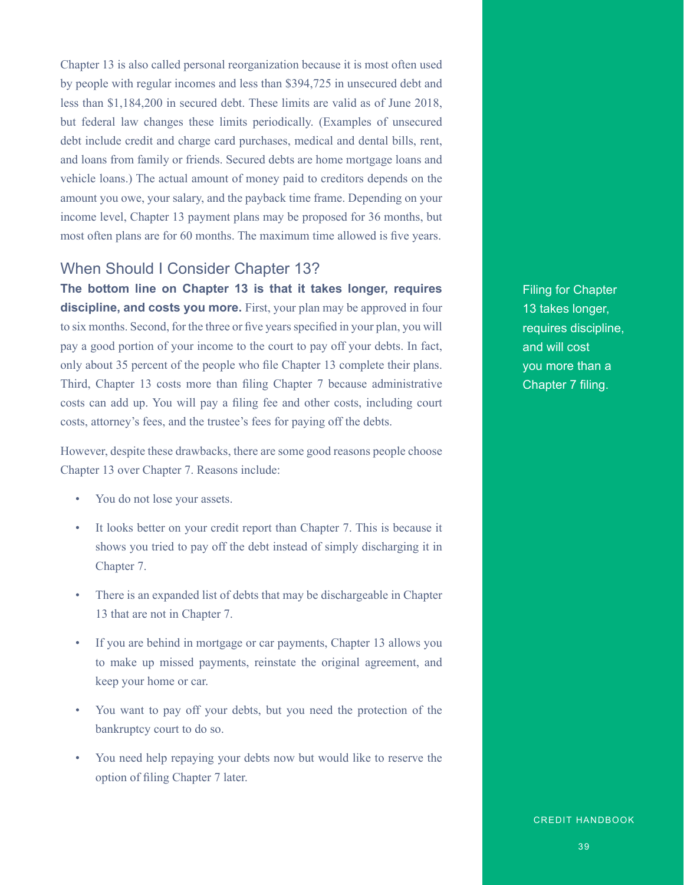Chapter 13 is also called personal reorganization because it is most often used by people with regular incomes and less than \$394,725 in unsecured debt and less than \$1,184,200 in secured debt. These limits are valid as of June 2018, but federal law changes these limits periodically. (Examples of unsecured debt include credit and charge card purchases, medical and dental bills, rent, and loans from family or friends. Secured debts are home mortgage loans and vehicle loans.) The actual amount of money paid to creditors depends on the amount you owe, your salary, and the payback time frame. Depending on your income level, Chapter 13 payment plans may be proposed for 36 months, but most often plans are for 60 months. The maximum time allowed is five years.

### When Should I Consider Chapter 13?

**The bottom line on Chapter 13 is that it takes longer, requires**  discipline, and costs you more. First, your plan may be approved in four to six months. Second, for the three or five years specified in your plan, you will pay a good portion of your income to the court to pay off your debts. In fact, only about 35 percent of the people who file Chapter 13 complete their plans. Third, Chapter 13 costs more than filing Chapter 7 because administrative costs can add up. You will pay a filing fee and other costs, including court costs, attorney's fees, and the trustee's fees for paying off the debts.

However, despite these drawbacks, there are some good reasons people choose Chapter 13 over Chapter 7. Reasons include:

- You do not lose your assets.
- It looks better on your credit report than Chapter 7. This is because it shows you tried to pay off the debt instead of simply discharging it in Chapter 7.
- There is an expanded list of debts that may be dischargeable in Chapter 13 that are not in Chapter 7.
- If you are behind in mortgage or car payments, Chapter 13 allows you to make up missed payments, reinstate the original agreement, and keep your home or car.
- You want to pay off your debts, but you need the protection of the bankruptcy court to do so.
- You need help repaying your debts now but would like to reserve the option of filing Chapter 7 later.

Filing for Chapter 13 takes longer, requires discipline, and will cost you more than a Chapter 7 filing.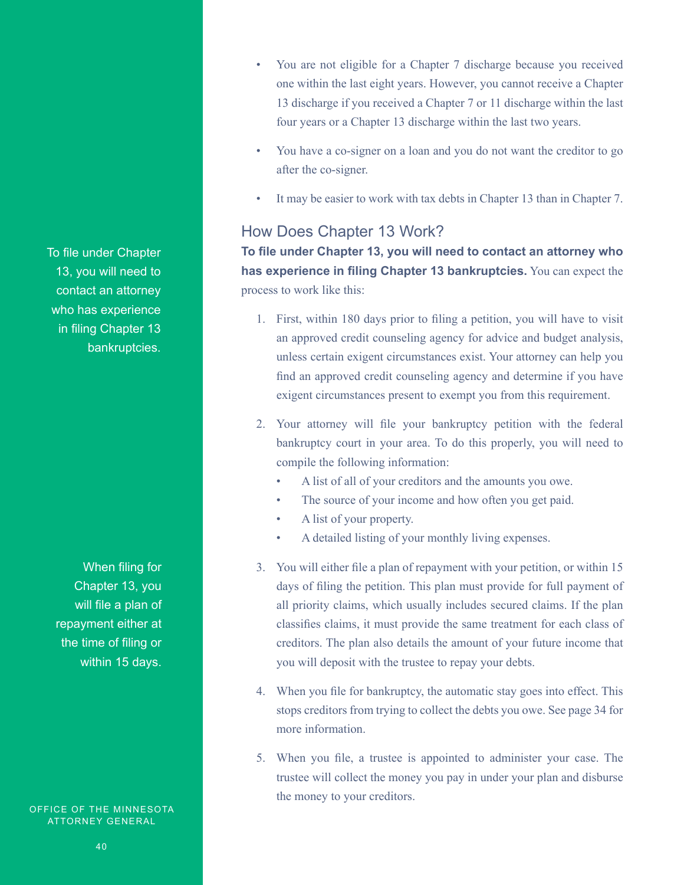To file under Chapter 13, you will need to contact an attorney who has experience in filing Chapter 13 bankruptcies.

When filing for Chapter 13, you will file a plan of repayment either at the time of filing or within 15 days.

OFFICE OF THE MINNESOTA ATTORNEY GENERAL

- You are not eligible for a Chapter 7 discharge because you received one within the last eight years. However, you cannot receive a Chapter 13 discharge if you received a Chapter 7 or 11 discharge within the last four years or a Chapter 13 discharge within the last two years.
- You have a co-signer on a loan and you do not want the creditor to go after the co-signer.
- It may be easier to work with tax debts in Chapter 13 than in Chapter 7.

### How Does Chapter 13 Work?

**To file under Chapter 13, you will need to contact an attorney who has experience in filing Chapter 13 bankruptcies.** You can expect the process to work like this:

- 1. First, within 180 days prior to filing a petition, you will have to visit an approved credit counseling agency for advice and budget analysis, unless certain exigent circumstances exist. Your attorney can help you find an approved credit counseling agency and determine if you have exigent circumstances present to exempt you from this requirement.
- 2. Your attorney will file your bankruptcy petition with the federal bankruptcy court in your area. To do this properly, you will need to compile the following information:
	- A list of all of your creditors and the amounts you owe.
	- The source of your income and how often you get paid.
	- A list of your property.
	- A detailed listing of your monthly living expenses.
- 3. You will either file a plan of repayment with your petition, or within 15 days of filing the petition. This plan must provide for full payment of all priority claims, which usually includes secured claims. If the plan classifies claims, it must provide the same treatment for each class of creditors. The plan also details the amount of your future income that you will deposit with the trustee to repay your debts.
- 4. When you file for bankruptcy, the automatic stay goes into effect. This stops creditors from trying to collect the debts you owe. See page 34 for more information.
- 5. When you file, a trustee is appointed to administer your case. The trustee will collect the money you pay in under your plan and disburse the money to your creditors.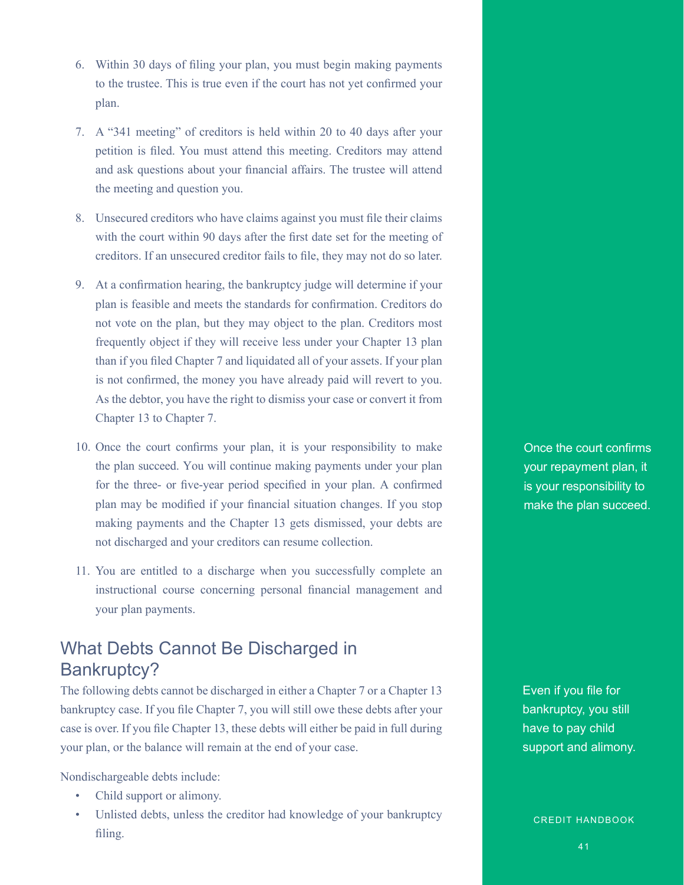- 6. Within 30 days of filing your plan, you must begin making payments to the trustee. This is true even if the court has not yet confirmed your plan.
- 7. A "341 meeting" of creditors is held within 20 to 40 days after your petition is filed. You must attend this meeting. Creditors may attend and ask questions about your financial affairs. The trustee will attend the meeting and question you.
- 8. Unsecured creditors who have claims against you must file their claims with the court within 90 days after the first date set for the meeting of creditors. If an unsecured creditor fails to file, they may not do so later.
- 9. At a confirmation hearing, the bankruptcy judge will determine if your plan is feasible and meets the standards for confirmation. Creditors do not vote on the plan, but they may object to the plan. Creditors most frequently object if they will receive less under your Chapter 13 plan than if you filed Chapter 7 and liquidated all of your assets. If your plan is not confirmed, the money you have already paid will revert to you. As the debtor, you have the right to dismiss your case or convert it from Chapter 13 to Chapter 7.
- 10. Once the court confirms your plan, it is your responsibility to make the plan succeed. You will continue making payments under your plan for the three- or five-year period specified in your plan. A confirmed plan may be modified if your financial situation changes. If you stop making payments and the Chapter 13 gets dismissed, your debts are not discharged and your creditors can resume collection.
- 11. You are entitled to a discharge when you successfully complete an instructional course concerning personal financial management and your plan payments.

### What Debts Cannot Be Discharged in Bankruptcy?

The following debts cannot be discharged in either a Chapter 7 or a Chapter 13 bankruptcy case. If you file Chapter 7, you will still owe these debts after your case is over. If you file Chapter 13, these debts will either be paid in full during your plan, or the balance will remain at the end of your case.

Nondischargeable debts include:

- Child support or alimony.
- Unlisted debts, unless the creditor had knowledge of your bankruptcy filing.

Once the court confirms your repayment plan, it is your responsibility to make the plan succeed.

Even if you file for bankruptcy, you still have to pay child support and alimony.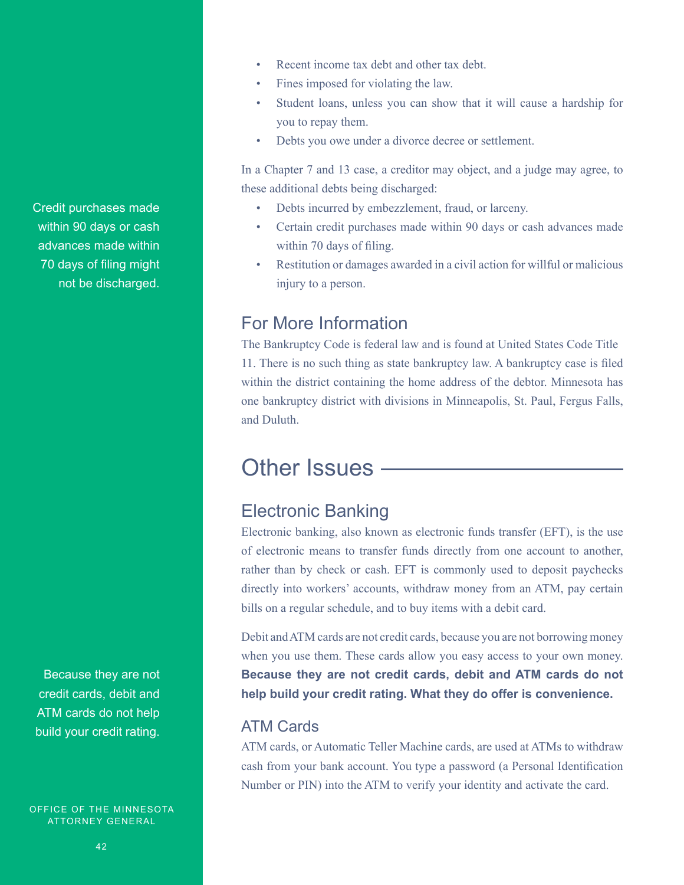Credit purchases made within 90 days or cash advances made within 70 days of filing might not be discharged.

Because they are not credit cards, debit and ATM cards do not help build your credit rating.

OFFICE OF THE MINNESOTA ATTORNEY GENERAL

- Recent income tax debt and other tax debt.
- Fines imposed for violating the law.
- Student loans, unless you can show that it will cause a hardship for you to repay them.
- Debts you owe under a divorce decree or settlement.

In a Chapter 7 and 13 case, a creditor may object, and a judge may agree, to these additional debts being discharged:

- Debts incurred by embezzlement, fraud, or larceny.
- Certain credit purchases made within 90 days or cash advances made within 70 days of filing.
- Restitution or damages awarded in a civil action for willful or malicious injury to a person.

### For More Information

The Bankruptcy Code is federal law and is found at United States Code Title 11. There is no such thing as state bankruptcy law. A bankruptcy case is filed within the district containing the home address of the debtor. Minnesota has one bankruptcy district with divisions in Minneapolis, St. Paul, Fergus Falls, and Duluth.

# Other Issues ———

### Electronic Banking

Electronic banking, also known as electronic funds transfer (EFT), is the use of electronic means to transfer funds directly from one account to another, rather than by check or cash. EFT is commonly used to deposit paychecks directly into workers' accounts, withdraw money from an ATM, pay certain bills on a regular schedule, and to buy items with a debit card.

Debit and ATM cards are not credit cards, because you are not borrowing money when you use them. These cards allow you easy access to your own money. **Because they are not credit cards, debit and ATM cards do not help build your credit rating. What they do offer is convenience.**

### ATM Cards

ATM cards, or Automatic Teller Machine cards, are used at ATMs to withdraw cash from your bank account. You type a password (a Personal Identification Number or PIN) into the ATM to verify your identity and activate the card.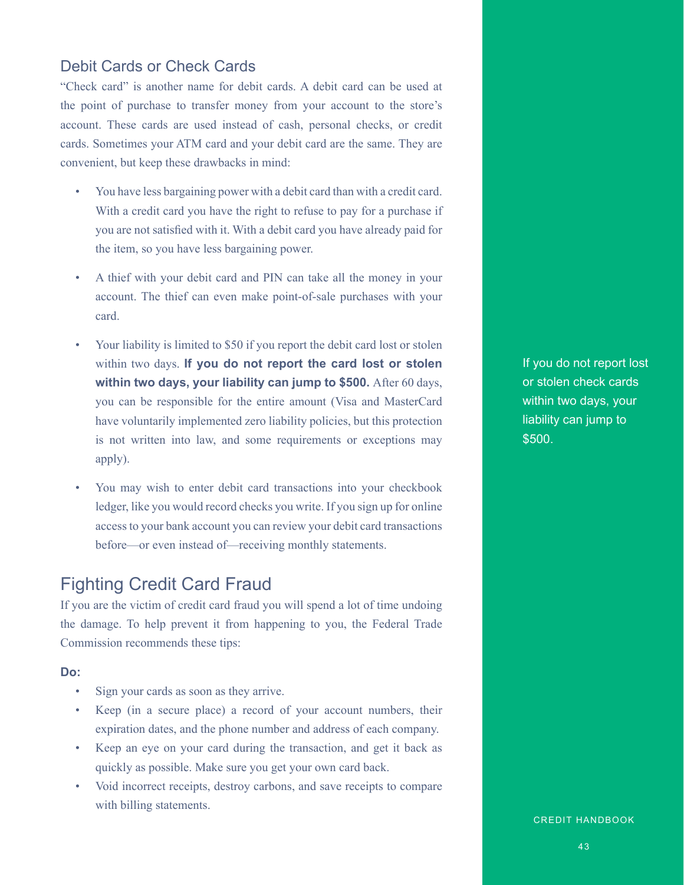### Debit Cards or Check Cards

"Check card" is another name for debit cards. A debit card can be used at the point of purchase to transfer money from your account to the store's account. These cards are used instead of cash, personal checks, or credit cards. Sometimes your ATM card and your debit card are the same. They are convenient, but keep these drawbacks in mind:

- You have less bargaining power with a debit card than with a credit card. With a credit card you have the right to refuse to pay for a purchase if you are not satisfied with it. With a debit card you have already paid for the item, so you have less bargaining power.
- A thief with your debit card and PIN can take all the money in your account. The thief can even make point-of-sale purchases with your card.
- Your liability is limited to \$50 if you report the debit card lost or stolen within two days. **If you do not report the card lost or stolen within two days, your liability can jump to \$500.** After 60 days, you can be responsible for the entire amount (Visa and MasterCard have voluntarily implemented zero liability policies, but this protection is not written into law, and some requirements or exceptions may apply).
- You may wish to enter debit card transactions into your checkbook ledger, like you would record checks you write. If you sign up for online access to your bank account you can review your debit card transactions before—or even instead of—receiving monthly statements.

### Fighting Credit Card Fraud

If you are the victim of credit card fraud you will spend a lot of time undoing the damage. To help prevent it from happening to you, the Federal Trade Commission recommends these tips:

#### **Do:**

- Sign your cards as soon as they arrive.
- Keep (in a secure place) a record of your account numbers, their expiration dates, and the phone number and address of each company.
- Keep an eye on your card during the transaction, and get it back as quickly as possible. Make sure you get your own card back.
- Void incorrect receipts, destroy carbons, and save receipts to compare with billing statements.

If you do not report lost or stolen check cards within two days, your liability can jump to \$500.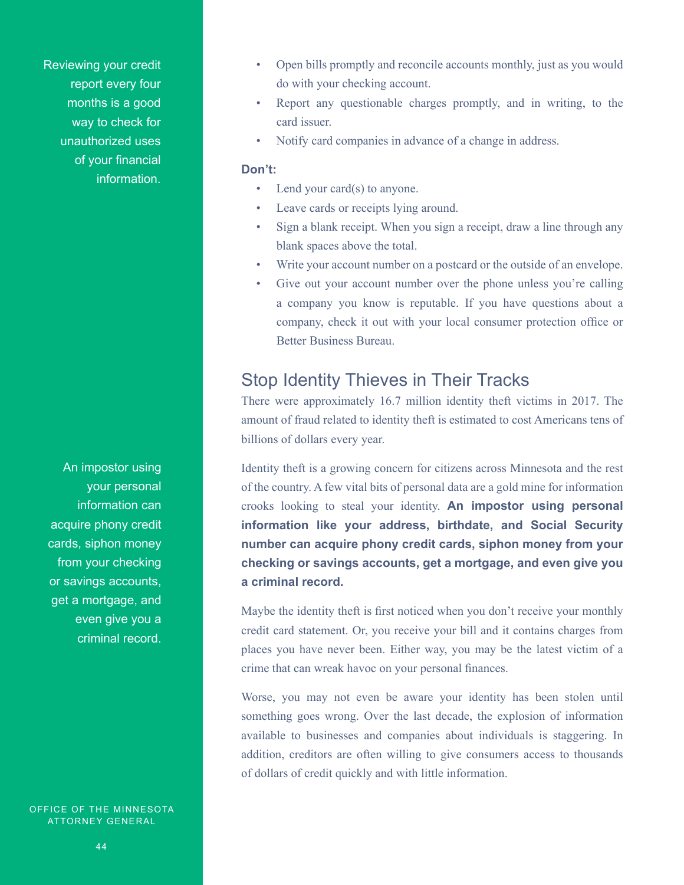Reviewing your credit report every four months is a good way to check for unauthorized uses of your financial information.

An impostor using your personal information can acquire phony credit cards, siphon money from your checking or savings accounts, get a mortgage, and even give you a criminal record.

OFFICE OF THE MINNESOTA ATTORNEY GENERAL

- Open bills promptly and reconcile accounts monthly, just as you would do with your checking account.
- Report any questionable charges promptly, and in writing, to the card issuer.
- Notify card companies in advance of a change in address.

#### **Don't:**

- Lend your card(s) to anyone.
- Leave cards or receipts lying around.
- Sign a blank receipt. When you sign a receipt, draw a line through any blank spaces above the total.
- Write your account number on a postcard or the outside of an envelope.
- Give out your account number over the phone unless you're calling a company you know is reputable. If you have questions about a company, check it out with your local consumer protection office or Better Business Bureau.

### Stop Identity Thieves in Their Tracks

There were approximately 16.7 million identity theft victims in 2017. The amount of fraud related to identity theft is estimated to cost Americans tens of billions of dollars every year.

Identity theft is a growing concern for citizens across Minnesota and the rest of the country. A few vital bits of personal data are a gold mine for information crooks looking to steal your identity. **An impostor using personal information like your address, birthdate, and Social Security number can acquire phony credit cards, siphon money from your checking or savings accounts, get a mortgage, and even give you a criminal record.** 

Maybe the identity theft is first noticed when you don't receive your monthly credit card statement. Or, you receive your bill and it contains charges from places you have never been. Either way, you may be the latest victim of a crime that can wreak havoc on your personal finances.

Worse, you may not even be aware your identity has been stolen until something goes wrong. Over the last decade, the explosion of information available to businesses and companies about individuals is staggering. In addition, creditors are often willing to give consumers access to thousands of dollars of credit quickly and with little information.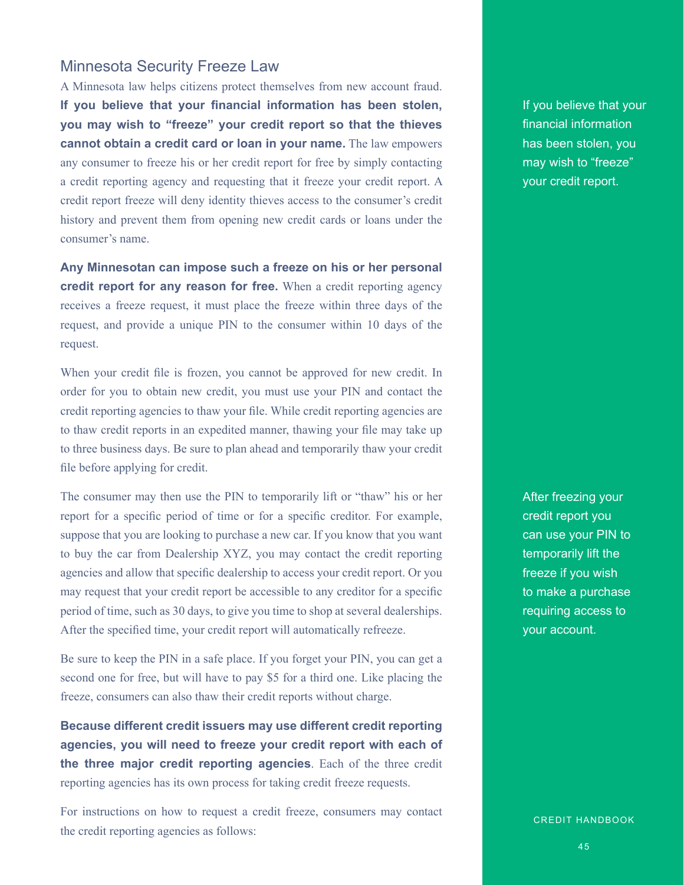### Minnesota Security Freeze Law

A Minnesota law helps citizens protect themselves from new account fraud. **If you believe that your financial information has been stolen, you may wish to "freeze" your credit report so that the thieves cannot obtain a credit card or loan in your name.** The law empowers any consumer to freeze his or her credit report for free by simply contacting a credit reporting agency and requesting that it freeze your credit report. A credit report freeze will deny identity thieves access to the consumer's credit history and prevent them from opening new credit cards or loans under the consumer's name.

**Any Minnesotan can impose such a freeze on his or her personal credit report for any reason for free.** When a credit reporting agency receives a freeze request, it must place the freeze within three days of the request, and provide a unique PIN to the consumer within 10 days of the request.

When your credit file is frozen, you cannot be approved for new credit. In order for you to obtain new credit, you must use your PIN and contact the credit reporting agencies to thaw your file. While credit reporting agencies are to thaw credit reports in an expedited manner, thawing your file may take up to three business days. Be sure to plan ahead and temporarily thaw your credit file before applying for credit.

The consumer may then use the PIN to temporarily lift or "thaw" his or her report for a specific period of time or for a specific creditor. For example, suppose that you are looking to purchase a new car. If you know that you want to buy the car from Dealership XYZ, you may contact the credit reporting agencies and allow that specific dealership to access your credit report. Or you may request that your credit report be accessible to any creditor for a specific period of time, such as 30 days, to give you time to shop at several dealerships. After the specified time, your credit report will automatically refreeze.

Be sure to keep the PIN in a safe place. If you forget your PIN, you can get a second one for free, but will have to pay \$5 for a third one. Like placing the freeze, consumers can also thaw their credit reports without charge.

**Because different credit issuers may use different credit reporting agencies, you will need to freeze your credit report with each of the three major credit reporting agencies**. Each of the three credit reporting agencies has its own process for taking credit freeze requests.

For instructions on how to request a credit freeze, consumers may contact the credit reporting agencies as follows:

If you believe that your financial information has been stolen, you may wish to "freeze" your credit report.

After freezing your credit report you can use your PIN to temporarily lift the freeze if you wish to make a purchase requiring access to your account.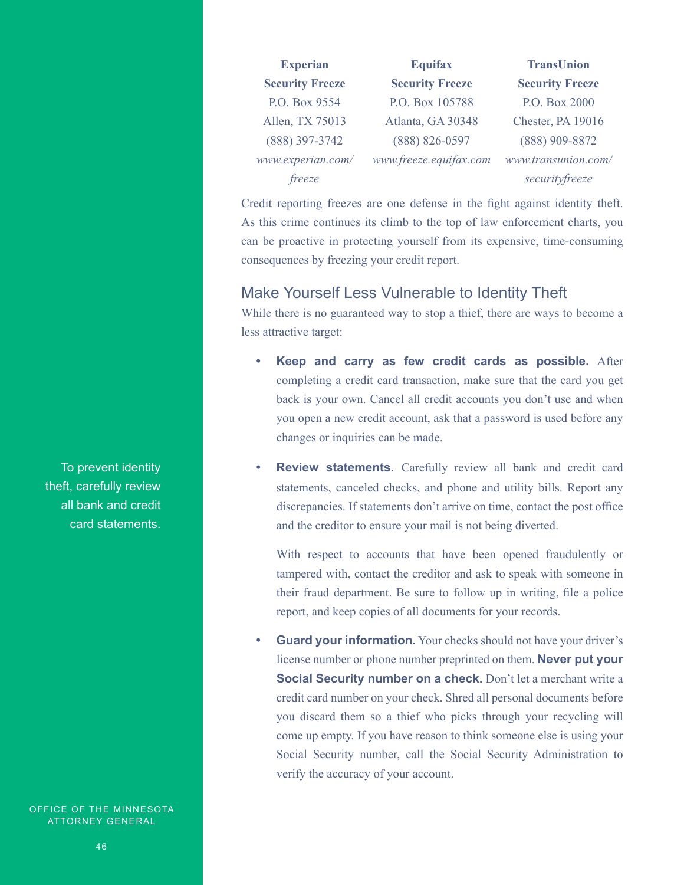| <b>Experian</b>        | <b>Equifax</b>         | <b>TransUnion</b>      |
|------------------------|------------------------|------------------------|
| <b>Security Freeze</b> | <b>Security Freeze</b> | <b>Security Freeze</b> |
| P.O. Box 9554          | P.O. Box 105788        | P.O. Box 2000          |
| Allen, TX 75013        | Atlanta, GA 30348      | Chester, PA 19016      |
| (888) 397-3742         | (888) 826-0597         | (888) 909-8872         |
| www.experian.com/      | www.freeze.equifax.com | www.transunion.com/    |
| freeze                 |                        | securityfreeze         |

Credit reporting freezes are one defense in the fight against identity theft. As this crime continues its climb to the top of law enforcement charts, you can be proactive in protecting yourself from its expensive, time-consuming consequences by freezing your credit report.

### Make Yourself Less Vulnerable to Identity Theft

While there is no guaranteed way to stop a thief, there are ways to become a less attractive target:

- **• Keep and carry as few credit cards as possible.** After completing a credit card transaction, make sure that the card you get back is your own. Cancel all credit accounts you don't use and when you open a new credit account, ask that a password is used before any changes or inquiries can be made.
- **• Review statements.** Carefully review all bank and credit card statements, canceled checks, and phone and utility bills. Report any discrepancies. If statements don't arrive on time, contact the post office and the creditor to ensure your mail is not being diverted.

With respect to accounts that have been opened fraudulently or tampered with, contact the creditor and ask to speak with someone in their fraud department. Be sure to follow up in writing, file a police report, and keep copies of all documents for your records.

**Guard your information.** Your checks should not have your driver's license number or phone number preprinted on them. **Never put your Social Security number on a check.** Don't let a merchant write a credit card number on your check. Shred all personal documents before you discard them so a thief who picks through your recycling will come up empty. If you have reason to think someone else is using your Social Security number, call the Social Security Administration to verify the accuracy of your account.

To prevent identity theft, carefully review all bank and credit card statements.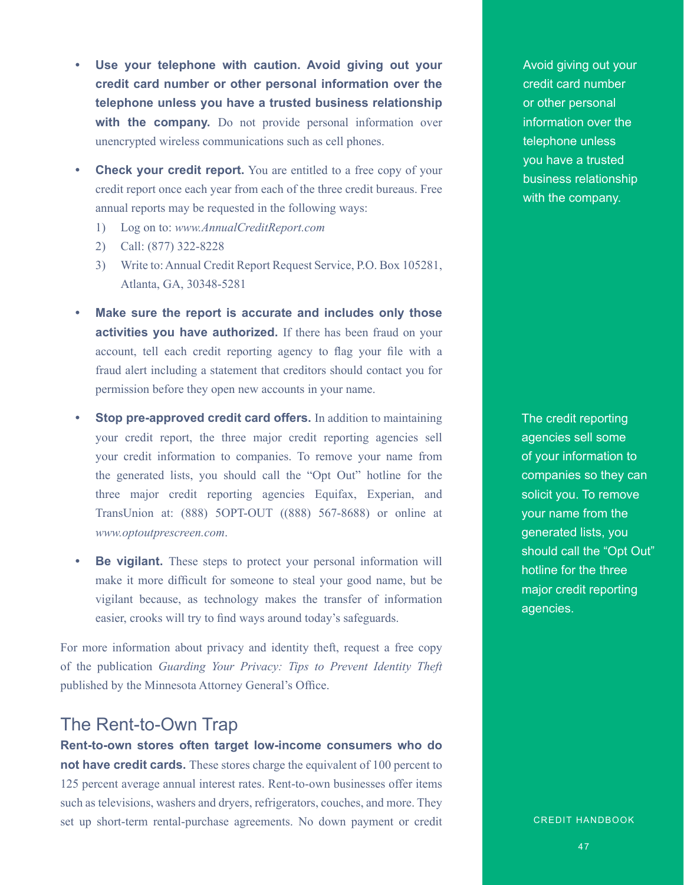- **• Use your telephone with caution. Avoid giving out your credit card number or other personal information over the telephone unless you have a trusted business relationship**  with the company. Do not provide personal information over unencrypted wireless communications such as cell phones.
- **•• Check your credit report.** You are entitled to a free copy of your credit report once each year from each of the three credit bureaus. Free annual reports may be requested in the following ways:
	- 1) Log on to: *www.AnnualCreditReport.com*
	- 2) Call: (877) 322-8228
	- 3) Write to: Annual Credit Report Request Service, P.O. Box 105281, Atlanta, GA, 30348-5281
- **• Make sure the report is accurate and includes only those activities you have authorized.** If there has been fraud on your account, tell each credit reporting agency to flag your file with a fraud alert including a statement that creditors should contact you for permission before they open new accounts in your name.
- **Stop pre-approved credit card offers.** In addition to maintaining your credit report, the three major credit reporting agencies sell your credit information to companies. To remove your name from the generated lists, you should call the "Opt Out" hotline for the three major credit reporting agencies Equifax, Experian, and TransUnion at: (888) 5OPT-OUT ((888) 567-8688) or online at *www.optoutprescreen.com*.
- **• Be vigilant.** These steps to protect your personal information will make it more difficult for someone to steal your good name, but be vigilant because, as technology makes the transfer of information easier, crooks will try to find ways around today's safeguards.

For more information about privacy and identity theft, request a free copy of the publication *Guarding Your Privacy: Tips to Prevent Identity Theft* published by the Minnesota Attorney General's Office.

### The Rent-to-Own Trap

**Rent-to-own stores often target low-income consumers who do not have credit cards.** These stores charge the equivalent of 100 percent to 125 percent average annual interest rates. Rent-to-own businesses offer items such as televisions, washers and dryers, refrigerators, couches, and more. They set up short-term rental-purchase agreements. No down payment or credit

Avoid giving out your credit card number or other personal information over the telephone unless you have a trusted business relationship with the company.

The credit reporting agencies sell some of your information to companies so they can solicit you. To remove your name from the generated lists, you should call the "Opt Out" hotline for the three major credit reporting agencies.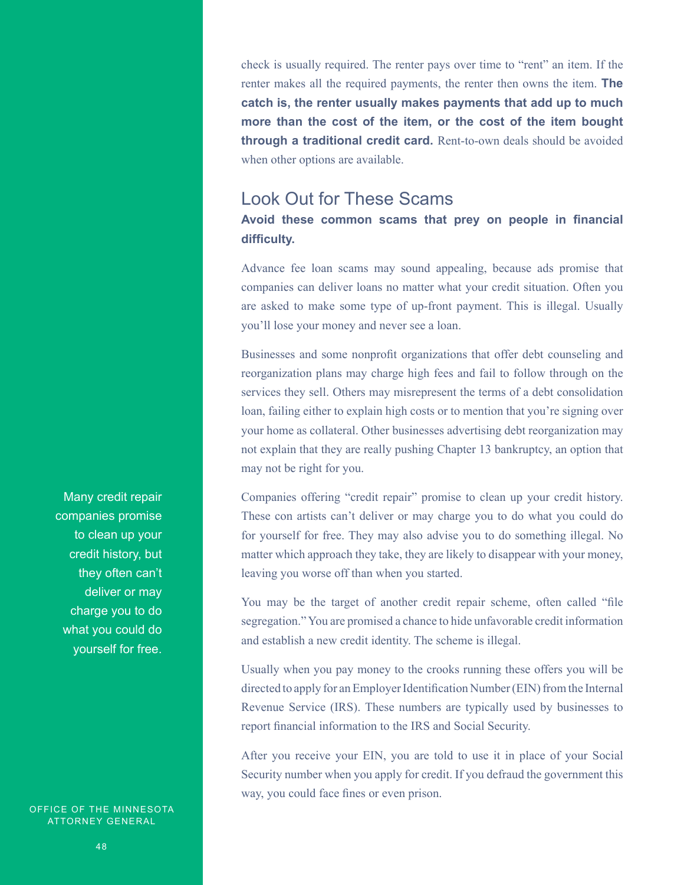check is usually required. The renter pays over time to "rent" an item. If the renter makes all the required payments, the renter then owns the item. **The catch is, the renter usually makes payments that add up to much more than the cost of the item, or the cost of the item bought through a traditional credit card.** Rent-to-own deals should be avoided when other options are available.

### Look Out for These Scams

### **Avoid these common scams that prey on people in financial difficulty.**

Advance fee loan scams may sound appealing, because ads promise that companies can deliver loans no matter what your credit situation. Often you are asked to make some type of up-front payment. This is illegal. Usually you'll lose your money and never see a loan.

Businesses and some nonprofit organizations that offer debt counseling and reorganization plans may charge high fees and fail to follow through on the services they sell. Others may misrepresent the terms of a debt consolidation loan, failing either to explain high costs or to mention that you're signing over your home as collateral. Other businesses advertising debt reorganization may not explain that they are really pushing Chapter 13 bankruptcy, an option that may not be right for you.

Companies offering "credit repair" promise to clean up your credit history. These con artists can't deliver or may charge you to do what you could do for yourself for free. They may also advise you to do something illegal. No matter which approach they take, they are likely to disappear with your money, leaving you worse off than when you started.

You may be the target of another credit repair scheme, often called "file segregation." You are promised a chance to hide unfavorable credit information and establish a new credit identity. The scheme is illegal.

Usually when you pay money to the crooks running these offers you will be directed to apply for an Employer Identification Number (EIN) from the Internal Revenue Service (IRS). These numbers are typically used by businesses to report financial information to the IRS and Social Security.

After you receive your EIN, you are told to use it in place of your Social Security number when you apply for credit. If you defraud the government this way, you could face fines or even prison.

Many credit repair companies promise to clean up your credit history, but they often can't deliver or may charge you to do what you could do yourself for free.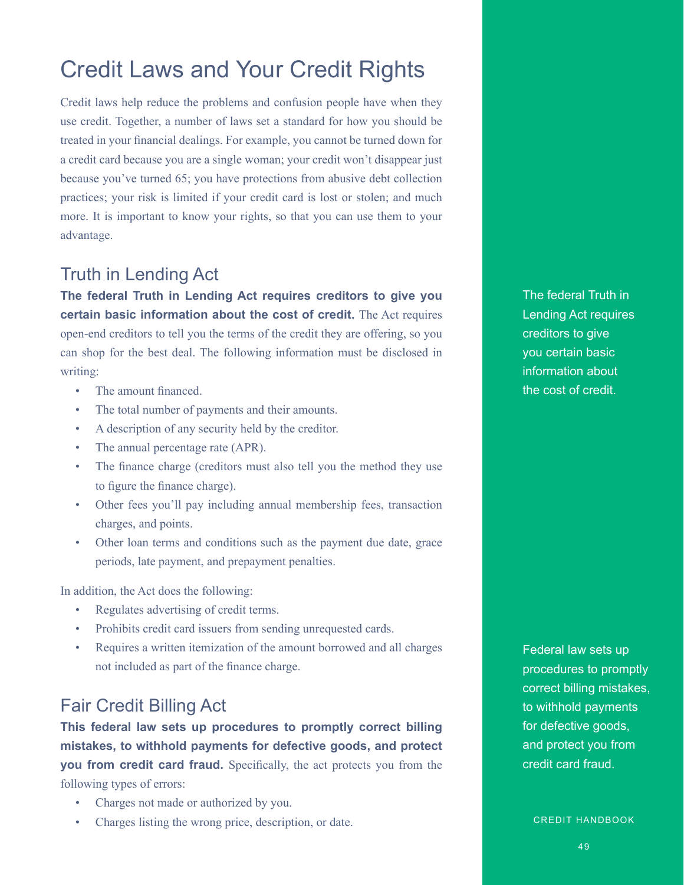# Credit Laws and Your Credit Rights

Credit laws help reduce the problems and confusion people have when they use credit. Together, a number of laws set a standard for how you should be treated in your financial dealings. For example, you cannot be turned down for a credit card because you are a single woman; your credit won't disappear just because you've turned 65; you have protections from abusive debt collection practices; your risk is limited if your credit card is lost or stolen; and much more. It is important to know your rights, so that you can use them to your advantage.

### Truth in Lending Act

**The federal Truth in Lending Act requires creditors to give you certain basic information about the cost of credit.** The Act requires open-end creditors to tell you the terms of the credit they are offering, so you can shop for the best deal. The following information must be disclosed in writing:

- The amount financed.
- The total number of payments and their amounts.
- A description of any security held by the creditor.
- The annual percentage rate (APR).
- The finance charge (creditors must also tell you the method they use to figure the finance charge).
- Other fees you'll pay including annual membership fees, transaction charges, and points.
- Other loan terms and conditions such as the payment due date, grace periods, late payment, and prepayment penalties.

In addition, the Act does the following:

- Regulates advertising of credit terms.
- Prohibits credit card issuers from sending unrequested cards.
- Requires a written itemization of the amount borrowed and all charges not included as part of the finance charge.

### Fair Credit Billing Act

**This federal law sets up procedures to promptly correct billing mistakes, to withhold payments for defective goods, and protect you from credit card fraud.** Specifically, the act protects you from the following types of errors:

- Charges not made or authorized by you.
- Charges listing the wrong price, description, or date.

The federal Truth in Lending Act requires creditors to give you certain basic information about the cost of credit.

Federal law sets up procedures to promptly correct billing mistakes, to withhold payments for defective goods, and protect you from credit card fraud.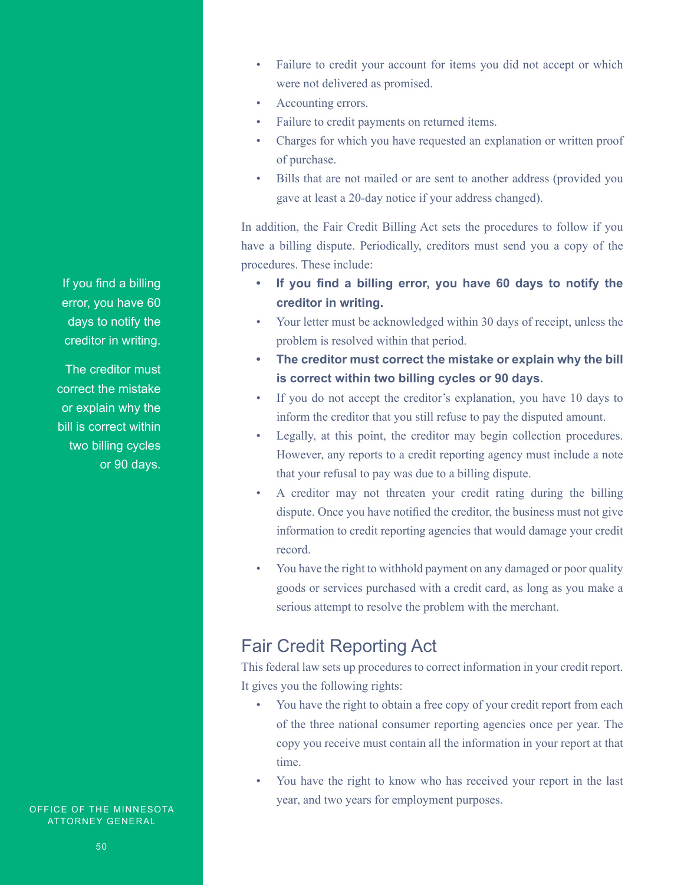- Failure to credit your account for items you did not accept or which were not delivered as promised.
- Accounting errors.
- Failure to credit payments on returned items.
- Charges for which you have requested an explanation or written proof of purchase.
- Bills that are not mailed or are sent to another address (provided you gave at least a 20-day notice if your address changed).

In addition, the Fair Credit Billing Act sets the procedures to follow if you have a billing dispute. Periodically, creditors must send you a copy of the procedures. These include:

- **• If you find a billing error, you have 60 days to notify the creditor in writing.**
- Your letter must be acknowledged within 30 days of receipt, unless the problem is resolved within that period.
- **• The creditor must correct the mistake or explain why the bill is correct within two billing cycles or 90 days.**
- If you do not accept the creditor's explanation, you have 10 days to inform the creditor that you still refuse to pay the disputed amount.
- Legally, at this point, the creditor may begin collection procedures. However, any reports to a credit reporting agency must include a note that your refusal to pay was due to a billing dispute.
- A creditor may not threaten your credit rating during the billing dispute. Once you have notified the creditor, the business must not give information to credit reporting agencies that would damage your credit record.
- You have the right to withhold payment on any damaged or poor quality goods or services purchased with a credit card, as long as you make a serious attempt to resolve the problem with the merchant.

### Fair Credit Reporting Act

This federal law sets up procedures to correct information in your credit report. It gives you the following rights:

- You have the right to obtain a free copy of your credit report from each of the three national consumer reporting agencies once per year. The copy you receive must contain all the information in your report at that time.
- You have the right to know who has received your report in the last year, and two years for employment purposes.

If you find a billing error, you have 60 days to notify the creditor in writing.

The creditor must correct the mistake or explain why the bill is correct within two billing cycles or 90 days.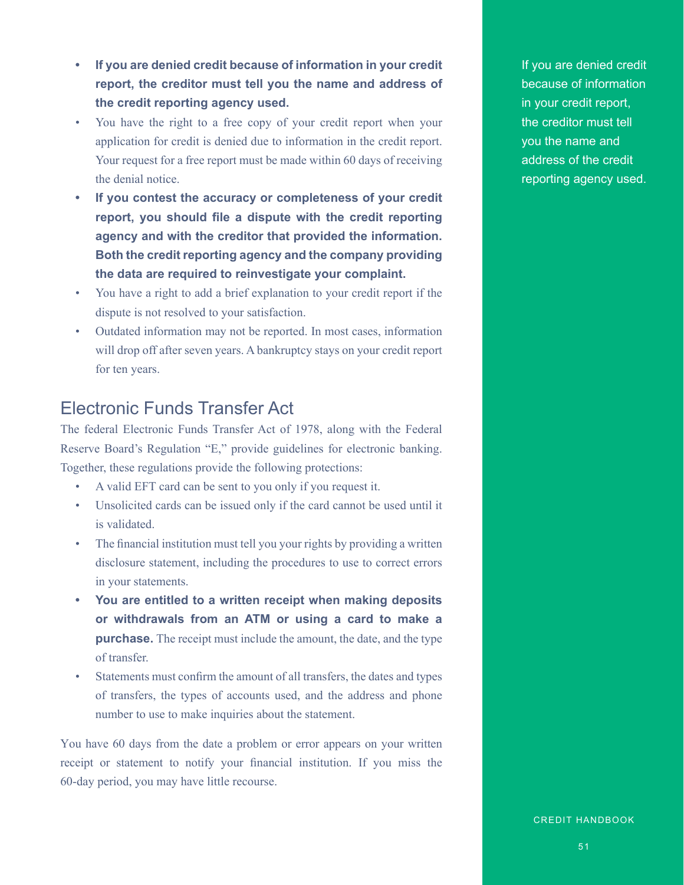- **• If you are denied credit because of information in your credit report, the creditor must tell you the name and address of the credit reporting agency used.**
- You have the right to a free copy of your credit report when your application for credit is denied due to information in the credit report. Your request for a free report must be made within 60 days of receiving the denial notice.
- **• If you contest the accuracy or completeness of your credit report, you should file a dispute with the credit reporting agency and with the creditor that provided the information. Both the credit reporting agency and the company providing the data are required to reinvestigate your complaint.**
- You have a right to add a brief explanation to your credit report if the dispute is not resolved to your satisfaction.
- Outdated information may not be reported. In most cases, information will drop off after seven years. A bankruptcy stays on your credit report for ten years.

### Electronic Funds Transfer Act

The federal Electronic Funds Transfer Act of 1978, along with the Federal Reserve Board's Regulation "E," provide guidelines for electronic banking. Together, these regulations provide the following protections:

- A valid EFT card can be sent to you only if you request it.
- Unsolicited cards can be issued only if the card cannot be used until it is validated.
- The financial institution must tell you your rights by providing a written disclosure statement, including the procedures to use to correct errors in your statements.
- **• You are entitled to a written receipt when making deposits or withdrawals from an ATM or using a card to make a purchase.** The receipt must include the amount, the date, and the type of transfer.
- Statements must confirm the amount of all transfers, the dates and types of transfers, the types of accounts used, and the address and phone number to use to make inquiries about the statement.

You have 60 days from the date a problem or error appears on your written receipt or statement to notify your financial institution. If you miss the 60-day period, you may have little recourse.

If you are denied credit because of information in your credit report, the creditor must tell you the name and address of the credit reporting agency used.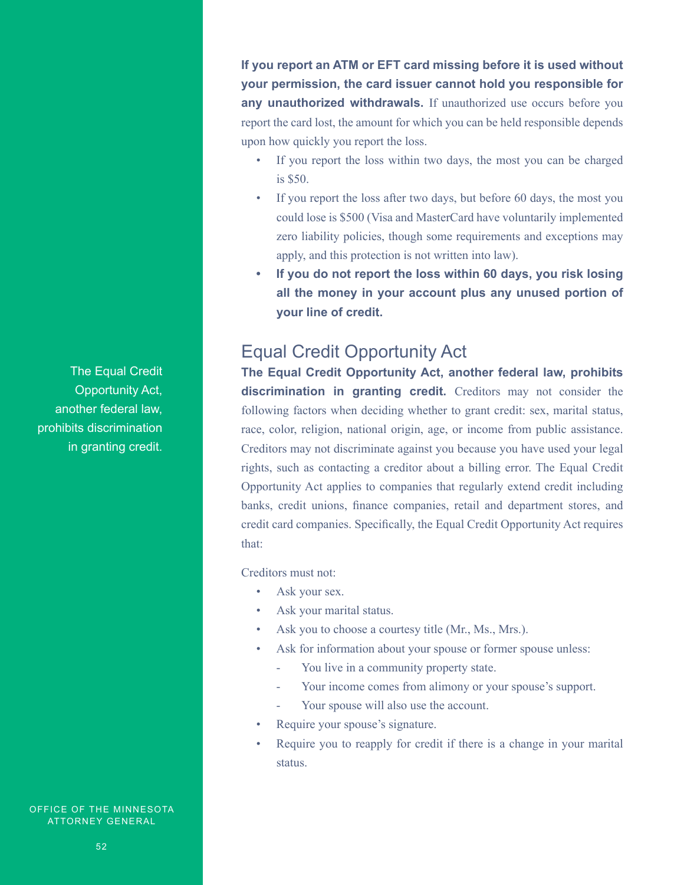**If you report an ATM or EFT card missing before it is used without your permission, the card issuer cannot hold you responsible for any unauthorized withdrawals.** If unauthorized use occurs before you report the card lost, the amount for which you can be held responsible depends upon how quickly you report the loss.

- If you report the loss within two days, the most you can be charged is \$50.
- If you report the loss after two days, but before 60 days, the most you could lose is \$500 (Visa and MasterCard have voluntarily implemented zero liability policies, though some requirements and exceptions may apply, and this protection is not written into law).
- **• If you do not report the loss within 60 days, you risk losing all the money in your account plus any unused portion of your line of credit.**

### Equal Credit Opportunity Act

**The Equal Credit Opportunity Act, another federal law, prohibits discrimination in granting credit.** Creditors may not consider the following factors when deciding whether to grant credit: sex, marital status, race, color, religion, national origin, age, or income from public assistance. Creditors may not discriminate against you because you have used your legal rights, such as contacting a creditor about a billing error. The Equal Credit Opportunity Act applies to companies that regularly extend credit including banks, credit unions, finance companies, retail and department stores, and credit card companies. Specifically, the Equal Credit Opportunity Act requires that:

Creditors must not:

- Ask your sex.
- Ask your marital status.
- Ask you to choose a courtesy title (Mr., Ms., Mrs.).
- Ask for information about your spouse or former spouse unless:
	- You live in a community property state.
	- Your income comes from alimony or your spouse's support.
	- Your spouse will also use the account.
- Require your spouse's signature.
- Require you to reapply for credit if there is a change in your marital status.

The Equal Credit Opportunity Act, another federal law, prohibits discrimination in granting credit.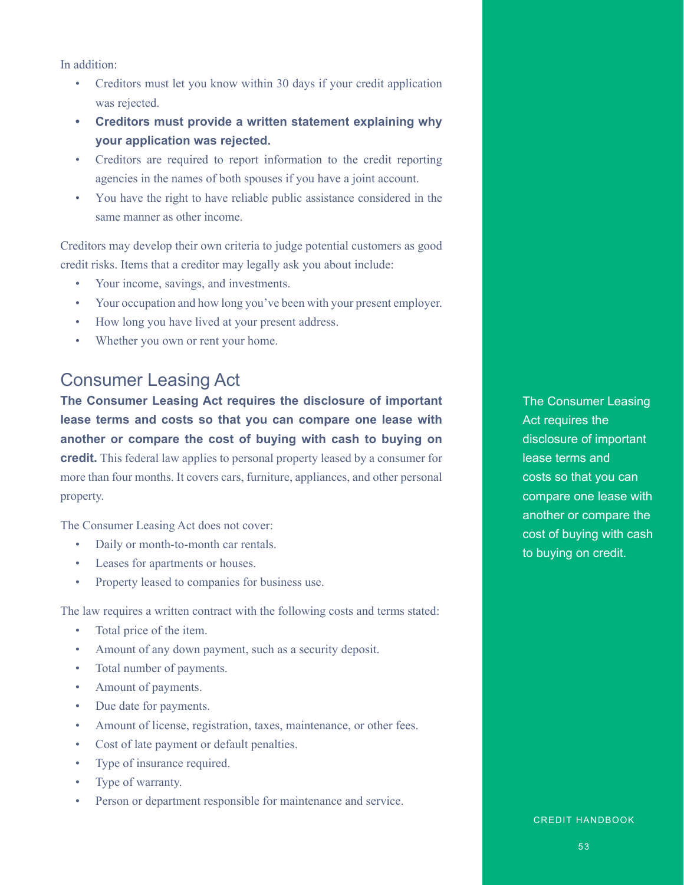In addition:

- Creditors must let you know within 30 days if your credit application was rejected.
- **• Creditors must provide a written statement explaining why your application was rejected.**
- Creditors are required to report information to the credit reporting agencies in the names of both spouses if you have a joint account.
- You have the right to have reliable public assistance considered in the same manner as other income.

Creditors may develop their own criteria to judge potential customers as good credit risks. Items that a creditor may legally ask you about include:

- Your income, savings, and investments.
- Your occupation and how long you've been with your present employer.
- How long you have lived at your present address.
- Whether you own or rent your home.

### Consumer Leasing Act

**The Consumer Leasing Act requires the disclosure of important lease terms and costs so that you can compare one lease with another or compare the cost of buying with cash to buying on credit.** This federal law applies to personal property leased by a consumer for more than four months. It covers cars, furniture, appliances, and other personal property.

The Consumer Leasing Act does not cover:

- Daily or month-to-month car rentals.
- Leases for apartments or houses.
- Property leased to companies for business use.

The law requires a written contract with the following costs and terms stated:

- Total price of the item.
- Amount of any down payment, such as a security deposit.
- Total number of payments.
- Amount of payments.
- Due date for payments.
- Amount of license, registration, taxes, maintenance, or other fees.
- Cost of late payment or default penalties.
- Type of insurance required.
- Type of warranty.
- Person or department responsible for maintenance and service.

The Consumer Leasing Act requires the disclosure of important lease terms and costs so that you can compare one lease with another or compare the cost of buying with cash to buying on credit.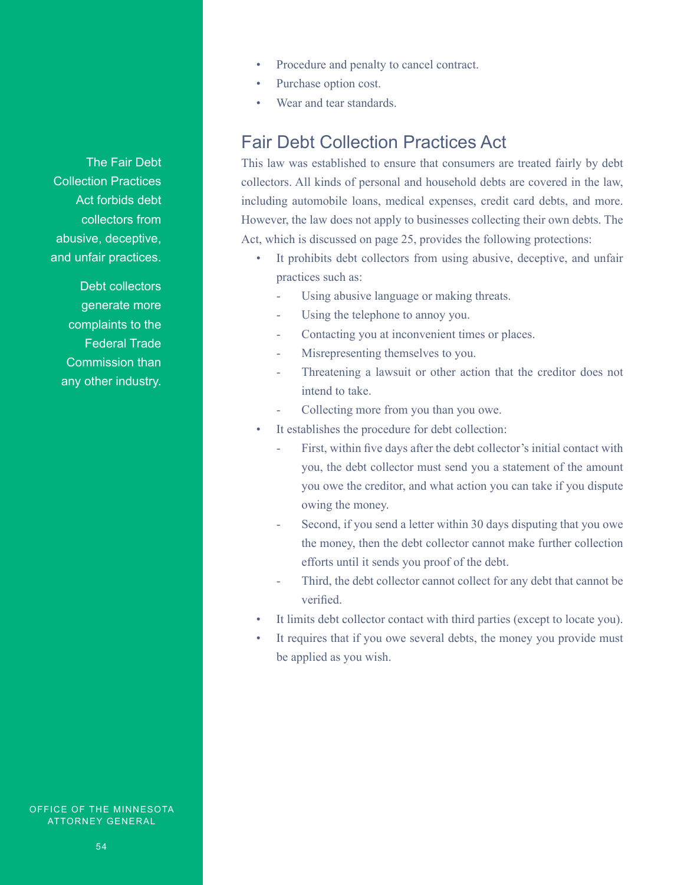- Procedure and penalty to cancel contract.
- Purchase option cost.
- Wear and tear standards.

### Fair Debt Collection Practices Act

This law was established to ensure that consumers are treated fairly by debt collectors. All kinds of personal and household debts are covered in the law, including automobile loans, medical expenses, credit card debts, and more. However, the law does not apply to businesses collecting their own debts. The Act, which is discussed on page 25, provides the following protections:

- It prohibits debt collectors from using abusive, deceptive, and unfair practices such as:
	- Using abusive language or making threats.
	- Using the telephone to annoy you.
	- Contacting you at inconvenient times or places.
	- Misrepresenting themselves to you.
	- Threatening a lawsuit or other action that the creditor does not intend to take.
	- Collecting more from you than you owe.
- It establishes the procedure for debt collection:
	- First, within five days after the debt collector's initial contact with you, the debt collector must send you a statement of the amount you owe the creditor, and what action you can take if you dispute owing the money.
	- Second, if you send a letter within 30 days disputing that you owe the money, then the debt collector cannot make further collection efforts until it sends you proof of the debt.
	- Third, the debt collector cannot collect for any debt that cannot be verified.
- It limits debt collector contact with third parties (except to locate you).
- It requires that if you owe several debts, the money you provide must be applied as you wish.

The Fair Debt Collection Practices Act forbids debt collectors from abusive, deceptive, and unfair practices.

Debt collectors generate more complaints to the Federal Trade Commission than any other industry.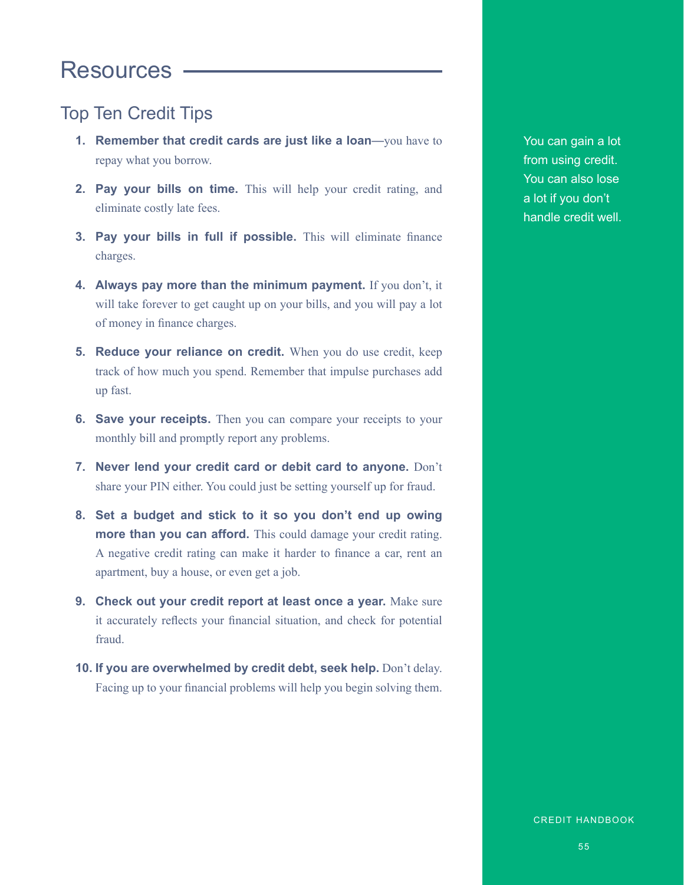# **Resources**

### Top Ten Credit Tips

- **1. Remember that credit cards are just like a loan**—you have to repay what you borrow.
- **2. Pay your bills on time.** This will help your credit rating, and eliminate costly late fees.
- **3. Pay your bills in full if possible.** This will eliminate finance charges.
- **4. Always pay more than the minimum payment.** If you don't, it will take forever to get caught up on your bills, and you will pay a lot of money in finance charges.
- **5. Reduce your reliance on credit.** When you do use credit, keep track of how much you spend. Remember that impulse purchases add up fast.
- **6.** Save your receipts. Then you can compare your receipts to your monthly bill and promptly report any problems.
- **7. Never lend your credit card or debit card to anyone.** Don't share your PIN either. You could just be setting yourself up for fraud.
- **8. Set a budget and stick to it so you don't end up owing more than you can afford.** This could damage your credit rating. A negative credit rating can make it harder to finance a car, rent an apartment, buy a house, or even get a job.
- **9. Check out your credit report at least once a year.** Make sure it accurately reflects your financial situation, and check for potential fraud.
- **10. If you are overwhelmed by credit debt, seek help.** Don't delay. Facing up to your financial problems will help you begin solving them.

You can gain a lot from using credit. You can also lose a lot if you don't handle credit well.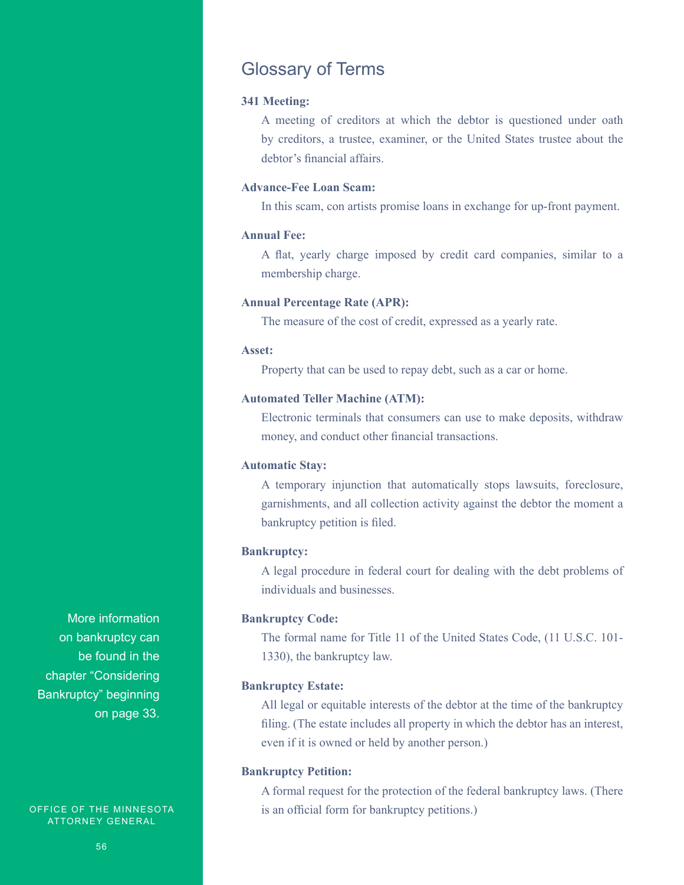### Glossary of Terms

#### **341 Meeting:**

A meeting of creditors at which the debtor is questioned under oath by creditors, a trustee, examiner, or the United States trustee about the debtor's financial affairs.

#### **Advance-Fee Loan Scam:**

In this scam, con artists promise loans in exchange for up-front payment.

#### **Annual Fee:**

A flat, yearly charge imposed by credit card companies, similar to a membership charge.

#### **Annual Percentage Rate (APR):**

The measure of the cost of credit, expressed as a yearly rate.

#### **Asset:**

Property that can be used to repay debt, such as a car or home.

#### **Automated Teller Machine (ATM):**

Electronic terminals that consumers can use to make deposits, withdraw money, and conduct other financial transactions.

#### **Automatic Stay:**

A temporary injunction that automatically stops lawsuits, foreclosure, garnishments, and all collection activity against the debtor the moment a bankruptcy petition is filed.

#### **Bankruptcy:**

A legal procedure in federal court for dealing with the debt problems of individuals and businesses.

#### **Bankruptcy Code:**

The formal name for Title 11 of the United States Code, (11 U.S.C. 101- 1330), the bankruptcy law.

#### **Bankruptcy Estate:**

All legal or equitable interests of the debtor at the time of the bankruptcy filing. (The estate includes all property in which the debtor has an interest, even if it is owned or held by another person.)

#### **Bankruptcy Petition:**

A formal request for the protection of the federal bankruptcy laws. (There is an official form for bankruptcy petitions.)

More information on bankruptcy can be found in the chapter "Considering Bankruptcy" beginning on page 33.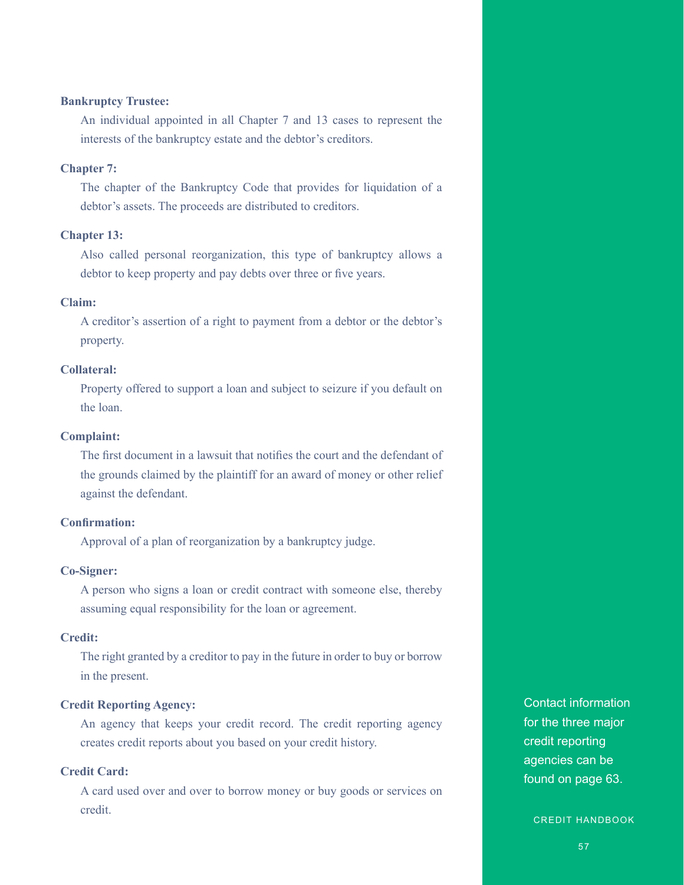#### **Bankruptcy Trustee:**

An individual appointed in all Chapter 7 and 13 cases to represent the interests of the bankruptcy estate and the debtor's creditors.

#### **Chapter 7:**

The chapter of the Bankruptcy Code that provides for liquidation of a debtor's assets. The proceeds are distributed to creditors.

#### **Chapter 13:**

Also called personal reorganization, this type of bankruptcy allows a debtor to keep property and pay debts over three or five years.

#### **Claim:**

A creditor's assertion of a right to payment from a debtor or the debtor's property.

#### **Collateral:**

Property offered to support a loan and subject to seizure if you default on the loan.

#### **Complaint:**

The first document in a lawsuit that notifies the court and the defendant of the grounds claimed by the plaintiff for an award of money or other relief against the defendant.

#### **Confirmation:**

Approval of a plan of reorganization by a bankruptcy judge.

#### **Co-Signer:**

A person who signs a loan or credit contract with someone else, thereby assuming equal responsibility for the loan or agreement.

#### **Credit:**

The right granted by a creditor to pay in the future in order to buy or borrow in the present.

#### **Credit Reporting Agency:**

An agency that keeps your credit record. The credit reporting agency creates credit reports about you based on your credit history.

#### **Credit Card:**

A card used over and over to borrow money or buy goods or services on credit.

Contact information for the three major credit reporting agencies can be found on page 63.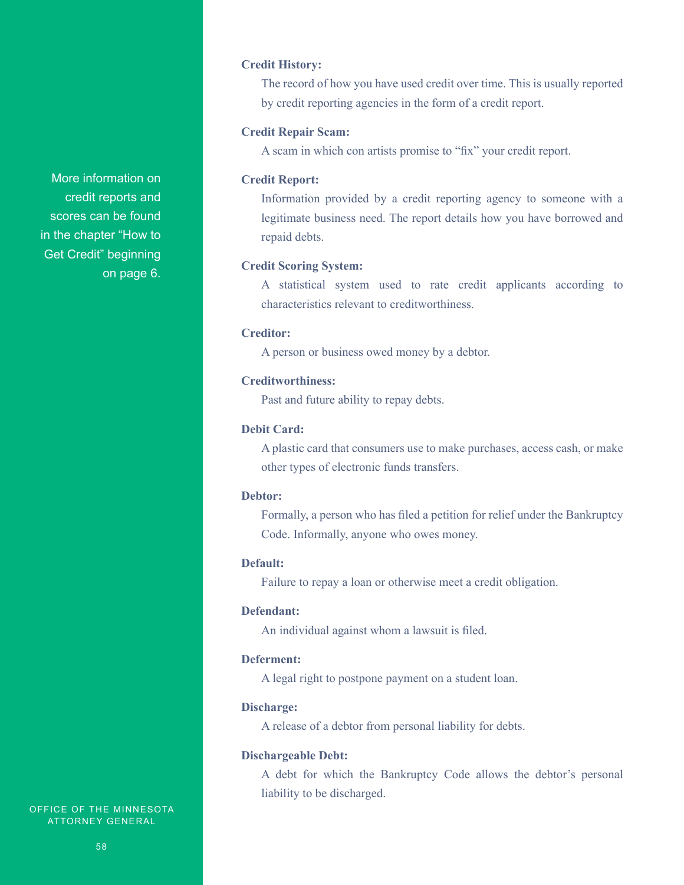#### **Credit History:**

The record of how you have used credit over time. This is usually reported by credit reporting agencies in the form of a credit report.

#### **Credit Repair Scam:**

A scam in which con artists promise to "fix" your credit report.

#### **Credit Report:**

Information provided by a credit reporting agency to someone with a legitimate business need. The report details how you have borrowed and repaid debts.

#### **Credit Scoring System:**

A statistical system used to rate credit applicants according to characteristics relevant to creditworthiness.

#### **Creditor:**

A person or business owed money by a debtor.

#### **Creditworthiness:**

Past and future ability to repay debts.

#### **Debit Card:**

A plastic card that consumers use to make purchases, access cash, or make other types of electronic funds transfers.

#### **Debtor:**

Formally, a person who has filed a petition for relief under the Bankruptcy Code. Informally, anyone who owes money.

#### **Default:**

Failure to repay a loan or otherwise meet a credit obligation.

#### **Defendant:**

An individual against whom a lawsuit is filed.

#### **Deferment:**

A legal right to postpone payment on a student loan.

#### **Discharge:**

A release of a debtor from personal liability for debts.

#### **Dischargeable Debt:**

A debt for which the Bankruptcy Code allows the debtor's personal liability to be discharged.

More information on credit reports and scores can be found in the chapter "How to Get Credit" beginning on page 6.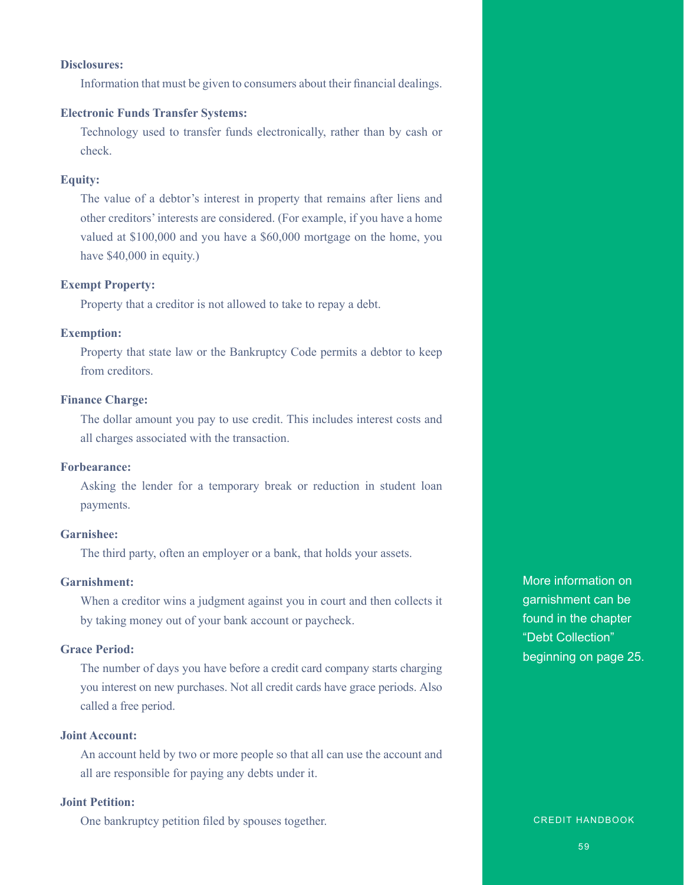#### **Disclosures:**

Information that must be given to consumers about their financial dealings.

#### **Electronic Funds Transfer Systems:**

Technology used to transfer funds electronically, rather than by cash or check.

#### **Equity:**

The value of a debtor's interest in property that remains after liens and other creditors' interests are considered. (For example, if you have a home valued at \$100,000 and you have a \$60,000 mortgage on the home, you have \$40,000 in equity.)

#### **Exempt Property:**

Property that a creditor is not allowed to take to repay a debt.

#### **Exemption:**

Property that state law or the Bankruptcy Code permits a debtor to keep from creditors.

#### **Finance Charge:**

The dollar amount you pay to use credit. This includes interest costs and all charges associated with the transaction.

#### **Forbearance:**

Asking the lender for a temporary break or reduction in student loan payments.

#### **Garnishee:**

The third party, often an employer or a bank, that holds your assets.

#### **Garnishment:**

When a creditor wins a judgment against you in court and then collects it by taking money out of your bank account or paycheck.

#### **Grace Period:**

The number of days you have before a credit card company starts charging you interest on new purchases. Not all credit cards have grace periods. Also called a free period.

#### **Joint Account:**

An account held by two or more people so that all can use the account and all are responsible for paying any debts under it.

#### **Joint Petition:**

One bankruptcy petition filed by spouses together.

More information on garnishment can be found in the chapter "Debt Collection" beginning on page 25.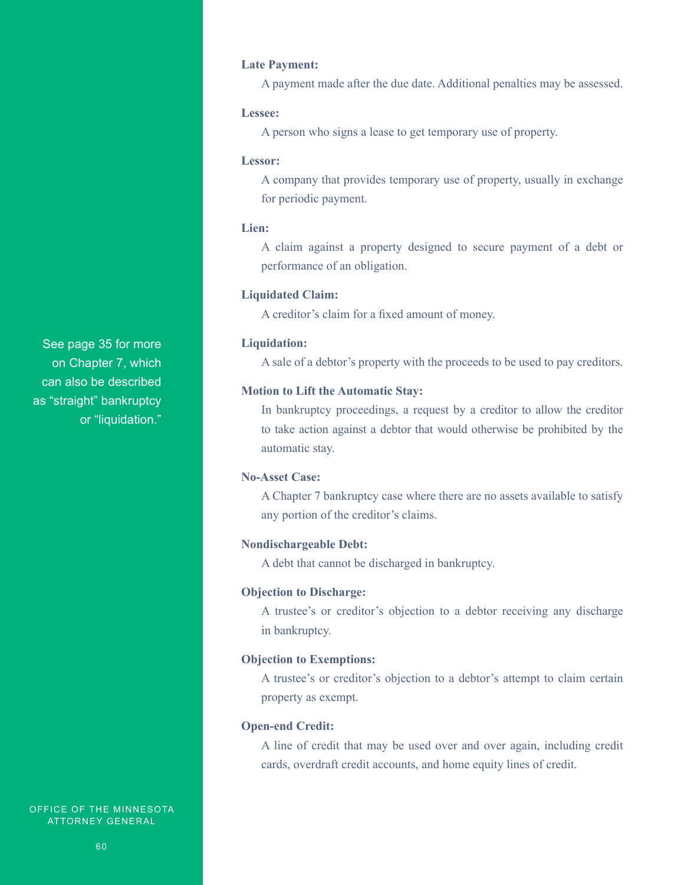#### **Late Payment:**

A payment made after the due date. Additional penalties may be assessed.

#### **Lessee:**

A person who signs a lease to get temporary use of property.

#### **Lessor:**

A company that provides temporary use of property, usually in exchange for periodic payment.

#### **Lien:**

A claim against a property designed to secure payment of a debt or performance of an obligation.

#### **Liquidated Claim:**

A creditor's claim for a fixed amount of money.

#### **Liquidation:**

A sale of a debtor's property with the proceeds to be used to pay creditors.

#### **Motion to Lift the Automatic Stay:**

In bankruptcy proceedings, a request by a creditor to allow the creditor to take action against a debtor that would otherwise be prohibited by the automatic stay.

#### **No-Asset Case:**

A Chapter 7 bankruptcy case where there are no assets available to satisfy any portion of the creditor's claims.

#### **Nondischargeable Debt:**

A debt that cannot be discharged in bankruptcy.

#### **Objection to Discharge:**

A trustee's or creditor's objection to a debtor receiving any discharge in bankruptcy.

#### **Objection to Exemptions:**

A trustee's or creditor's objection to a debtor's attempt to claim certain property as exempt.

#### **Open-end Credit:**

A line of credit that may be used over and over again, including credit cards, overdraft credit accounts, and home equity lines of credit.

See page 35 for more on Chapter 7, which can also be described as "straight" bankruptcy or "liquidation."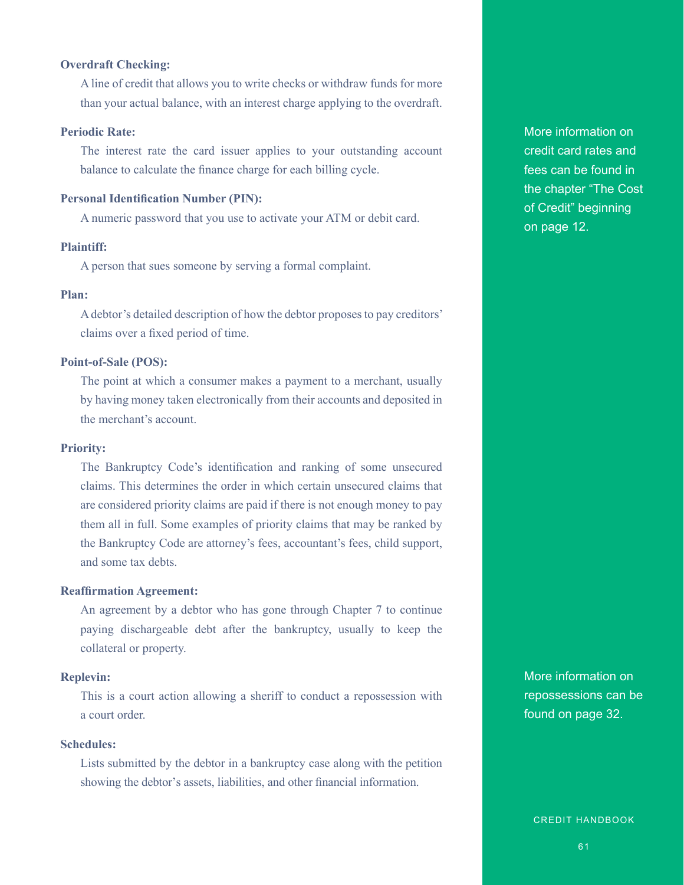#### **Overdraft Checking:**

A line of credit that allows you to write checks or withdraw funds for more than your actual balance, with an interest charge applying to the overdraft.

#### **Periodic Rate:**

The interest rate the card issuer applies to your outstanding account balance to calculate the finance charge for each billing cycle.

#### **Personal Identification Number (PIN):**

A numeric password that you use to activate your ATM or debit card.

#### **Plaintiff:**

A person that sues someone by serving a formal complaint.

#### **Plan:**

A debtor's detailed description of how the debtor proposes to pay creditors' claims over a fixed period of time.

#### **Point-of-Sale (POS):**

The point at which a consumer makes a payment to a merchant, usually by having money taken electronically from their accounts and deposited in the merchant's account.

#### **Priority:**

The Bankruptcy Code's identification and ranking of some unsecured claims. This determines the order in which certain unsecured claims that are considered priority claims are paid if there is not enough money to pay them all in full. Some examples of priority claims that may be ranked by the Bankruptcy Code are attorney's fees, accountant's fees, child support, and some tax debts.

#### **Reaffirmation Agreement:**

An agreement by a debtor who has gone through Chapter 7 to continue paying dischargeable debt after the bankruptcy, usually to keep the collateral or property.

#### **Replevin:**

This is a court action allowing a sheriff to conduct a repossession with a court order.

#### **Schedules:**

Lists submitted by the debtor in a bankruptcy case along with the petition showing the debtor's assets, liabilities, and other financial information.

More information on credit card rates and fees can be found in the chapter "The Cost of Credit" beginning on page 12.

More information on repossessions can be found on page 32.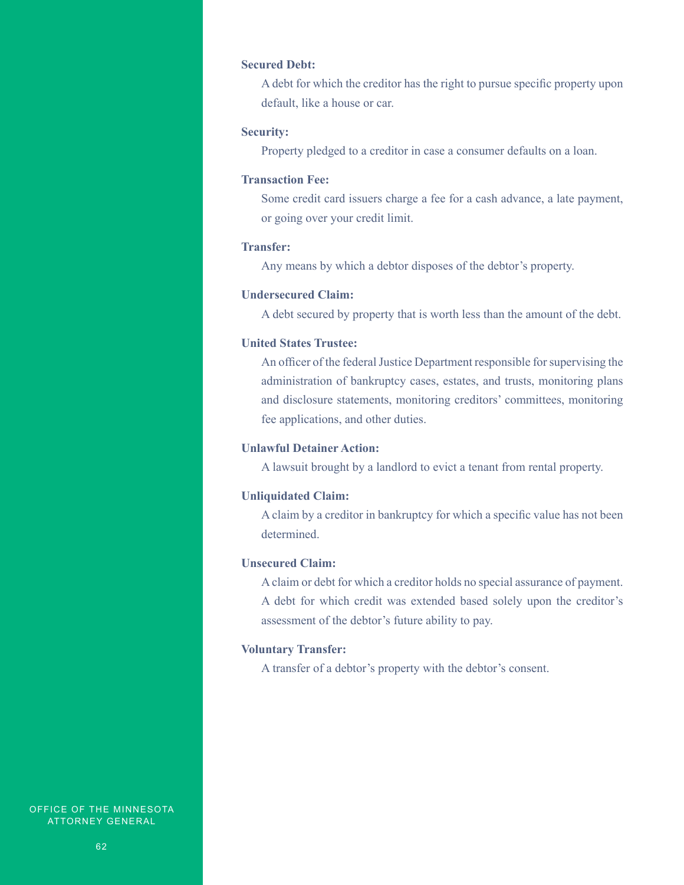#### **Secured Debt:**

A debt for which the creditor has the right to pursue specific property upon default, like a house or car.

#### **Security:**

Property pledged to a creditor in case a consumer defaults on a loan.

#### **Transaction Fee:**

Some credit card issuers charge a fee for a cash advance, a late payment, or going over your credit limit.

#### **Transfer:**

Any means by which a debtor disposes of the debtor's property.

#### **Undersecured Claim:**

A debt secured by property that is worth less than the amount of the debt.

#### **United States Trustee:**

An officer of the federal Justice Department responsible for supervising the administration of bankruptcy cases, estates, and trusts, monitoring plans and disclosure statements, monitoring creditors' committees, monitoring fee applications, and other duties.

#### **Unlawful Detainer Action:**

A lawsuit brought by a landlord to evict a tenant from rental property.

#### **Unliquidated Claim:**

A claim by a creditor in bankruptcy for which a specific value has not been determined.

#### **Unsecured Claim:**

A claim or debt for which a creditor holds no special assurance of payment. A debt for which credit was extended based solely upon the creditor's assessment of the debtor's future ability to pay.

#### **Voluntary Transfer:**

A transfer of a debtor's property with the debtor's consent.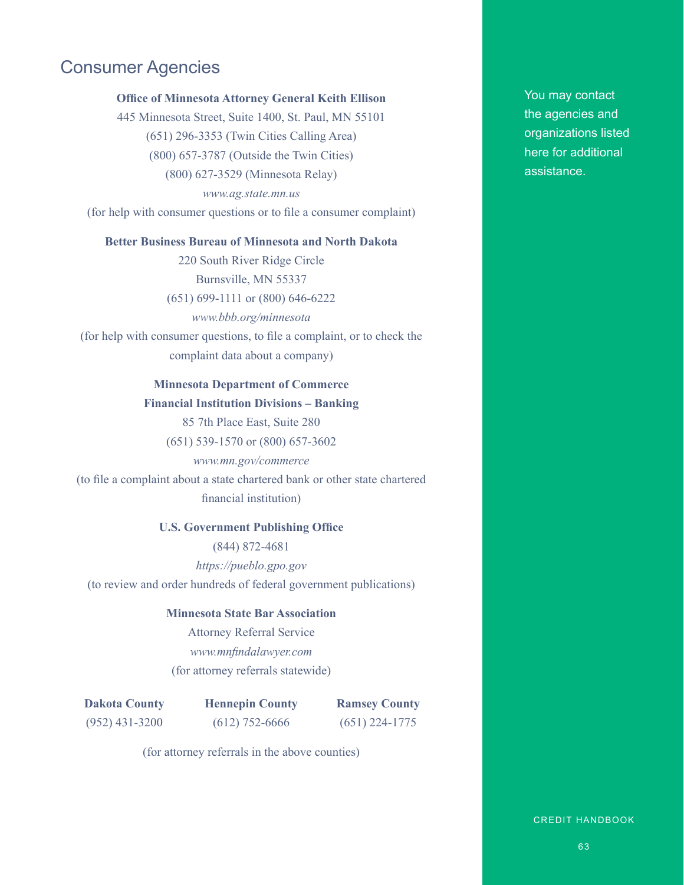### Consumer Agencies

#### **Office of Minnesota Attorney General Keith Ellison**

445 Minnesota Street, Suite 1400, St. Paul, MN 55101 (651) 296-3353 (Twin Cities Calling Area) (800) 657-3787 (Outside the Twin Cities) (800) 627-3529 (Minnesota Relay) *www.ag.state.mn.us* (for help with consumer questions or to file a consumer complaint)

#### **Better Business Bureau of Minnesota and North Dakota**

220 South River Ridge Circle Burnsville, MN 55337 (651) 699-1111 or (800) 646-6222

*www.bbb.org/minnesota* (for help with consumer questions, to file a complaint, or to check the complaint data about a company)

#### **Minnesota Department of Commerce Financial Institution Divisions – Banking**

85 7th Place East, Suite 280

(651) 539-1570 or (800) 657-3602

# *www.mn.gov/commerce*

(to file a complaint about a state chartered bank or other state chartered financial institution)

#### **U.S. Government Publishing Office**

(844) 872-4681

*https://pueblo.gpo.gov* (to review and order hundreds of federal government publications)

#### **Minnesota State Bar Association**

Attorney Referral Service *www.mnfindalawyer.com* (for attorney referrals statewide)

**Dakota County** (952) 431-3200

**Hennepin County** (612) 752-6666

**Ramsey County**  (651) 224-1775

(for attorney referrals in the above counties)

You may contact the agencies and organizations listed here for additional assistance.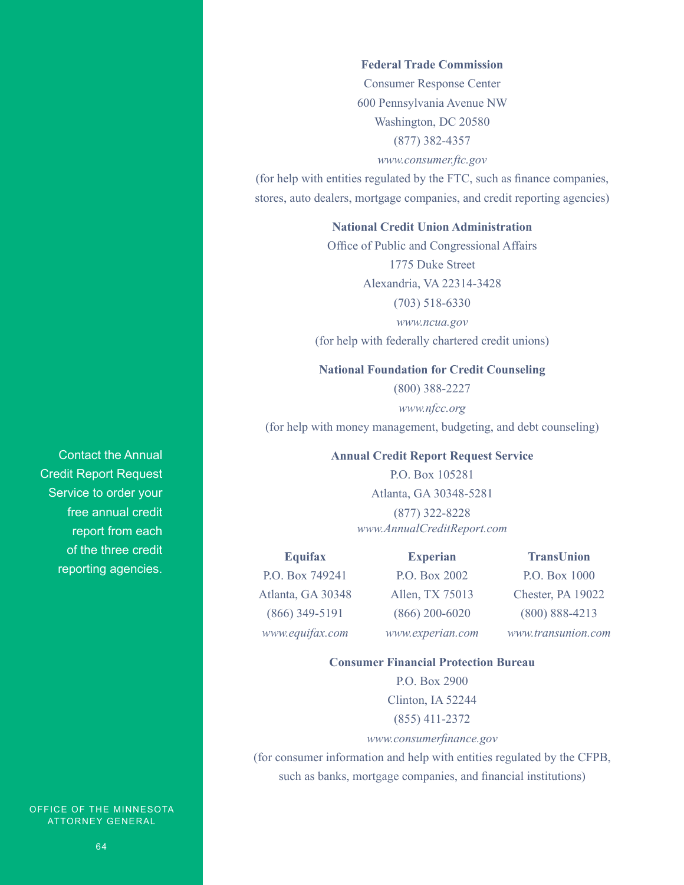#### **Federal Trade Commission**

Consumer Response Center 600 Pennsylvania Avenue NW Washington, DC 20580 (877) 382-4357

#### *www.consumer.ftc.gov*

(for help with entities regulated by the FTC, such as finance companies, stores, auto dealers, mortgage companies, and credit reporting agencies)

#### **National Credit Union Administration**

Office of Public and Congressional Affairs 1775 Duke Street Alexandria, VA 22314-3428 (703) 518-6330 *www.ncua.gov*

(for help with federally chartered credit unions)

#### **National Foundation for Credit Counseling**

(800) 388-2227

*www.nfcc.org* (for help with money management, budgeting, and debt counseling)

#### **Annual Credit Report Request Service**

P.O. Box 105281 Atlanta, GA 30348-5281 (877) 322-8228 *www.AnnualCreditReport.com*

**Experian**

**Equifax** P.O. Box 749241 Atlanta, GA 30348 (866) 349-5191 *www.equifax.com*

P.O. Box 2002 Allen, TX 75013 (866) 200-6020 *www.experian.com*

**TransUnion** P.O. Box 1000 Chester, PA 19022 (800) 888-4213 *www.transunion.com*

#### **Consumer Financial Protection Bureau**

P.O. Box 2900 Clinton, IA 52244 (855) 411-2372

#### *www.consumerfinance.gov*

(for consumer information and help with entities regulated by the CFPB, such as banks, mortgage companies, and financial institutions)

Contact the Annual Credit Report Request Service to order your free annual credit report from each of the three credit reporting agencies.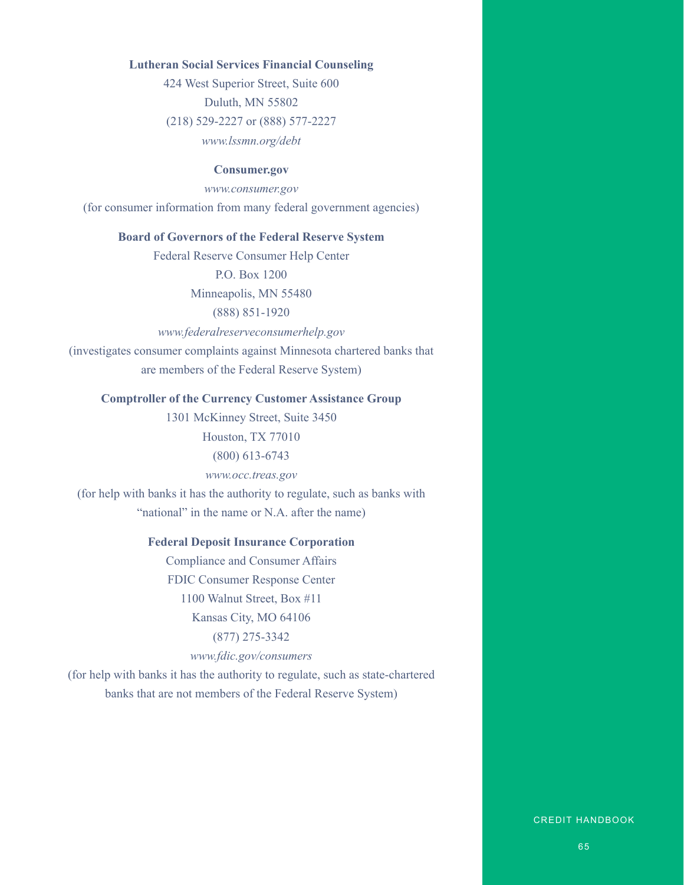#### **Lutheran Social Services Financial Counseling**

424 West Superior Street, Suite 600 Duluth, MN 55802 (218) 529-2227 or (888) 577-2227 *www.lssmn.org/debt*

#### **Consumer.gov**

*www.consumer.gov*

(for consumer information from many federal government agencies)

#### **Board of Governors of the Federal Reserve System**

Federal Reserve Consumer Help Center

P.O. Box 1200

Minneapolis, MN 55480

(888) 851-1920

*www.federalreserveconsumerhelp.gov*

(investigates consumer complaints against Minnesota chartered banks that

are members of the Federal Reserve System)

#### **Comptroller of the Currency Customer Assistance Group**

1301 McKinney Street, Suite 3450 Houston, TX 77010 (800) 613-6743 *www.occ.treas.gov* (for help with banks it has the authority to regulate, such as banks with

"national" in the name or N.A. after the name)

#### **Federal Deposit Insurance Corporation**

Compliance and Consumer Affairs FDIC Consumer Response Center 1100 Walnut Street, Box #11 Kansas City, MO 64106 (877) 275-3342 *www.fdic.gov/consumers*

(for help with banks it has the authority to regulate, such as state-chartered banks that are not members of the Federal Reserve System)